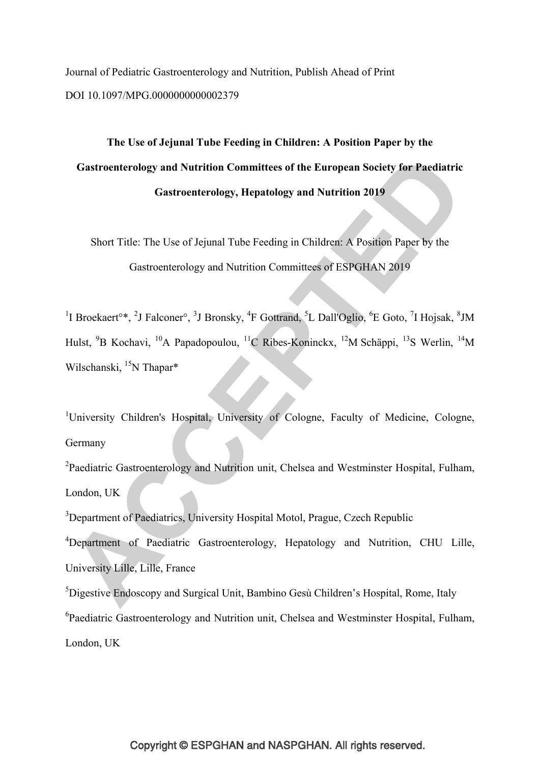Journal of Pediatric Gastroenterology and Nutrition, Publish Ahead of Print DOI 10.1097/MPG.0000000000002379

**The Use of Jejunal Tube Feeding in Children: A Position Paper by the Gastroenterology and Nutrition Committees of the European Society for Paediatric Gastroenterology, Hepatology and Nutrition 2019** 

Short Title: The Use of Jejunal Tube Feeding in Children: A Position Paper by the Gastroenterology and Nutrition Committees of ESPGHAN 2019

<sup>1</sup>I Broekaert<sup>o\*</sup>, <sup>2</sup>J Falconer<sup>o</sup>, <sup>3</sup>J Bronsky, <sup>4</sup>F Gottrand, <sup>5</sup>L Dall'Oglio, <sup>6</sup>E Goto, <sup>7</sup>I Hojsak, <sup>8</sup>JM Hulst, <sup>9</sup>B Kochavi, <sup>10</sup>A Papadopoulou, <sup>11</sup>C Ribes-Koninckx, <sup>12</sup>M Schäppi, <sup>13</sup>S Werlin, <sup>14</sup>M Wilschanski, <sup>15</sup>N Thapar\*

<sup>1</sup>University Children's Hospital, University of Cologne, Faculty of Medicine, Cologne, Germany

<sup>2</sup>Paediatric Gastroenterology and Nutrition unit, Chelsea and Westminster Hospital, Fulham, London, UK

<sup>3</sup>Department of Paediatrics, University Hospital Motol, Prague, Czech Republic

<sup>4</sup>Department of Paediatric Gastroenterology, Hepatology and Nutrition, CHU Lille, University Lille, Lille, France

<sup>5</sup>Digestive Endoscopy and Surgical Unit, Bambino Gesù Children's Hospital, Rome, Italy <sup>6</sup>Paediatric Gastroenterology and Nutrition unit, Chelsea and Westminster Hospital, Fulham, London, UK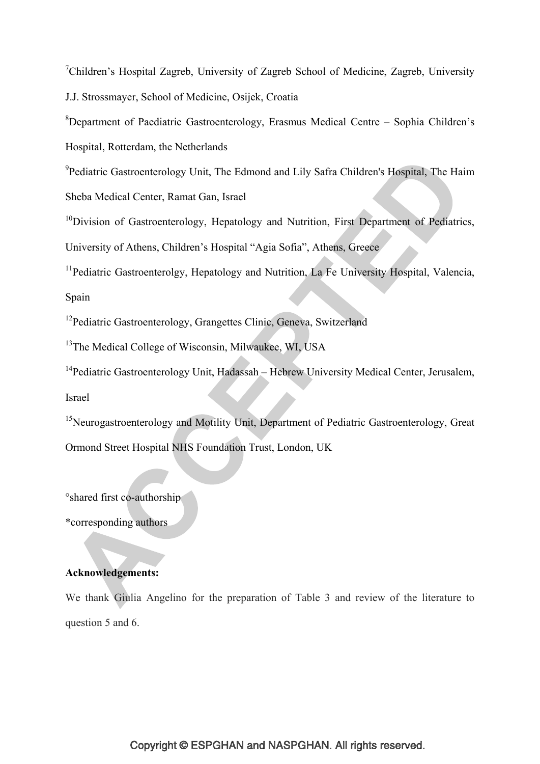<sup>7</sup>Children's Hospital Zagreb, University of Zagreb School of Medicine, Zagreb, University J.J. Strossmayer, School of Medicine, Osijek, Croatia

<sup>8</sup>Department of Paediatric Gastroenterology, Erasmus Medical Centre - Sophia Children's Hospital, Rotterdam, the Netherlands

<sup>9</sup> Pediatric Gastroenterology Unit, The Edmond and Lily Safra Children's Hospital, The Haim Sheba Medical Center, Ramat Gan, Israel

<sup>10</sup>Division of Gastroenterology, Hepatology and Nutrition, First Department of Pediatrics, University of Athens, Children's Hospital "Agia Sofia", Athens, Greece

<sup>11</sup>Pediatric Gastroenterolgy, Hepatology and Nutrition, La Fe University Hospital, Valencia, Spain

<sup>12</sup>Pediatric Gastroenterology, Grangettes Clinic, Geneva, Switzerland

<sup>13</sup>The Medical College of Wisconsin, Milwaukee, WI, USA

<sup>14</sup>Pediatric Gastroenterology Unit, Hadassah – Hebrew University Medical Center, Jerusalem, Israel

<sup>15</sup>Neurogastroenterology and Motility Unit, Department of Pediatric Gastroenterology, Great Ormond Street Hospital NHS Foundation Trust, London, UK

°shared first co-authorship

\*corresponding authors

# **Acknowledgements:**

We thank Giulia Angelino for the preparation of Table 3 and review of the literature to question 5 and 6.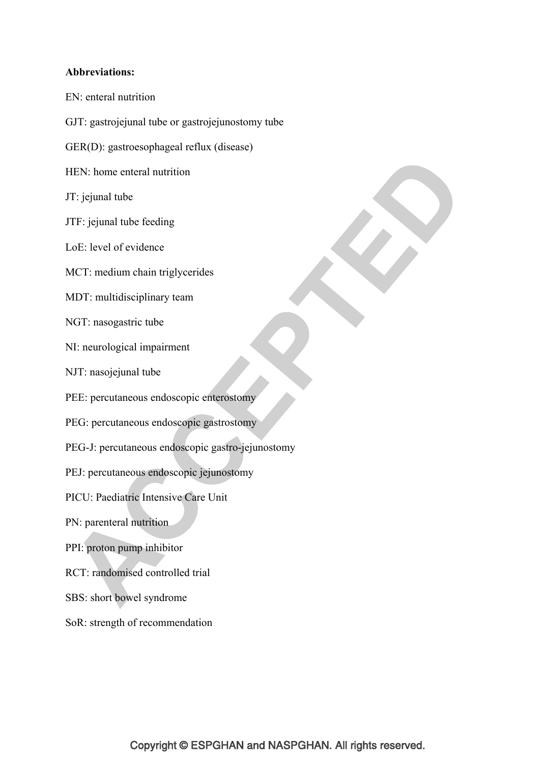# **Abbreviations:**

- EN: enteral nutrition
- GJT: gastrojejunal tube or gastrojejunostomy tube
- GER(D): gastroesophageal reflux (disease)
- HEN: home enteral nutrition
- JT: jejunal tube
- JTF: jejunal tube feeding
- LoE: level of evidence
- MCT: medium chain triglycerides
- MDT: multidisciplinary team
- NGT: nasogastric tube
- NI: neurological impairment
- NJT: nasojejunal tube
- PEE: percutaneous endoscopic enterostomy
- PEG: percutaneous endoscopic gastrostomy
- PEG-J: percutaneous endoscopic gastro-jejunostomy
- PEJ: percutaneous endoscopic jejunostomy
- PICU: Paediatric Intensive Care Unit
- PN: parenteral nutrition
- PPI: proton pump inhibitor
- RCT: randomised controlled trial
- SBS: short bowel syndrome
- SoR: strength of recommendation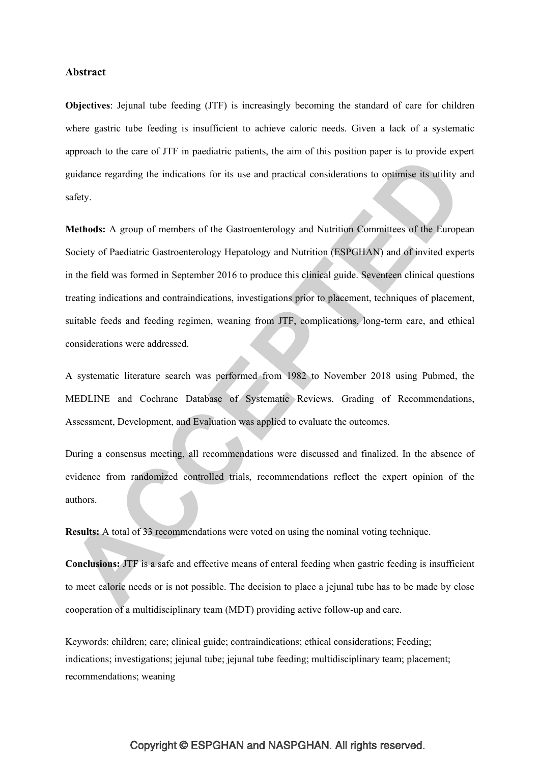#### **Abstract**

**Objectives**: Jejunal tube feeding (JTF) is increasingly becoming the standard of care for children where gastric tube feeding is insufficient to achieve caloric needs. Given a lack of a systematic approach to the care of JTF in paediatric patients, the aim of this position paper is to provide expert guidance regarding the indications for its use and practical considerations to optimise its utility and safety.

**Methods:** A group of members of the Gastroenterology and Nutrition Committees of the European Society of Paediatric Gastroenterology Hepatology and Nutrition (ESPGHAN) and of invited experts in the field was formed in September 2016 to produce this clinical guide. Seventeen clinical questions treating indications and contraindications, investigations prior to placement, techniques of placement, suitable feeds and feeding regimen, weaning from JTF, complications, long-term care, and ethical considerations were addressed.

A systematic literature search was performed from 1982 to November 2018 using Pubmed, the MEDLINE and Cochrane Database of Systematic Reviews. Grading of Recommendations, Assessment, Development, and Evaluation was applied to evaluate the outcomes.

During a consensus meeting, all recommendations were discussed and finalized. In the absence of evidence from randomized controlled trials, recommendations reflect the expert opinion of the authors.

**Results:** A total of 33 recommendations were voted on using the nominal voting technique.

**Conclusions:** JTF is a safe and effective means of enteral feeding when gastric feeding is insufficient to meet caloric needs or is not possible. The decision to place a jejunal tube has to be made by close cooperation of a multidisciplinary team (MDT) providing active follow-up and care.

Keywords: children; care; clinical guide; contraindications; ethical considerations; Feeding; indications; investigations; jejunal tube; jejunal tube feeding; multidisciplinary team; placement; recommendations; weaning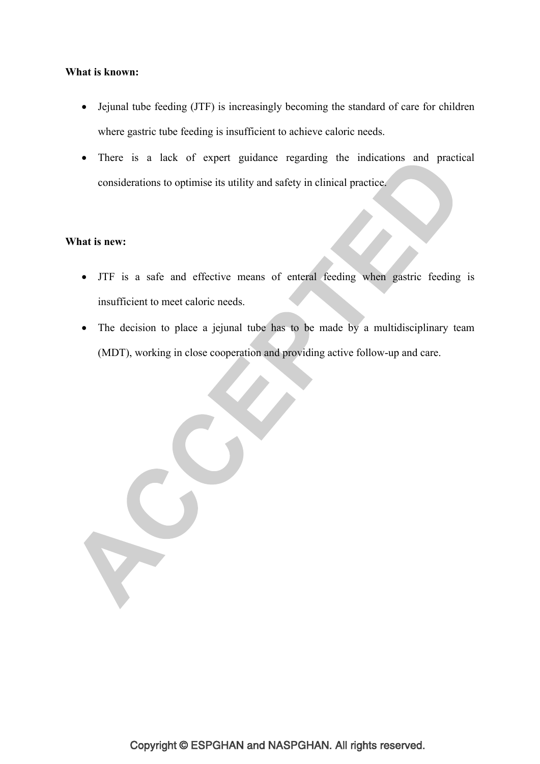# **What is known:**

- Jejunal tube feeding (JTF) is increasingly becoming the standard of care for children where gastric tube feeding is insufficient to achieve caloric needs.
- There is a lack of expert guidance regarding the indications and practical considerations to optimise its utility and safety in clinical practice.

#### **What is new:**

- JTF is a safe and effective means of enteral feeding when gastric feeding is insufficient to meet caloric needs.
- The decision to place a jejunal tube has to be made by a multidisciplinary team (MDT), working in close cooperation and providing active follow-up and care.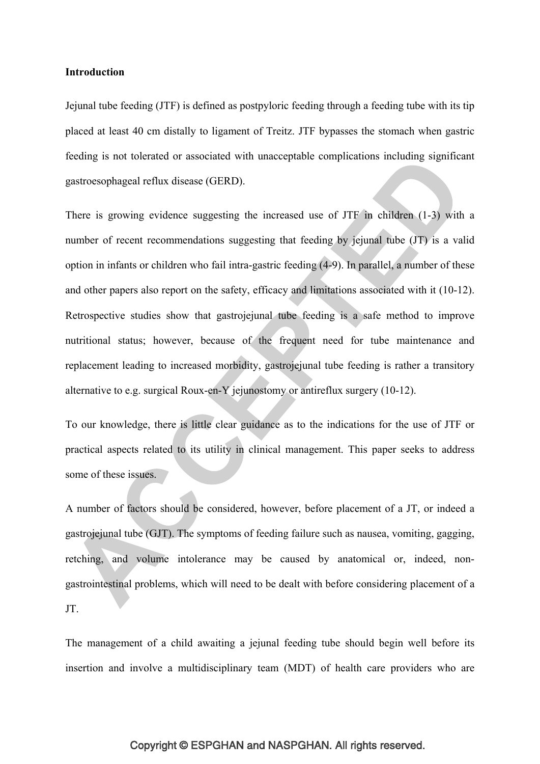#### **Introduction**

Jejunal tube feeding (JTF) is defined as postpyloric feeding through a feeding tube with its tip placed at least 40 cm distally to ligament of Treitz. JTF bypasses the stomach when gastric feeding is not tolerated or associated with unacceptable complications including significant gastroesophageal reflux disease (GERD).

There is growing evidence suggesting the increased use of JTF in children (1-3) with a number of recent recommendations suggesting that feeding by jejunal tube (JT) is a valid option in infants or children who fail intra-gastric feeding (4-9). In parallel, a number of these and other papers also report on the safety, efficacy and limitations associated with it (10-12). Retrospective studies show that gastrojejunal tube feeding is a safe method to improve nutritional status; however, because of the frequent need for tube maintenance and replacement leading to increased morbidity, gastrojejunal tube feeding is rather a transitory alternative to e.g. surgical Roux-en-Y jejunostomy or antireflux surgery (10-12).

To our knowledge, there is little clear guidance as to the indications for the use of JTF or practical aspects related to its utility in clinical management. This paper seeks to address some of these issues.

A number of factors should be considered, however, before placement of a JT, or indeed a gastrojejunal tube (GJT). The symptoms of feeding failure such as nausea, vomiting, gagging, retching, and volume intolerance may be caused by anatomical or, indeed, nongastrointestinal problems, which will need to be dealt with before considering placement of a JT.

The management of a child awaiting a jejunal feeding tube should begin well before its insertion and involve a multidisciplinary team (MDT) of health care providers who are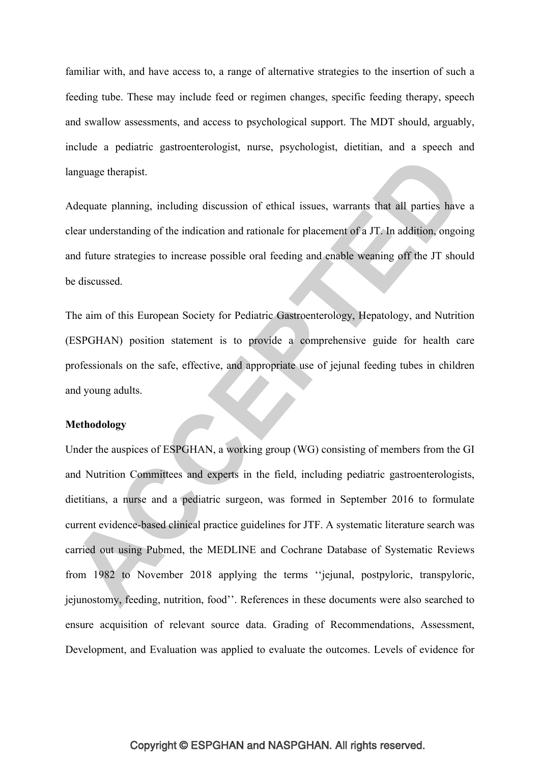familiar with, and have access to, a range of alternative strategies to the insertion of such a feeding tube. These may include feed or regimen changes, specific feeding therapy, speech and swallow assessments, and access to psychological support. The MDT should, arguably, include a pediatric gastroenterologist, nurse, psychologist, dietitian, and a speech and language therapist.

Adequate planning, including discussion of ethical issues, warrants that all parties have a clear understanding of the indication and rationale for placement of a JT. In addition, ongoing and future strategies to increase possible oral feeding and enable weaning off the JT should be discussed.

The aim of this European Society for Pediatric Gastroenterology, Hepatology, and Nutrition (ESPGHAN) position statement is to provide a comprehensive guide for health care professionals on the safe, effective, and appropriate use of jejunal feeding tubes in children and young adults.

#### **Methodology**

Under the auspices of ESPGHAN, a working group (WG) consisting of members from the GI and Nutrition Committees and experts in the field, including pediatric gastroenterologists, dietitians, a nurse and a pediatric surgeon, was formed in September 2016 to formulate current evidence-based clinical practice guidelines for JTF. A systematic literature search was carried out using Pubmed, the MEDLINE and Cochrane Database of Systematic Reviews from 1982 to November 2018 applying the terms ''jejunal, postpyloric, transpyloric, jejunostomy, feeding, nutrition, food''. References in these documents were also searched to ensure acquisition of relevant source data. Grading of Recommendations, Assessment, Development, and Evaluation was applied to evaluate the outcomes. Levels of evidence for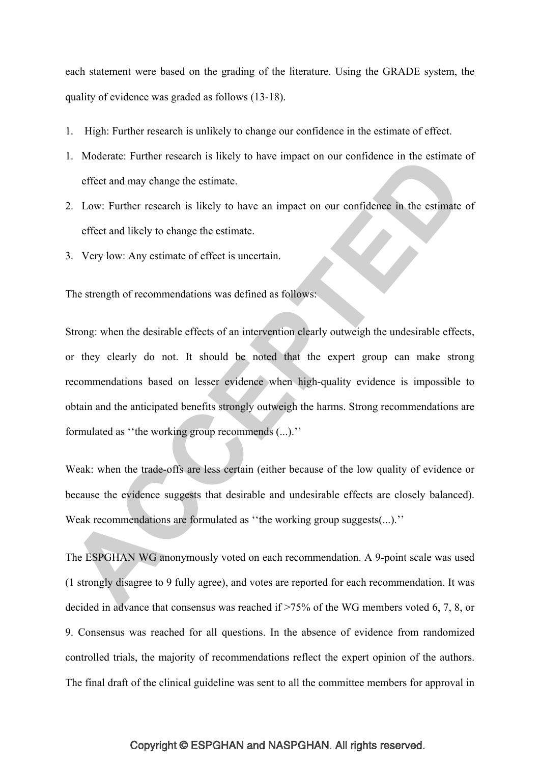each statement were based on the grading of the literature. Using the GRADE system, the quality of evidence was graded as follows (13-18).

- 1. High: Further research is unlikely to change our confidence in the estimate of effect.
- 1. Moderate: Further research is likely to have impact on our confidence in the estimate of effect and may change the estimate.
- 2. Low: Further research is likely to have an impact on our confidence in the estimate of effect and likely to change the estimate.
- 3. Very low: Any estimate of effect is uncertain.

The strength of recommendations was defined as follows:

Strong: when the desirable effects of an intervention clearly outweigh the undesirable effects, or they clearly do not. It should be noted that the expert group can make strong recommendations based on lesser evidence when high-quality evidence is impossible to obtain and the anticipated benefits strongly outweigh the harms. Strong recommendations are formulated as ''the working group recommends (...).''

Weak: when the trade-offs are less certain (either because of the low quality of evidence or because the evidence suggests that desirable and undesirable effects are closely balanced). Weak recommendations are formulated as "the working group suggests(...)."

The ESPGHAN WG anonymously voted on each recommendation. A 9-point scale was used (1 strongly disagree to 9 fully agree), and votes are reported for each recommendation. It was decided in advance that consensus was reached if >75% of the WG members voted 6, 7, 8, or 9. Consensus was reached for all questions. In the absence of evidence from randomized controlled trials, the majority of recommendations reflect the expert opinion of the authors. The final draft of the clinical guideline was sent to all the committee members for approval in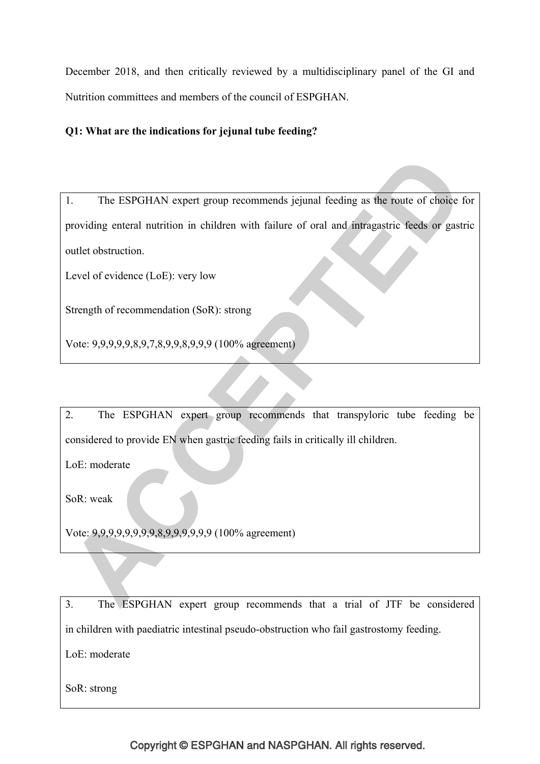December 2018, and then critically reviewed by a multidisciplinary panel of the GI and Nutrition committees and members of the council of ESPGHAN.

# **Q1: What are the indications for jejunal tube feeding?**

1. The ESPGHAN expert group recommends jejunal feeding as the route of choice for providing enteral nutrition in children with failure of oral and intragastric feeds or gastric outlet obstruction.

Level of evidence (LoE): very low

Strength of recommendation (SoR): strong

Vote: 9,9,9,9,9,8,9,7,8,9,9,8,9,9,9 (100% agreement)

2. The ESPGHAN expert group recommends that transpyloric tube feeding be considered to provide EN when gastric feeding fails in critically ill children.

LoE: moderate

SoR: weak

Vote: 9,9,9,9,9,9,9,9,8,9,9,9,9,9,9 (100% agreement)

3. The ESPGHAN expert group recommends that a trial of JTF be considered in children with paediatric intestinal pseudo-obstruction who fail gastrostomy feeding. LoE: moderate

SoR: strong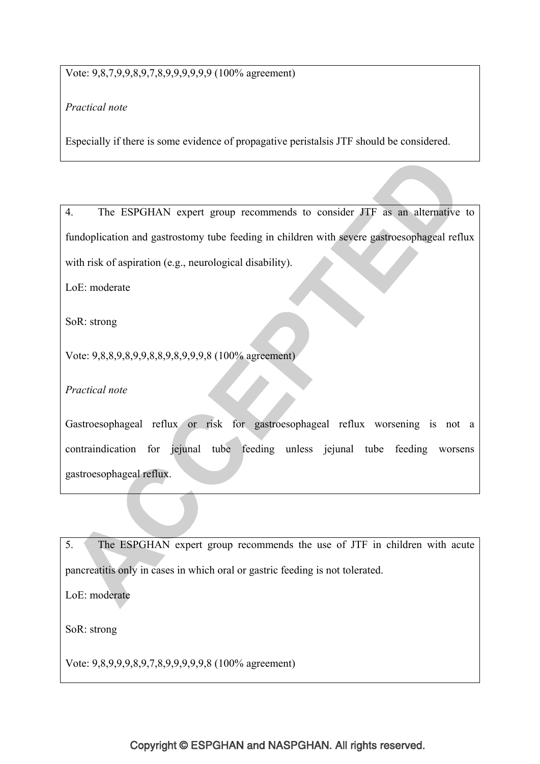# Vote: 9,8,7,9,9,8,9,7,8,9,9,9,9,9,9 (100% agreement)

# *Practical note*

Especially if there is some evidence of propagative peristalsis JTF should be considered.

4. The ESPGHAN expert group recommends to consider JTF as an alternative to fundoplication and gastrostomy tube feeding in children with severe gastroesophageal reflux with risk of aspiration (e.g., neurological disability).

LoE: moderate

SoR: strong

Vote: 9,8,8,9,8,9,9,8,8,9,8,9,9,9,8 (100% agreement)

*Practical note*

Gastroesophageal reflux or risk for gastroesophageal reflux worsening is not a contraindication for jejunal tube feeding unless jejunal tube feeding worsens gastroesophageal reflux.

5. The ESPGHAN expert group recommends the use of JTF in children with acute pancreatitis only in cases in which oral or gastric feeding is not tolerated.

LoE: moderate

SoR: strong

Vote: 9,8,9,9,9,8,9,7,8,9,9,9,9,9,8 (100% agreement)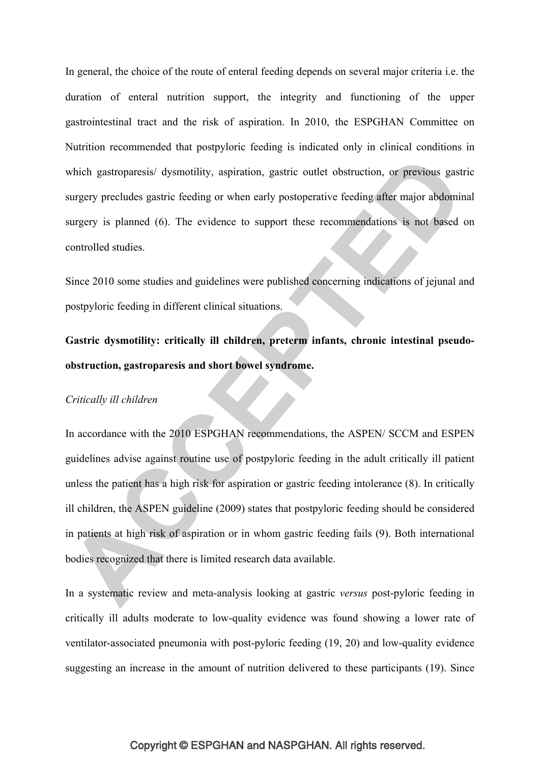In general, the choice of the route of enteral feeding depends on several major criteria i.e. the duration of enteral nutrition support, the integrity and functioning of the upper gastrointestinal tract and the risk of aspiration. In 2010, the ESPGHAN Committee on Nutrition recommended that postpyloric feeding is indicated only in clinical conditions in which gastroparesis/ dysmotility, aspiration, gastric outlet obstruction, or previous gastric surgery precludes gastric feeding or when early postoperative feeding after major abdominal surgery is planned (6). The evidence to support these recommendations is not based on controlled studies.

Since 2010 some studies and guidelines were published concerning indications of jejunal and postpyloric feeding in different clinical situations.

**Gastric dysmotility: critically ill children, preterm infants, chronic intestinal pseudoobstruction, gastroparesis and short bowel syndrome.** 

#### *Critically ill children*

In accordance with the 2010 ESPGHAN recommendations, the ASPEN/ SCCM and ESPEN guidelines advise against routine use of postpyloric feeding in the adult critically ill patient unless the patient has a high risk for aspiration or gastric feeding intolerance (8). In critically ill children, the ASPEN guideline (2009) states that postpyloric feeding should be considered in patients at high risk of aspiration or in whom gastric feeding fails (9). Both international bodies recognized that there is limited research data available.

In a systematic review and meta-analysis looking at gastric *versus* post-pyloric feeding in critically ill adults moderate to low-quality evidence was found showing a lower rate of ventilator-associated pneumonia with post-pyloric feeding (19, 20) and low-quality evidence suggesting an increase in the amount of nutrition delivered to these participants (19). Since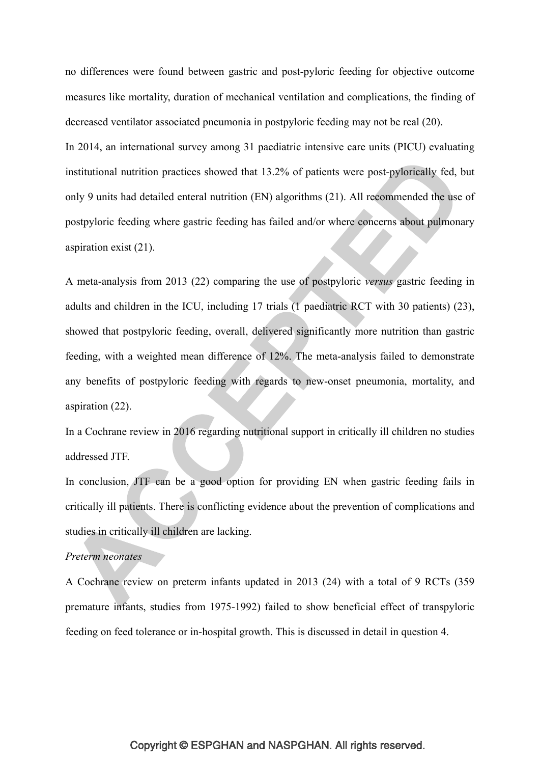no differences were found between gastric and post-pyloric feeding for objective outcome measures like mortality, duration of mechanical ventilation and complications, the finding of decreased ventilator associated pneumonia in postpyloric feeding may not be real (20).

In 2014, an international survey among 31 paediatric intensive care units (PICU) evaluating institutional nutrition practices showed that 13.2% of patients were post-pylorically fed, but only 9 units had detailed enteral nutrition (EN) algorithms (21). All recommended the use of postpyloric feeding where gastric feeding has failed and/or where concerns about pulmonary aspiration exist (21).

A meta-analysis from 2013 (22) comparing the use of postpyloric *versus* gastric feeding in adults and children in the ICU, including 17 trials (1 paediatric RCT with 30 patients) (23), showed that postpyloric feeding, overall, delivered significantly more nutrition than gastric feeding, with a weighted mean difference of 12%. The meta-analysis failed to demonstrate any benefits of postpyloric feeding with regards to new-onset pneumonia, mortality, and aspiration (22).

In a Cochrane review in 2016 regarding nutritional support in critically ill children no studies addressed JTF.

In conclusion, JTF can be a good option for providing EN when gastric feeding fails in critically ill patients. There is conflicting evidence about the prevention of complications and studies in critically ill children are lacking.

# *Preterm neonates*

A Cochrane review on preterm infants updated in 2013 (24) with a total of 9 RCTs (359 premature infants, studies from 1975-1992) failed to show beneficial effect of transpyloric feeding on feed tolerance or in-hospital growth. This is discussed in detail in question 4.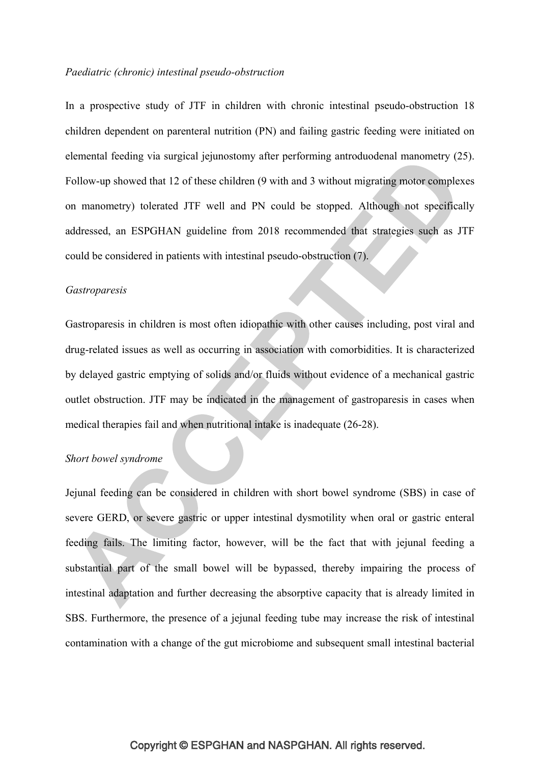#### *Paediatric (chronic) intestinal pseudo-obstruction*

In a prospective study of JTF in children with chronic intestinal pseudo-obstruction 18 children dependent on parenteral nutrition (PN) and failing gastric feeding were initiated on elemental feeding via surgical jejunostomy after performing antroduodenal manometry (25). Follow-up showed that 12 of these children (9 with and 3 without migrating motor complexes on manometry) tolerated JTF well and PN could be stopped. Although not specifically addressed, an ESPGHAN guideline from 2018 recommended that strategies such as JTF could be considered in patients with intestinal pseudo-obstruction (7).

#### *Gastroparesis*

Gastroparesis in children is most often idiopathic with other causes including, post viral and drug-related issues as well as occurring in association with comorbidities. It is characterized by delayed gastric emptying of solids and/or fluids without evidence of a mechanical gastric outlet obstruction. JTF may be indicated in the management of gastroparesis in cases when medical therapies fail and when nutritional intake is inadequate (26-28).

#### *Short bowel syndrome*

Jejunal feeding can be considered in children with short bowel syndrome (SBS) in case of severe GERD, or severe gastric or upper intestinal dysmotility when oral or gastric enteral feeding fails. The limiting factor, however, will be the fact that with jejunal feeding a substantial part of the small bowel will be bypassed, thereby impairing the process of intestinal adaptation and further decreasing the absorptive capacity that is already limited in SBS. Furthermore, the presence of a jejunal feeding tube may increase the risk of intestinal contamination with a change of the gut microbiome and subsequent small intestinal bacterial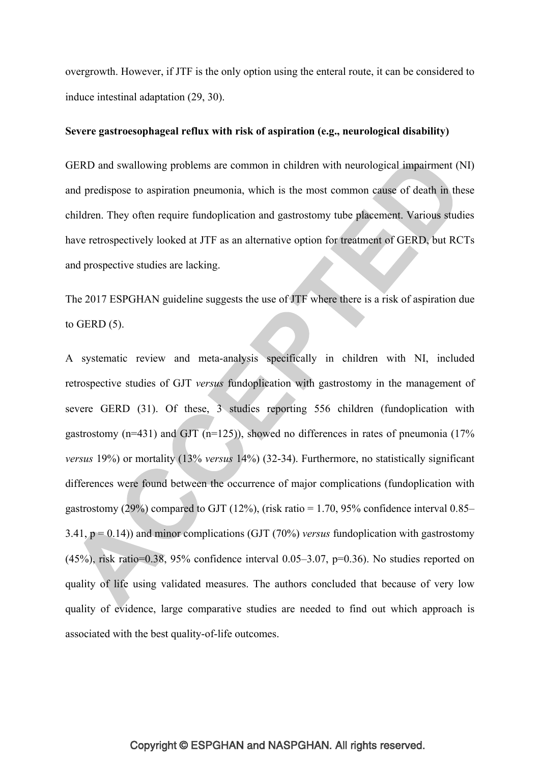overgrowth. However, if JTF is the only option using the enteral route, it can be considered to induce intestinal adaptation (29, 30).

#### **Severe gastroesophageal reflux with risk of aspiration (e.g., neurological disability)**

GERD and swallowing problems are common in children with neurological impairment (NI) and predispose to aspiration pneumonia, which is the most common cause of death in these children. They often require fundoplication and gastrostomy tube placement. Various studies have retrospectively looked at JTF as an alternative option for treatment of GERD, but RCTs and prospective studies are lacking.

The 2017 ESPGHAN guideline suggests the use of JTF where there is a risk of aspiration due to GERD (5).

A systematic review and meta-analysis specifically in children with NI, included retrospective studies of GJT *versus* fundoplication with gastrostomy in the management of severe GERD (31). Of these, 3 studies reporting 556 children (fundoplication with gastrostomy  $(n=431)$  and GJT  $(n=125)$ ), showed no differences in rates of pneumonia (17%) *versus* 19%) or mortality (13% *versus* 14%) (32-34). Furthermore, no statistically significant differences were found between the occurrence of major complications (fundoplication with gastrostomy (29%) compared to GJT (12%), (risk ratio = 1.70, 95% confidence interval  $0.85-$ 3.41, p = 0.14)) and minor complications (GJT (70%) *versus* fundoplication with gastrostomy (45%), risk ratio=0.38, 95% confidence interval 0.05–3.07, p=0.36). No studies reported on quality of life using validated measures. The authors concluded that because of very low quality of evidence, large comparative studies are needed to find out which approach is associated with the best quality-of-life outcomes.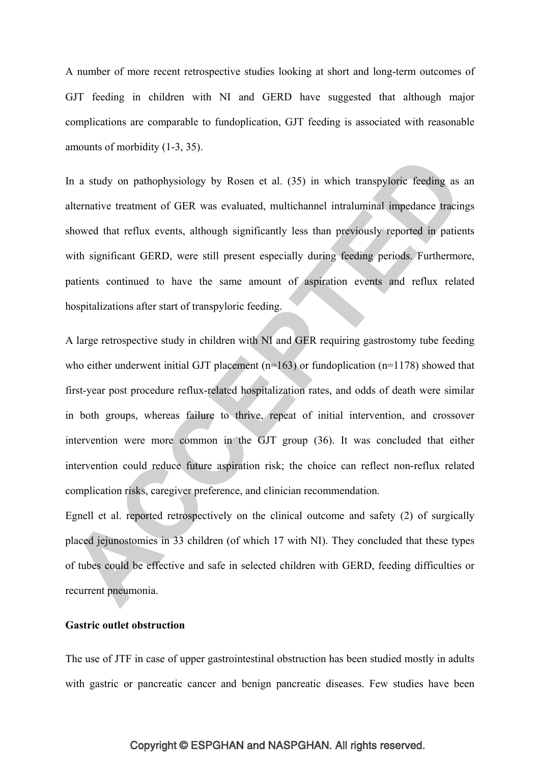A number of more recent retrospective studies looking at short and long-term outcomes of GJT feeding in children with NI and GERD have suggested that although major complications are comparable to fundoplication, GJT feeding is associated with reasonable amounts of morbidity (1-3, 35).

In a study on pathophysiology by Rosen et al. (35) in which transpyloric feeding as an alternative treatment of GER was evaluated, multichannel intraluminal impedance tracings showed that reflux events, although significantly less than previously reported in patients with significant GERD, were still present especially during feeding periods. Furthermore, patients continued to have the same amount of aspiration events and reflux related hospitalizations after start of transpyloric feeding.

A large retrospective study in children with NI and GER requiring gastrostomy tube feeding who either underwent initial GJT placement  $(n=163)$  or fundoplication  $(n=1178)$  showed that first-year post procedure reflux-related hospitalization rates, and odds of death were similar in both groups, whereas failure to thrive, repeat of initial intervention, and crossover intervention were more common in the GJT group (36). It was concluded that either intervention could reduce future aspiration risk; the choice can reflect non-reflux related complication risks, caregiver preference, and clinician recommendation.

Egnell et al. reported retrospectively on the clinical outcome and safety (2) of surgically placed jejunostomies in 33 children (of which 17 with NI). They concluded that these types of tubes could be effective and safe in selected children with GERD, feeding difficulties or recurrent pneumonia.

# **Gastric outlet obstruction**

The use of JTF in case of upper gastrointestinal obstruction has been studied mostly in adults with gastric or pancreatic cancer and benign pancreatic diseases. Few studies have been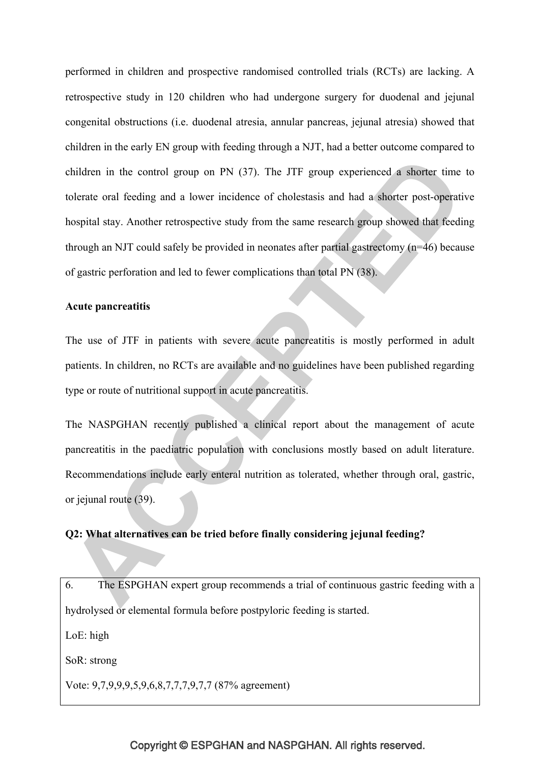performed in children and prospective randomised controlled trials (RCTs) are lacking. A retrospective study in 120 children who had undergone surgery for duodenal and jejunal congenital obstructions (i.e. duodenal atresia, annular pancreas, jejunal atresia) showed that children in the early EN group with feeding through a NJT, had a better outcome compared to children in the control group on PN (37). The JTF group experienced a shorter time to tolerate oral feeding and a lower incidence of cholestasis and had a shorter post-operative hospital stay. Another retrospective study from the same research group showed that feeding through an NJT could safely be provided in neonates after partial gastrectomy (n=46) because of gastric perforation and led to fewer complications than total PN (38).

#### **Acute pancreatitis**

The use of JTF in patients with severe acute pancreatitis is mostly performed in adult patients. In children, no RCTs are available and no guidelines have been published regarding type or route of nutritional support in acute pancreatitis.

The NASPGHAN recently published a clinical report about the management of acute pancreatitis in the paediatric population with conclusions mostly based on adult literature. Recommendations include early enteral nutrition as tolerated, whether through oral, gastric, or jejunal route (39).

# **Q2: What alternatives can be tried before finally considering jejunal feeding?**

6. The ESPGHAN expert group recommends a trial of continuous gastric feeding with a hydrolysed or elemental formula before postpyloric feeding is started. LoE: high SoR: strong Vote: 9,7,9,9,9,5,9,6,8,7,7,7,9,7,7 (87% agreement)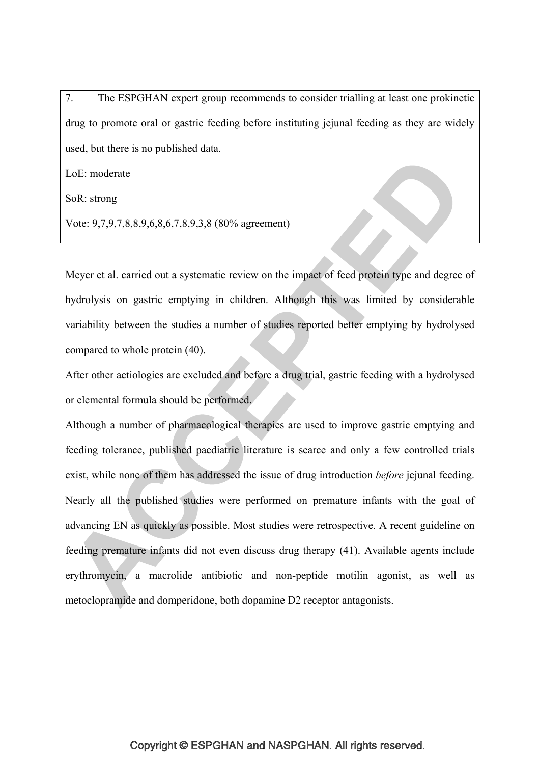7. The ESPGHAN expert group recommends to consider trialling at least one prokinetic drug to promote oral or gastric feeding before instituting jejunal feeding as they are widely used, but there is no published data.

LoE: moderate

SoR: strong

Vote: 9,7,9,7,8,8,9,6,8,6,7,8,9,3,8 (80% agreement)

Meyer et al. carried out a systematic review on the impact of feed protein type and degree of hydrolysis on gastric emptying in children. Although this was limited by considerable variability between the studies a number of studies reported better emptying by hydrolysed compared to whole protein (40).

After other aetiologies are excluded and before a drug trial, gastric feeding with a hydrolysed or elemental formula should be performed.

Although a number of pharmacological therapies are used to improve gastric emptying and feeding tolerance, published paediatric literature is scarce and only a few controlled trials exist, while none of them has addressed the issue of drug introduction *before* jejunal feeding. Nearly all the published studies were performed on premature infants with the goal of advancing EN as quickly as possible. Most studies were retrospective. A recent guideline on feeding premature infants did not even discuss drug therapy (41). Available agents include erythromycin, a macrolide antibiotic and non-peptide motilin agonist, as well as metoclopramide and domperidone, both dopamine D2 receptor antagonists.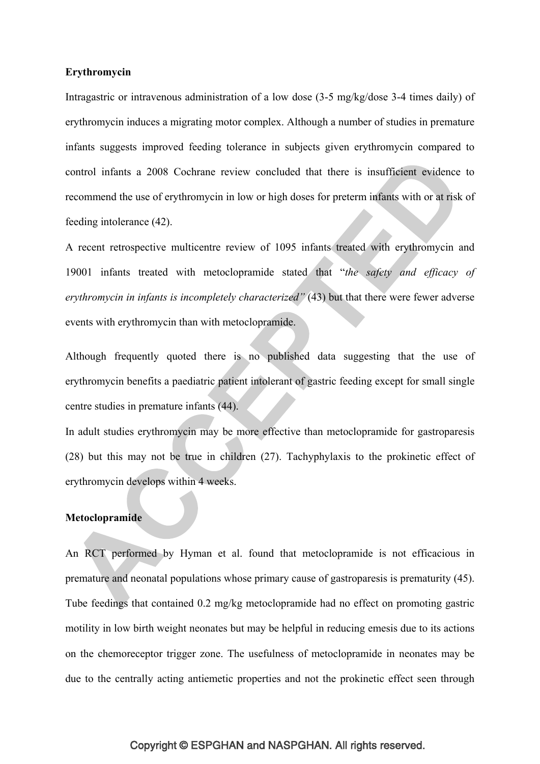#### **Erythromycin**

Intragastric or intravenous administration of a low dose (3-5 mg/kg/dose 3-4 times daily) of erythromycin induces a migrating motor complex. Although a number of studies in premature infants suggests improved feeding tolerance in subjects given erythromycin compared to control infants a 2008 Cochrane review concluded that there is insufficient evidence to recommend the use of erythromycin in low or high doses for preterm infants with or at risk of feeding intolerance (42).

A recent retrospective multicentre review of 1095 infants treated with erythromycin and 19001 infants treated with metoclopramide stated that "*the safety and efficacy of erythromycin in infants is incompletely characterized"* (43) but that there were fewer adverse events with erythromycin than with metoclopramide.

Although frequently quoted there is no published data suggesting that the use of erythromycin benefits a paediatric patient intolerant of gastric feeding except for small single centre studies in premature infants (44).

In adult studies erythromycin may be more effective than metoclopramide for gastroparesis (28) but this may not be true in children (27). Tachyphylaxis to the prokinetic effect of erythromycin develops within 4 weeks.

#### **Metoclopramide**

An RCT performed by Hyman et al. found that metoclopramide is not efficacious in premature and neonatal populations whose primary cause of gastroparesis is prematurity (45). Tube feedings that contained 0.2 mg/kg metoclopramide had no effect on promoting gastric motility in low birth weight neonates but may be helpful in reducing emesis due to its actions on the chemoreceptor trigger zone. The usefulness of metoclopramide in neonates may be due to the centrally acting antiemetic properties and not the prokinetic effect seen through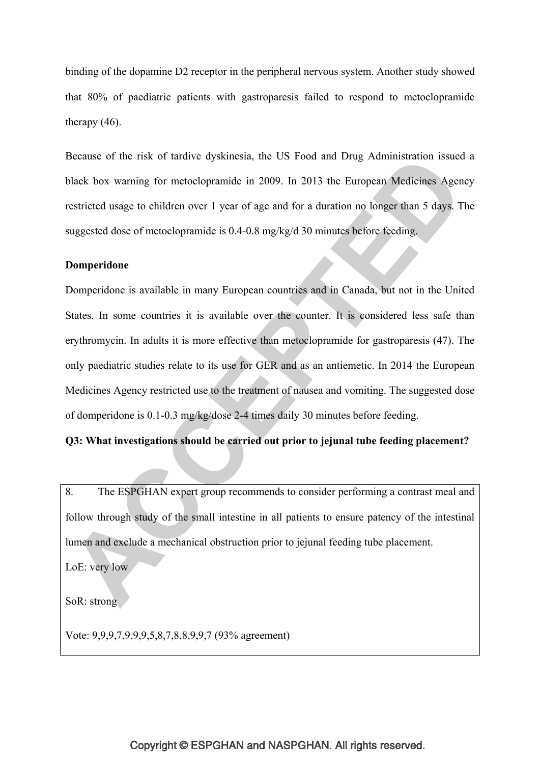binding of the dopamine D2 receptor in the peripheral nervous system. Another study showed that 80% of paediatric patients with gastroparesis failed to respond to metoclopramide therapy (46).

Because of the risk of tardive dyskinesia, the US Food and Drug Administration issued a black box warning for metoclopramide in 2009. In 2013 the European Medicines Agency restricted usage to children over 1 year of age and for a duration no longer than 5 days. The suggested dose of metoclopramide is 0.4-0.8 mg/kg/d 30 minutes before feeding.

#### **Domperidone**

Domperidone is available in many European countries and in Canada, but not in the United States. In some countries it is available over the counter. It is considered less safe than erythromycin. In adults it is more effective than metoclopramide for gastroparesis (47). The only paediatric studies relate to its use for GER and as an antiemetic. In 2014 the European Medicines Agency restricted use to the treatment of nausea and vomiting. The suggested dose of domperidone is 0.1-0.3 mg/kg/dose 2-4 times daily 30 minutes before feeding.

# **Q3: What investigations should be carried out prior to jejunal tube feeding placement?**

8. The ESPGHAN expert group recommends to consider performing a contrast meal and follow through study of the small intestine in all patients to ensure patency of the intestinal lumen and exclude a mechanical obstruction prior to jejunal feeding tube placement. LoE: very low

SoR: strong

Vote: 9,9,9,7,9,9,9,5,8,7,8,8,9,9,7 (93% agreement)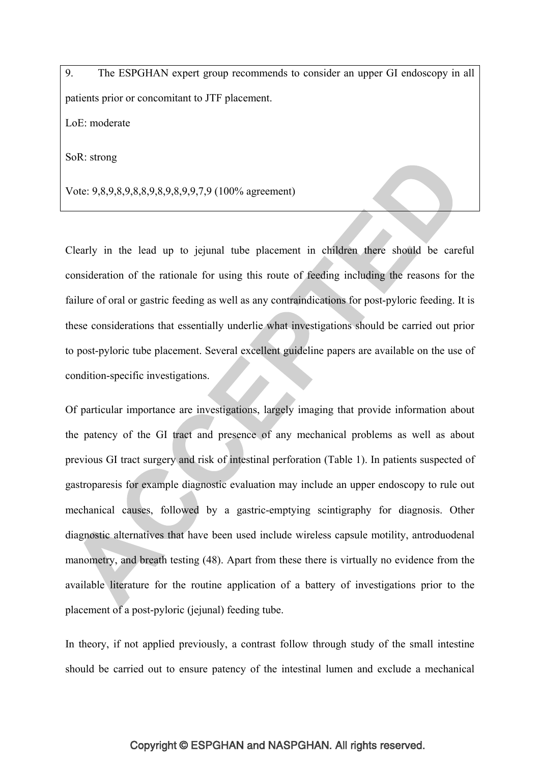9. The ESPGHAN expert group recommends to consider an upper GI endoscopy in all patients prior or concomitant to JTF placement. LoE: moderate

SoR: strong

Vote: 9,8,9,8,9,8,8,9,8,9,8,9,9,7,9 (100% agreement)

Clearly in the lead up to jejunal tube placement in children there should be careful consideration of the rationale for using this route of feeding including the reasons for the failure of oral or gastric feeding as well as any contraindications for post-pyloric feeding. It is these considerations that essentially underlie what investigations should be carried out prior to post-pyloric tube placement. Several excellent guideline papers are available on the use of condition-specific investigations.

Of particular importance are investigations, largely imaging that provide information about the patency of the GI tract and presence of any mechanical problems as well as about previous GI tract surgery and risk of intestinal perforation (Table 1). In patients suspected of gastroparesis for example diagnostic evaluation may include an upper endoscopy to rule out mechanical causes, followed by a gastric-emptying scintigraphy for diagnosis. Other diagnostic alternatives that have been used include wireless capsule motility, antroduodenal manometry, and breath testing (48). Apart from these there is virtually no evidence from the available literature for the routine application of a battery of investigations prior to the placement of a post-pyloric (jejunal) feeding tube.

In theory, if not applied previously, a contrast follow through study of the small intestine should be carried out to ensure patency of the intestinal lumen and exclude a mechanical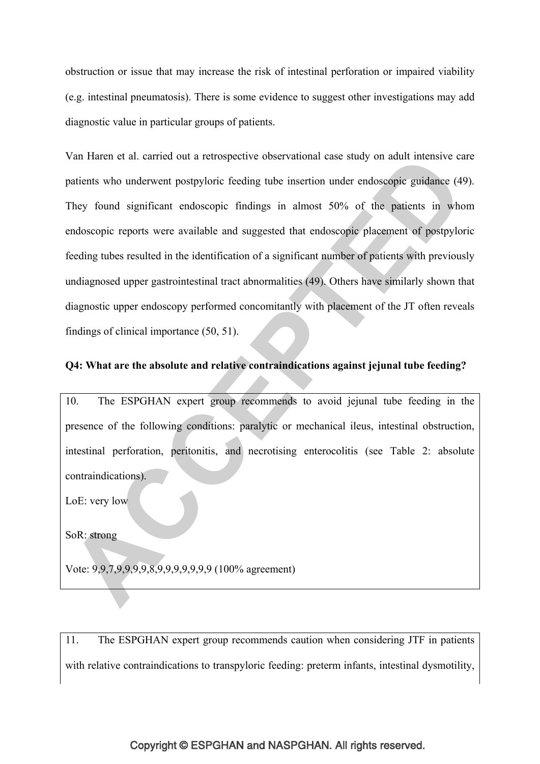obstruction or issue that may increase the risk of intestinal perforation or impaired viability (e.g. intestinal pneumatosis). There is some evidence to suggest other investigations may add diagnostic value in particular groups of patients.

Van Haren et al. carried out a retrospective observational case study on adult intensive care patients who underwent postpyloric feeding tube insertion under endoscopic guidance (49). They found significant endoscopic findings in almost 50% of the patients in whom endoscopic reports were available and suggested that endoscopic placement of postpyloric feeding tubes resulted in the identification of a significant number of patients with previously undiagnosed upper gastrointestinal tract abnormalities (49). Others have similarly shown that diagnostic upper endoscopy performed concomitantly with placement of the JT often reveals findings of clinical importance (50, 51).

# **Q4: What are the absolute and relative contraindications against jejunal tube feeding?**

10. The ESPGHAN expert group recommends to avoid jejunal tube feeding in the presence of the following conditions: paralytic or mechanical ileus, intestinal obstruction, intestinal perforation, peritonitis, and necrotising enterocolitis (see Table 2: absolute contraindications).

LoE: very low

SoR: strong

Vote: 9,9,7,9,9,9,9,8,9,9,9,9,9,9,9 (100% agreement)

11. The ESPGHAN expert group recommends caution when considering JTF in patients with relative contraindications to transpyloric feeding: preterm infants, intestinal dysmotility,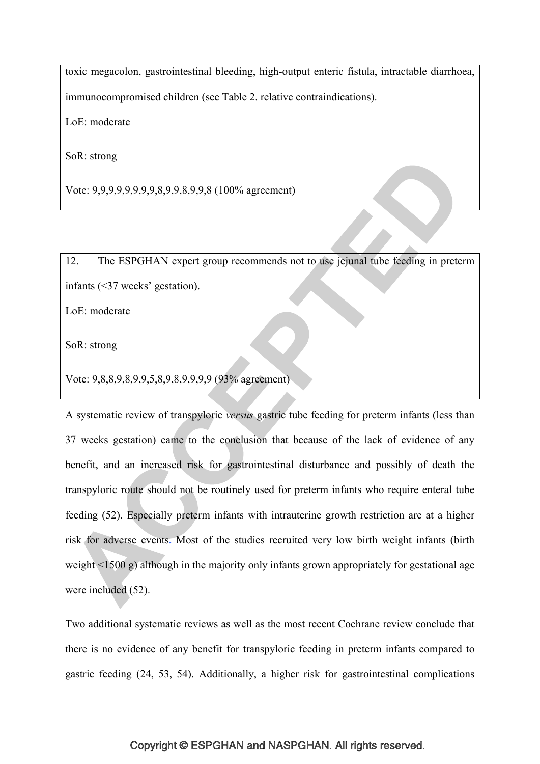toxic megacolon, gastrointestinal bleeding, high-output enteric fistula, intractable diarrhoea, immunocompromised children (see Table 2. relative contraindications).

LoE: moderate

SoR: strong

Vote: 9,9,9,9,9,9,9,9,8,9,9,8,9,9,8 (100% agreement)

12. The ESPGHAN expert group recommends not to use jejunal tube feeding in preterm infants (<37 weeks' gestation).

LoE: moderate

SoR: strong

Vote: 9,8,8,9,8,9,9,5,8,9,8,9,9,9,9 (93% agreement)

A systematic review of transpyloric *versus* gastric tube feeding for preterm infants (less than 37 weeks gestation) came to the conclusion that because of the lack of evidence of any benefit, and an increased risk for gastrointestinal disturbance and possibly of death the transpyloric route should not be routinely used for preterm infants who require enteral tube feeding (52). Especially preterm infants with intrauterine growth restriction are at a higher risk for adverse events**.** Most of the studies recruited very low birth weight infants (birth weight <1500 g) although in the majority only infants grown appropriately for gestational age were included (52).

Two additional systematic reviews as well as the most recent Cochrane review conclude that there is no evidence of any benefit for transpyloric feeding in preterm infants compared to gastric feeding (24, 53, 54). Additionally, a higher risk for gastrointestinal complications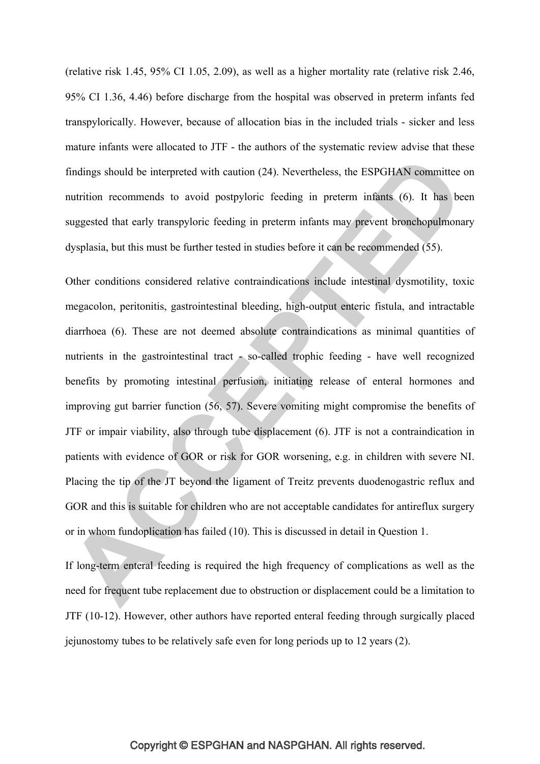(relative risk 1.45, 95% CI 1.05, 2.09), as well as a higher mortality rate (relative risk 2.46, 95% CI 1.36, 4.46) before discharge from the hospital was observed in preterm infants fed transpylorically. However, because of allocation bias in the included trials - sicker and less mature infants were allocated to JTF - the authors of the systematic review advise that these findings should be interpreted with caution (24). Nevertheless, the ESPGHAN committee on nutrition recommends to avoid postpyloric feeding in preterm infants (6). It has been suggested that early transpyloric feeding in preterm infants may prevent bronchopulmonary dysplasia, but this must be further tested in studies before it can be recommended (55).

Other conditions considered relative contraindications include intestinal dysmotility, toxic megacolon, peritonitis, gastrointestinal bleeding, high-output enteric fistula, and intractable diarrhoea (6). These are not deemed absolute contraindications as minimal quantities of nutrients in the gastrointestinal tract - so-called trophic feeding - have well recognized benefits by promoting intestinal perfusion, initiating release of enteral hormones and improving gut barrier function (56, 57). Severe vomiting might compromise the benefits of JTF or impair viability, also through tube displacement (6). JTF is not a contraindication in patients with evidence of GOR or risk for GOR worsening, e.g. in children with severe NI. Placing the tip of the JT beyond the ligament of Treitz prevents duodenogastric reflux and GOR and this is suitable for children who are not acceptable candidates for antireflux surgery or in whom fundoplication has failed (10). This is discussed in detail in Question 1.

If long-term enteral feeding is required the high frequency of complications as well as the need for frequent tube replacement due to obstruction or displacement could be a limitation to JTF (10-12). However, other authors have reported enteral feeding through surgically placed jejunostomy tubes to be relatively safe even for long periods up to 12 years (2).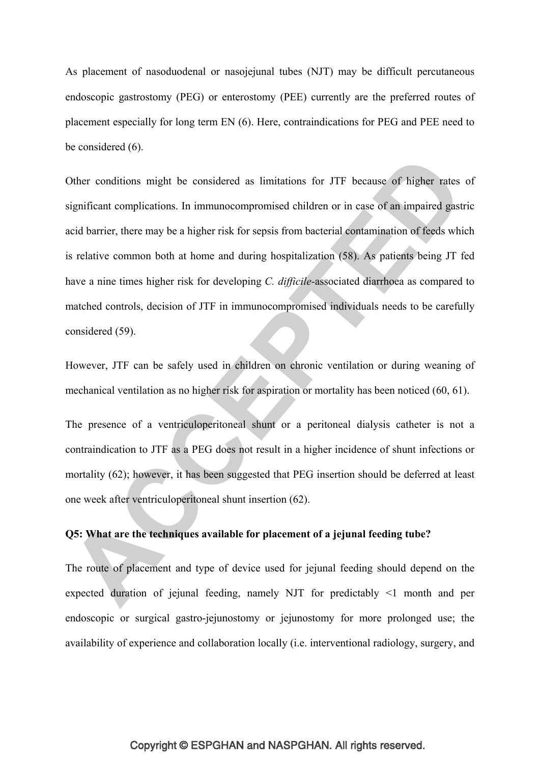As placement of nasoduodenal or nasojejunal tubes (NJT) may be difficult percutaneous endoscopic gastrostomy (PEG) or enterostomy (PEE) currently are the preferred routes of placement especially for long term EN (6). Here, contraindications for PEG and PEE need to be considered (6).

Other conditions might be considered as limitations for JTF because of higher rates of significant complications. In immunocompromised children or in case of an impaired gastric acid barrier, there may be a higher risk for sepsis from bacterial contamination of feeds which is relative common both at home and during hospitalization (58). As patients being JT fed have a nine times higher risk for developing *C. difficile-*associated diarrhoea as compared to matched controls, decision of JTF in immunocompromised individuals needs to be carefully considered (59).

However, JTF can be safely used in children on chronic ventilation or during weaning of mechanical ventilation as no higher risk for aspiration or mortality has been noticed (60, 61).

The presence of a ventriculoperitoneal shunt or a peritoneal dialysis catheter is not a contraindication to JTF as a PEG does not result in a higher incidence of shunt infections or mortality (62); however, it has been suggested that PEG insertion should be deferred at least one week after ventriculoperitoneal shunt insertion (62).

# **Q5: What are the techniques available for placement of a jejunal feeding tube?**

The route of placement and type of device used for jejunal feeding should depend on the expected duration of jejunal feeding, namely NJT for predictably <1 month and per endoscopic or surgical gastro-jejunostomy or jejunostomy for more prolonged use; the availability of experience and collaboration locally (i.e. interventional radiology, surgery, and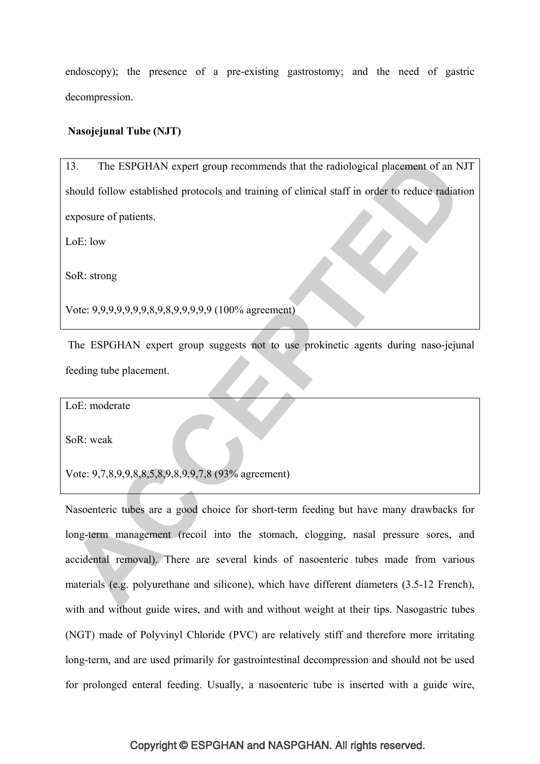endoscopy); the presence of a pre-existing gastrostomy; and the need of gastric decompression.

# **Nasojejunal Tube (NJT)**

13. The ESPGHAN expert group recommends that the radiological placement of an NJT should follow established protocols and training of clinical staff in order to reduce radiation exposure of patients.

 $LoE: low$ 

SoR: strong

Vote: 9,9,9,9,9,9,9,8,9,8,9,9,9,9,9 (100% agreement)

 The ESPGHAN expert group suggests not to use prokinetic agents during naso-jejunal feeding tube placement.

LoE: moderate

SoR: weak

Vote: 9,7,8,9,9,8,8,5,8,9,8,9,9,7,8 (93% agreement)

Nasoenteric tubes are a good choice for short-term feeding but have many drawbacks for long-term management (recoil into the stomach, clogging, nasal pressure sores, and accidental removal). There are several kinds of nasoenteric tubes made from various materials (e.g. polyurethane and silicone), which have different diameters (3.5-12 French), with and without guide wires, and with and without weight at their tips. Nasogastric tubes (NGT) made of Polyvinyl Chloride (PVC) are relatively stiff and therefore more irritating long-term, and are used primarily for gastrointestinal decompression and should not be used for prolonged enteral feeding. Usually, a nasoenteric tube is inserted with a guide wire,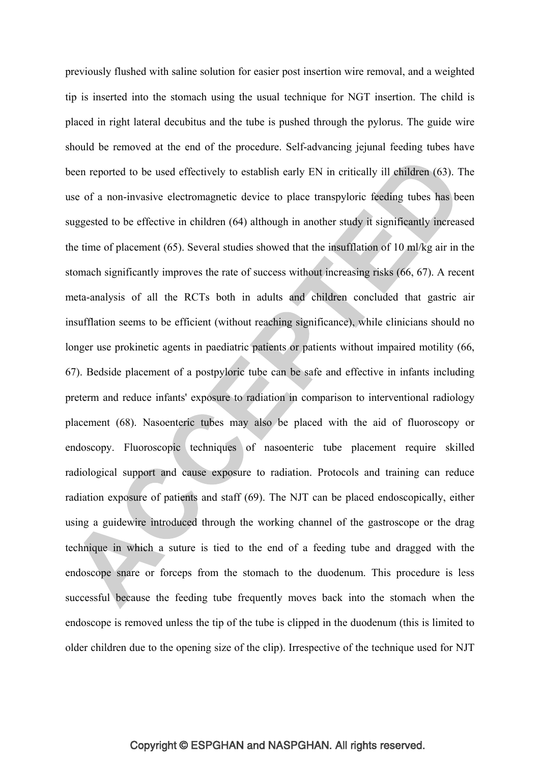previously flushed with saline solution for easier post insertion wire removal, and a weighted tip is inserted into the stomach using the usual technique for NGT insertion. The child is placed in right lateral decubitus and the tube is pushed through the pylorus. The guide wire should be removed at the end of the procedure. Self-advancing jejunal feeding tubes have been reported to be used effectively to establish early EN in critically ill children (63). The use of a non-invasive electromagnetic device to place transpyloric feeding tubes has been suggested to be effective in children (64) although in another study it significantly increased the time of placement (65). Several studies showed that the insufflation of 10 ml/kg air in the stomach significantly improves the rate of success without increasing risks (66, 67). A recent meta-analysis of all the RCTs both in adults and children concluded that gastric air insufflation seems to be efficient (without reaching significance), while clinicians should no longer use prokinetic agents in paediatric patients or patients without impaired motility (66, 67). Bedside placement of a postpyloric tube can be safe and effective in infants including preterm and reduce infants' exposure to radiation in comparison to interventional radiology placement (68). Nasoenteric tubes may also be placed with the aid of fluoroscopy or endoscopy. Fluoroscopic techniques of nasoenteric tube placement require skilled radiological support and cause exposure to radiation. Protocols and training can reduce radiation exposure of patients and staff (69). The NJT can be placed endoscopically, either using a guidewire introduced through the working channel of the gastroscope or the drag technique in which a suture is tied to the end of a feeding tube and dragged with the endoscope snare or forceps from the stomach to the duodenum. This procedure is less successful because the feeding tube frequently moves back into the stomach when the endoscope is removed unless the tip of the tube is clipped in the duodenum (this is limited to older children due to the opening size of the clip). Irrespective of the technique used for NJT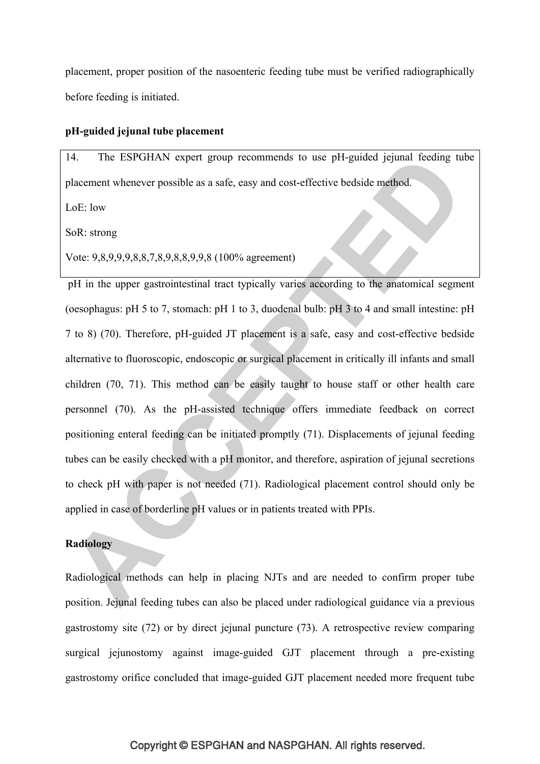placement, proper position of the nasoenteric feeding tube must be verified radiographically before feeding is initiated.

# **pH-guided jejunal tube placement**

14. The ESPGHAN expert group recommends to use pH-guided jejunal feeding tube placement whenever possible as a safe, easy and cost-effective bedside method.

LoE: low

SoR: strong

Vote: 9,8,9,9,9,8,8,7,8,9,8,8,9,9,8 (100% agreement)

 pH in the upper gastrointestinal tract typically varies according to the anatomical segment (oesophagus: pH 5 to 7, stomach: pH 1 to 3, duodenal bulb: pH 3 to 4 and small intestine: pH 7 to 8) (70). Therefore, pH-guided JT placement is a safe, easy and cost-effective bedside alternative to fluoroscopic, endoscopic or surgical placement in critically ill infants and small children (70, 71). This method can be easily taught to house staff or other health care personnel (70). As the pH-assisted technique offers immediate feedback on correct positioning enteral feeding can be initiated promptly (71). Displacements of jejunal feeding tubes can be easily checked with a pH monitor, and therefore, aspiration of jejunal secretions to check pH with paper is not needed (71). Radiological placement control should only be applied in case of borderline pH values or in patients treated with PPIs.

# **Radiology**

Radiological methods can help in placing NJTs and are needed to confirm proper tube position. Jejunal feeding tubes can also be placed under radiological guidance via a previous gastrostomy site (72) or by direct jejunal puncture (73). A retrospective review comparing surgical jejunostomy against image-guided GJT placement through a pre-existing gastrostomy orifice concluded that image-guided GJT placement needed more frequent tube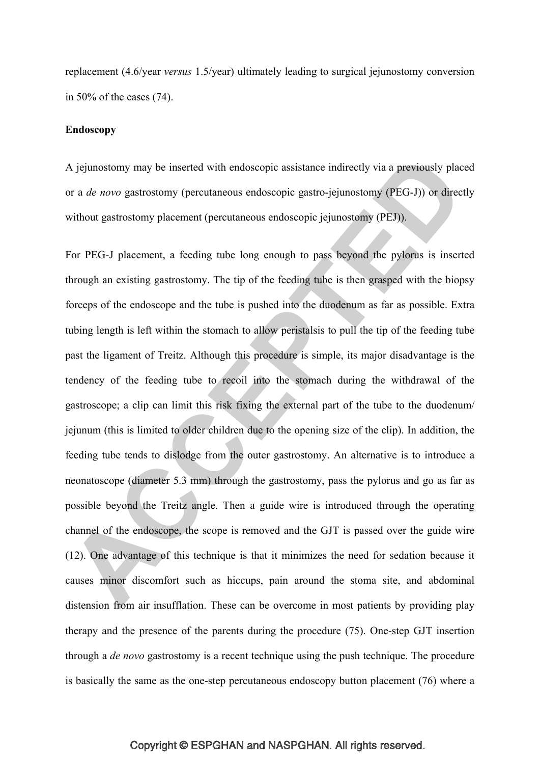replacement (4.6/year *versus* 1.5/year) ultimately leading to surgical jejunostomy conversion in 50% of the cases (74).

#### **Endoscopy**

A jejunostomy may be inserted with endoscopic assistance indirectly via a previously placed or a *de novo* gastrostomy (percutaneous endoscopic gastro-jejunostomy (PEG-J)) or directly without gastrostomy placement (percutaneous endoscopic jejunostomy (PEJ)).

For PEG-J placement, a feeding tube long enough to pass beyond the pylorus is inserted through an existing gastrostomy. The tip of the feeding tube is then grasped with the biopsy forceps of the endoscope and the tube is pushed into the duodenum as far as possible. Extra tubing length is left within the stomach to allow peristalsis to pull the tip of the feeding tube past the ligament of Treitz. Although this procedure is simple, its major disadvantage is the tendency of the feeding tube to recoil into the stomach during the withdrawal of the gastroscope; a clip can limit this risk fixing the external part of the tube to the duodenum/ jejunum (this is limited to older children due to the opening size of the clip). In addition, the feeding tube tends to dislodge from the outer gastrostomy. An alternative is to introduce a neonatoscope (diameter 5.3 mm) through the gastrostomy, pass the pylorus and go as far as possible beyond the Treitz angle. Then a guide wire is introduced through the operating channel of the endoscope, the scope is removed and the GJT is passed over the guide wire (12). One advantage of this technique is that it minimizes the need for sedation because it causes minor discomfort such as hiccups, pain around the stoma site, and abdominal distension from air insufflation. These can be overcome in most patients by providing play therapy and the presence of the parents during the procedure (75). One-step GJT insertion through a *de novo* gastrostomy is a recent technique using the push technique. The procedure is basically the same as the one-step percutaneous endoscopy button placement (76) where a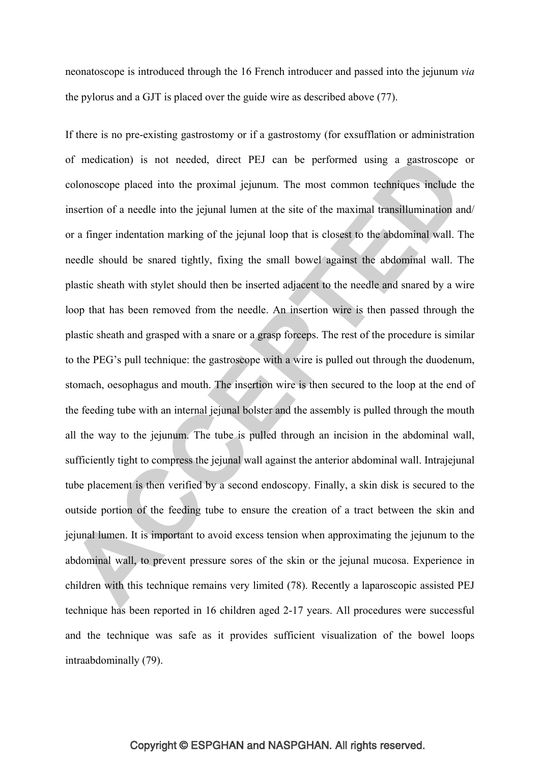neonatoscope is introduced through the 16 French introducer and passed into the jejunum *via*  the pylorus and a GJT is placed over the guide wire as described above (77).

If there is no pre-existing gastrostomy or if a gastrostomy (for exsufflation or administration of medication) is not needed, direct PEJ can be performed using a gastroscope or colonoscope placed into the proximal jejunum. The most common techniques include the insertion of a needle into the jejunal lumen at the site of the maximal transillumination and/ or a finger indentation marking of the jejunal loop that is closest to the abdominal wall. The needle should be snared tightly, fixing the small bowel against the abdominal wall. The plastic sheath with stylet should then be inserted adjacent to the needle and snared by a wire loop that has been removed from the needle. An insertion wire is then passed through the plastic sheath and grasped with a snare or a grasp forceps. The rest of the procedure is similar to the PEG's pull technique: the gastroscope with a wire is pulled out through the duodenum, stomach, oesophagus and mouth. The insertion wire is then secured to the loop at the end of the feeding tube with an internal jejunal bolster and the assembly is pulled through the mouth all the way to the jejunum. The tube is pulled through an incision in the abdominal wall, sufficiently tight to compress the jejunal wall against the anterior abdominal wall. Intrajejunal tube placement is then verified by a second endoscopy. Finally, a skin disk is secured to the outside portion of the feeding tube to ensure the creation of a tract between the skin and jejunal lumen. It is important to avoid excess tension when approximating the jejunum to the abdominal wall, to prevent pressure sores of the skin or the jejunal mucosa. Experience in children with this technique remains very limited (78). Recently a laparoscopic assisted PEJ technique has been reported in 16 children aged 2-17 years. All procedures were successful and the technique was safe as it provides sufficient visualization of the bowel loops intraabdominally (79).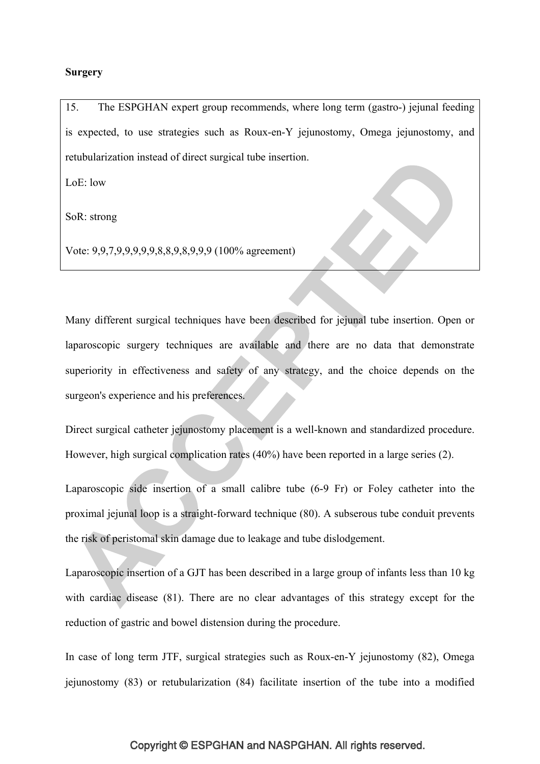#### **Surgery**

15. The ESPGHAN expert group recommends, where long term (gastro-) jejunal feeding is expected, to use strategies such as Roux-en-Y jejunostomy, Omega jejunostomy, and retubularization instead of direct surgical tube insertion.

 $LoE: low$ 

SoR: strong

Vote: 9,9,7,9,9,9,9,9,8,8,9,8,9,9,9 (100% agreement)

Many different surgical techniques have been described for jejunal tube insertion. Open or laparoscopic surgery techniques are available and there are no data that demonstrate superiority in effectiveness and safety of any strategy, and the choice depends on the surgeon's experience and his preferences.

Direct surgical catheter jejunostomy placement is a well-known and standardized procedure. However, high surgical complication rates (40%) have been reported in a large series (2).

Laparoscopic side insertion of a small calibre tube (6-9 Fr) or Foley catheter into the proximal jejunal loop is a straight-forward technique (80). A subserous tube conduit prevents the risk of peristomal skin damage due to leakage and tube dislodgement.

Laparoscopic insertion of a GJT has been described in a large group of infants less than 10 kg with cardiac disease (81). There are no clear advantages of this strategy except for the reduction of gastric and bowel distension during the procedure.

In case of long term JTF, surgical strategies such as Roux-en-Y jejunostomy (82), Omega jejunostomy (83) or retubularization (84) facilitate insertion of the tube into a modified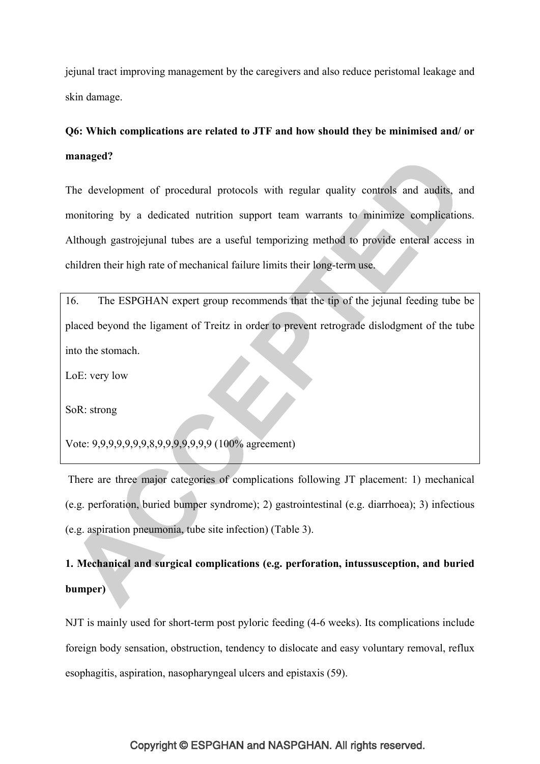jejunal tract improving management by the caregivers and also reduce peristomal leakage and skin damage.

# **Q6: Which complications are related to JTF and how should they be minimised and/ or managed?**

The development of procedural protocols with regular quality controls and audits, and monitoring by a dedicated nutrition support team warrants to minimize complications. Although gastrojejunal tubes are a useful temporizing method to provide enteral access in children their high rate of mechanical failure limits their long-term use.

16. The ESPGHAN expert group recommends that the tip of the jejunal feeding tube be placed beyond the ligament of Treitz in order to prevent retrograde dislodgment of the tube into the stomach.

LoE: very low

SoR: strong

Vote: 9,9,9,9,9,9,9,8,9,9,9,9,9,9,9 (100% agreement)

 There are three major categories of complications following JT placement: 1) mechanical (e.g. perforation, buried bumper syndrome); 2) gastrointestinal (e.g. diarrhoea); 3) infectious (e.g. aspiration pneumonia, tube site infection) (Table 3).

# **1. Mechanical and surgical complications (e.g. perforation, intussusception, and buried bumper)**

NJT is mainly used for short-term post pyloric feeding (4-6 weeks). Its complications include foreign body sensation, obstruction, tendency to dislocate and easy voluntary removal, reflux esophagitis, aspiration, nasopharyngeal ulcers and epistaxis (59).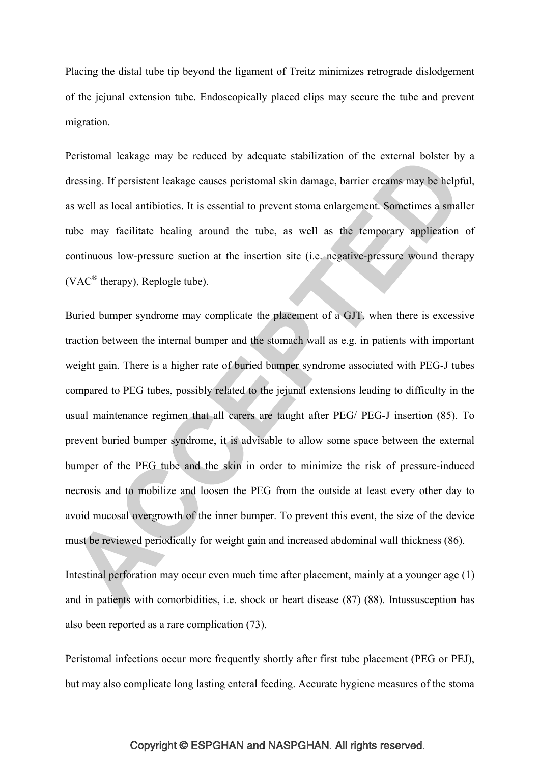Placing the distal tube tip beyond the ligament of Treitz minimizes retrograde dislodgement of the jejunal extension tube. Endoscopically placed clips may secure the tube and prevent migration.

Peristomal leakage may be reduced by adequate stabilization of the external bolster by a dressing. If persistent leakage causes peristomal skin damage, barrier creams may be helpful, as well as local antibiotics. It is essential to prevent stoma enlargement. Sometimes a smaller tube may facilitate healing around the tube, as well as the temporary application of continuous low-pressure suction at the insertion site (i.e. negative-pressure wound therapy (VAC® therapy), Replogle tube).

Buried bumper syndrome may complicate the placement of a GJT, when there is excessive traction between the internal bumper and the stomach wall as e.g. in patients with important weight gain. There is a higher rate of buried bumper syndrome associated with PEG-J tubes compared to PEG tubes, possibly related to the jejunal extensions leading to difficulty in the usual maintenance regimen that all carers are taught after PEG/ PEG-J insertion (85). To prevent buried bumper syndrome, it is advisable to allow some space between the external bumper of the PEG tube and the skin in order to minimize the risk of pressure-induced necrosis and to mobilize and loosen the PEG from the outside at least every other day to avoid mucosal overgrowth of the inner bumper. To prevent this event, the size of the device must be reviewed periodically for weight gain and increased abdominal wall thickness (86).

Intestinal perforation may occur even much time after placement, mainly at a younger age (1) and in patients with comorbidities, i.e. shock or heart disease (87) (88). Intussusception has also been reported as a rare complication (73).

Peristomal infections occur more frequently shortly after first tube placement (PEG or PEJ), but may also complicate long lasting enteral feeding. Accurate hygiene measures of the stoma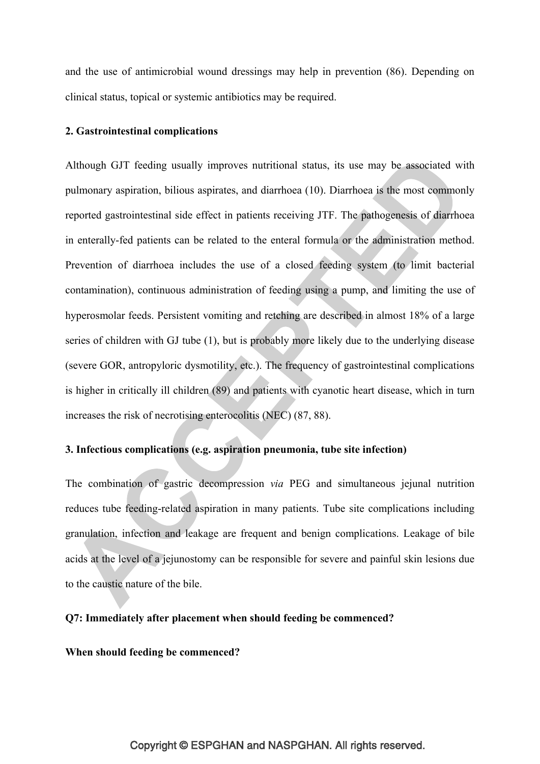and the use of antimicrobial wound dressings may help in prevention (86). Depending on clinical status, topical or systemic antibiotics may be required.

#### **2. Gastrointestinal complications**

Although GJT feeding usually improves nutritional status, its use may be associated with pulmonary aspiration, bilious aspirates, and diarrhoea (10). Diarrhoea is the most commonly reported gastrointestinal side effect in patients receiving JTF. The pathogenesis of diarrhoea in enterally-fed patients can be related to the enteral formula or the administration method. Prevention of diarrhoea includes the use of a closed feeding system (to limit bacterial contamination), continuous administration of feeding using a pump, and limiting the use of hyperosmolar feeds. Persistent vomiting and retching are described in almost 18% of a large series of children with GJ tube (1), but is probably more likely due to the underlying disease (severe GOR, antropyloric dysmotility, etc.). The frequency of gastrointestinal complications is higher in critically ill children (89) and patients with cyanotic heart disease, which in turn increases the risk of necrotising enterocolitis (NEC) (87, 88).

# **3. Infectious complications (e.g. aspiration pneumonia, tube site infection)**

The combination of gastric decompression *via* PEG and simultaneous jejunal nutrition reduces tube feeding-related aspiration in many patients. Tube site complications including granulation, infection and leakage are frequent and benign complications. Leakage of bile acids at the level of a jejunostomy can be responsible for severe and painful skin lesions due to the caustic nature of the bile.

#### **Q7: Immediately after placement when should feeding be commenced?**

**When should feeding be commenced?**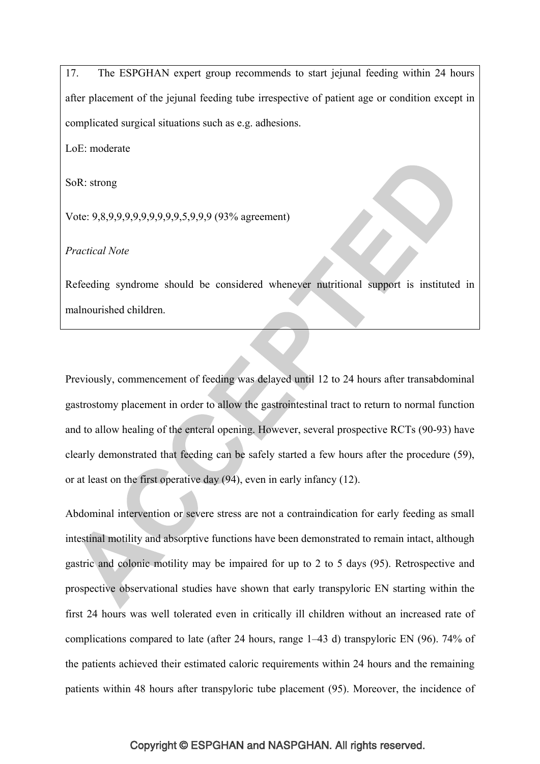17. The ESPGHAN expert group recommends to start jejunal feeding within 24 hours after placement of the jejunal feeding tube irrespective of patient age or condition except in complicated surgical situations such as e.g. adhesions.

LoE: moderate

SoR: strong

Vote: 9,8,9,9,9,9,9,9,9,9,9,5,9,9,9 (93% agreement)

*Practical Note*

Refeeding syndrome should be considered whenever nutritional support is instituted in malnourished children.

Previously, commencement of feeding was delayed until 12 to 24 hours after transabdominal gastrostomy placement in order to allow the gastrointestinal tract to return to normal function and to allow healing of the enteral opening. However, several prospective RCTs (90-93) have clearly demonstrated that feeding can be safely started a few hours after the procedure (59), or at least on the first operative day (94), even in early infancy (12).

Abdominal intervention or severe stress are not a contraindication for early feeding as small intestinal motility and absorptive functions have been demonstrated to remain intact, although gastric and colonic motility may be impaired for up to 2 to 5 days (95). Retrospective and prospective observational studies have shown that early transpyloric EN starting within the first 24 hours was well tolerated even in critically ill children without an increased rate of complications compared to late (after 24 hours, range 1–43 d) transpyloric EN (96). 74% of the patients achieved their estimated caloric requirements within 24 hours and the remaining patients within 48 hours after transpyloric tube placement (95). Moreover, the incidence of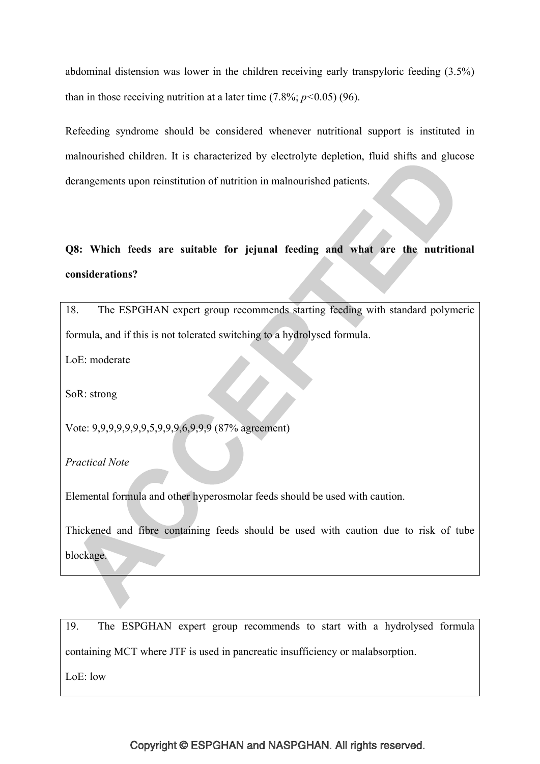abdominal distension was lower in the children receiving early transpyloric feeding (3.5%) than in those receiving nutrition at a later time  $(7.8\%; p<0.05)$  (96).

Refeeding syndrome should be considered whenever nutritional support is instituted in malnourished children. It is characterized by electrolyte depletion, fluid shifts and glucose derangements upon reinstitution of nutrition in malnourished patients.

# **Q8: Which feeds are suitable for jejunal feeding and what are the nutritional considerations?**

18. The ESPGHAN expert group recommends starting feeding with standard polymeric formula, and if this is not tolerated switching to a hydrolysed formula.

LoE: moderate

SoR: strong

Vote: 9,9,9,9,9,9,9,5,9,9,9,6,9,9,9 (87% agreement)

*Practical Note*

Elemental formula and other hyperosmolar feeds should be used with caution.

Thickened and fibre containing feeds should be used with caution due to risk of tube blockage.

19. The ESPGHAN expert group recommends to start with a hydrolysed formula containing MCT where JTF is used in pancreatic insufficiency or malabsorption.

LoE: low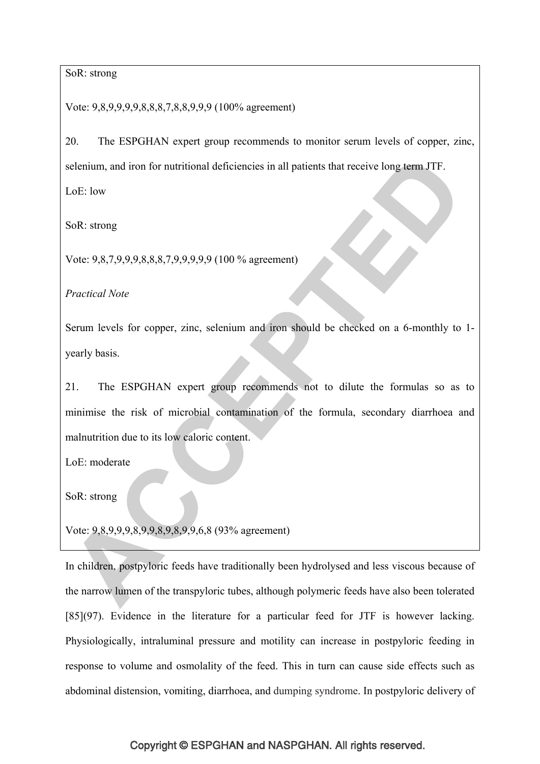## SoR: strong

Vote: 9,8,9,9,9,9,8,8,8,7,8,8,9,9,9 (100% agreement)

20. The ESPGHAN expert group recommends to monitor serum levels of copper, zinc, selenium, and iron for nutritional deficiencies in all patients that receive long term JTF.

LoE: low

SoR: strong

Vote: 9,8,7,9,9,9,8,8,8,7,9,9,9,9,9 (100 % agreement)

*Practical Note* 

Serum levels for copper, zinc, selenium and iron should be checked on a 6-monthly to 1 yearly basis.

21. The ESPGHAN expert group recommends not to dilute the formulas so as to minimise the risk of microbial contamination of the formula, secondary diarrhoea and malnutrition due to its low caloric content.

LoE: moderate

SoR: strong

Vote: 9,8,9,9,9,8,9,9,8,9,8,9,9,6,8 (93% agreement)

In children, postpyloric feeds have traditionally been hydrolysed and less viscous because of the narrow lumen of the transpyloric tubes, although polymeric feeds have also been tolerated [85](97). Evidence in the literature for a particular feed for JTF is however lacking. Physiologically, intraluminal pressure and motility can increase in postpyloric feeding in response to volume and osmolality of the feed. This in turn can cause side effects such as abdominal distension, vomiting, diarrhoea, and dumping syndrome. In postpyloric delivery of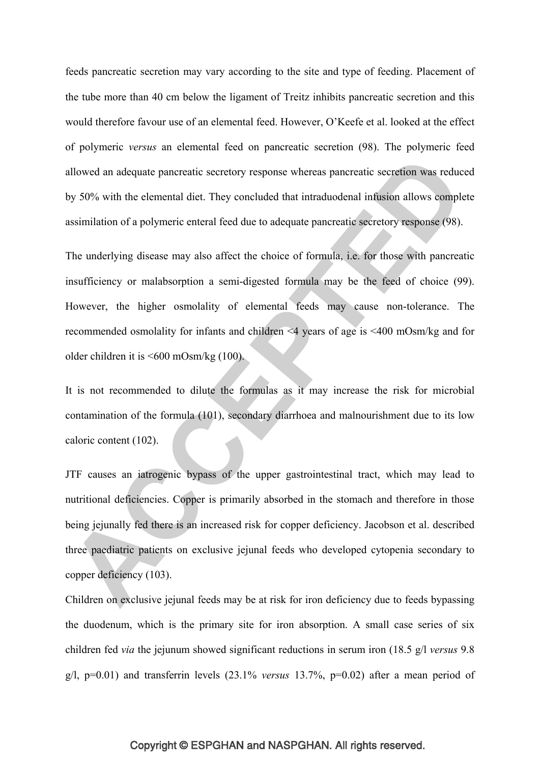feeds pancreatic secretion may vary according to the site and type of feeding. Placement of the tube more than 40 cm below the ligament of Treitz inhibits pancreatic secretion and this would therefore favour use of an elemental feed. However, O'Keefe et al. looked at the effect of polymeric *versus* an elemental feed on pancreatic secretion (98). The polymeric feed allowed an adequate pancreatic secretory response whereas pancreatic secretion was reduced by 50% with the elemental diet. They concluded that intraduodenal infusion allows complete assimilation of a polymeric enteral feed due to adequate pancreatic secretory response (98).

The underlying disease may also affect the choice of formula, i.e. for those with pancreatic insufficiency or malabsorption a semi-digested formula may be the feed of choice (99). However, the higher osmolality of elemental feeds may cause non-tolerance. The recommended osmolality for infants and children <4 years of age is <400 mOsm/kg and for older children it is <600 mOsm/kg (100).

It is not recommended to dilute the formulas as it may increase the risk for microbial contamination of the formula (101), secondary diarrhoea and malnourishment due to its low caloric content (102).

JTF causes an iatrogenic bypass of the upper gastrointestinal tract, which may lead to nutritional deficiencies. Copper is primarily absorbed in the stomach and therefore in those being jejunally fed there is an increased risk for copper deficiency. Jacobson et al. described three paediatric patients on exclusive jejunal feeds who developed cytopenia secondary to copper deficiency (103).

Children on exclusive jejunal feeds may be at risk for iron deficiency due to feeds bypassing the duodenum, which is the primary site for iron absorption. A small case series of six children fed *via* the jejunum showed significant reductions in serum iron (18.5 g/l *versus* 9.8 g/l, p=0.01) and transferrin levels (23.1% *versus* 13.7%, p=0.02) after a mean period of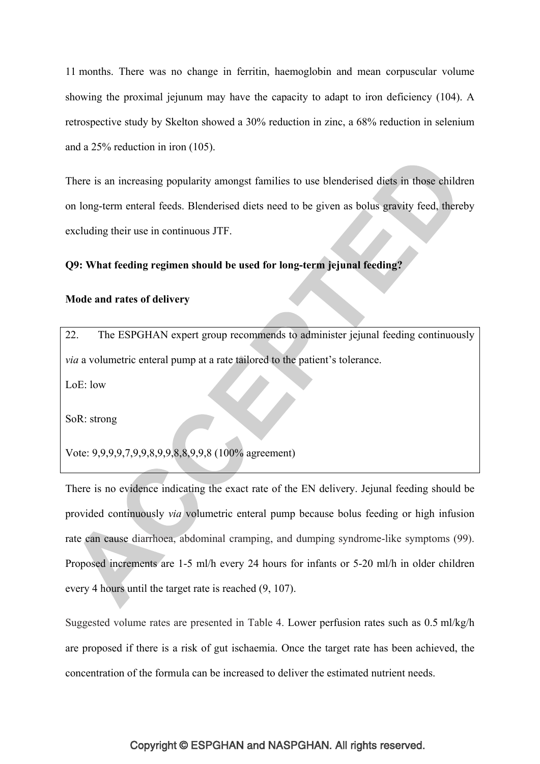11 months. There was no change in ferritin, haemoglobin and mean corpuscular volume showing the proximal jejunum may have the capacity to adapt to iron deficiency (104). A retrospective study by Skelton showed a 30% reduction in zinc, a 68% reduction in selenium and a 25% reduction in iron (105).

There is an increasing popularity amongst families to use blenderised diets in those children on long-term enteral feeds. Blenderised diets need to be given as bolus gravity feed, thereby excluding their use in continuous JTF.

# **Q9: What feeding regimen should be used for long-term jejunal feeding?**

### **Mode and rates of delivery**

22. The ESPGHAN expert group recommends to administer jejunal feeding continuously *via* a volumetric enteral pump at a rate tailored to the patient's tolerance.

 $LoE: low$ 

SoR: strong

Vote: 9,9,9,9,7,9,9,8,9,9,8,8,9,9,8 (100% agreement)

There is no evidence indicating the exact rate of the EN delivery. Jejunal feeding should be provided continuously *via* volumetric enteral pump because bolus feeding or high infusion rate can cause diarrhoea, abdominal cramping, and dumping syndrome-like symptoms (99). Proposed increments are 1-5 ml/h every 24 hours for infants or 5-20 ml/h in older children every 4 hours until the target rate is reached (9, 107).

Suggested volume rates are presented in Table 4. Lower perfusion rates such as 0.5 ml/kg/h are proposed if there is a risk of gut ischaemia. Once the target rate has been achieved, the concentration of the formula can be increased to deliver the estimated nutrient needs.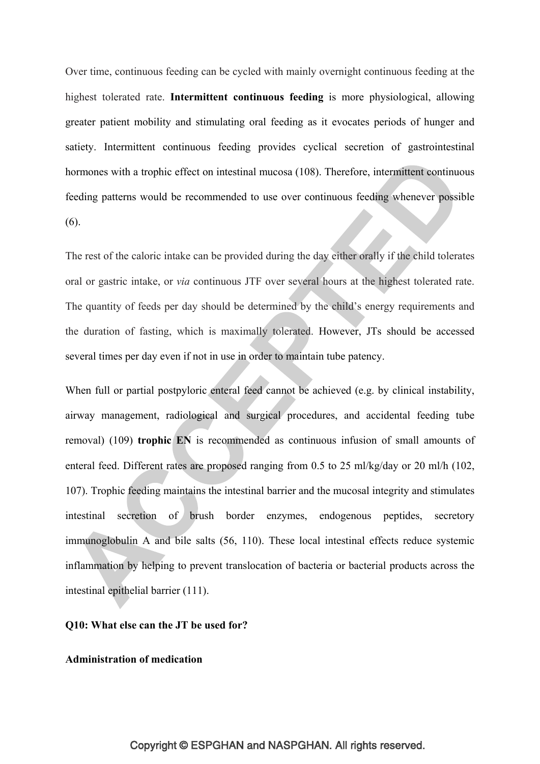Over time, continuous feeding can be cycled with mainly overnight continuous feeding at the highest tolerated rate. **Intermittent continuous feeding** is more physiological, allowing greater patient mobility and stimulating oral feeding as it evocates periods of hunger and satiety. Intermittent continuous feeding provides cyclical secretion of gastrointestinal hormones with a trophic effect on intestinal mucosa (108). Therefore, intermittent continuous feeding patterns would be recommended to use over continuous feeding whenever possible (6).

The rest of the caloric intake can be provided during the day either orally if the child tolerates oral or gastric intake, or *via* continuous JTF over several hours at the highest tolerated rate. The quantity of feeds per day should be determined by the child's energy requirements and the duration of fasting, which is maximally tolerated. However, JTs should be accessed several times per day even if not in use in order to maintain tube patency.

When full or partial postpyloric enteral feed cannot be achieved (e.g. by clinical instability, airway management, radiological and surgical procedures, and accidental feeding tube removal) (109) **trophic EN** is recommended as continuous infusion of small amounts of enteral feed. Different rates are proposed ranging from 0.5 to 25 ml/kg/day or 20 ml/h (102, 107). Trophic feeding maintains the intestinal barrier and the mucosal integrity and stimulates intestinal secretion of brush border enzymes, endogenous peptides, secretory immunoglobulin A and bile salts (56, 110). These local intestinal effects reduce systemic inflammation by helping to prevent translocation of bacteria or bacterial products across the intestinal epithelial barrier (111).

# **Q10: What else can the JT be used for?**

### **Administration of medication**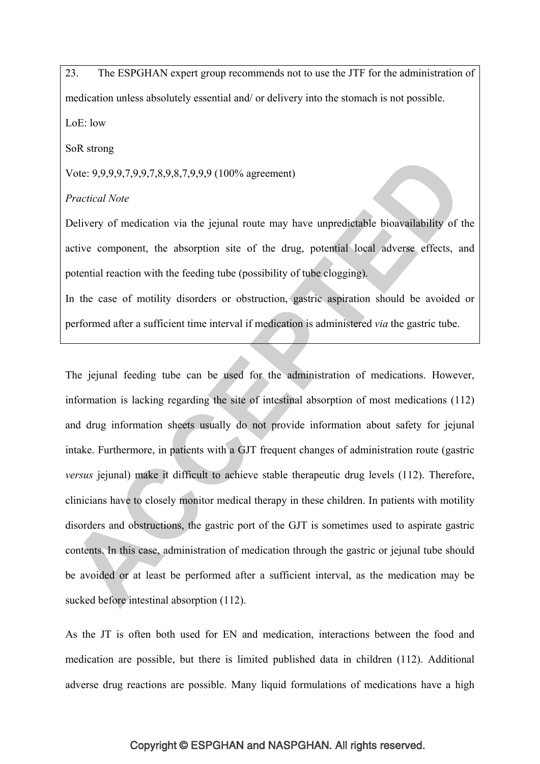23. The ESPGHAN expert group recommends not to use the JTF for the administration of medication unless absolutely essential and/ or delivery into the stomach is not possible. LoE: low

SoR strong

Vote: 9,9,9,9,7,9,9,7,8,9,8,7,9,9,9 (100% agreement)

### *Practical Note*

Delivery of medication via the jejunal route may have unpredictable bioavailability of the active component, the absorption site of the drug, potential local adverse effects, and potential reaction with the feeding tube (possibility of tube clogging).

In the case of motility disorders or obstruction, gastric aspiration should be avoided or performed after a sufficient time interval if medication is administered *via* the gastric tube.

The jejunal feeding tube can be used for the administration of medications. However, information is lacking regarding the site of intestinal absorption of most medications (112) and drug information sheets usually do not provide information about safety for jejunal intake. Furthermore, in patients with a GJT frequent changes of administration route (gastric *versus* jejunal) make it difficult to achieve stable therapeutic drug levels (112). Therefore, clinicians have to closely monitor medical therapy in these children. In patients with motility disorders and obstructions, the gastric port of the GJT is sometimes used to aspirate gastric contents. In this case, administration of medication through the gastric or jejunal tube should be avoided or at least be performed after a sufficient interval, as the medication may be sucked before intestinal absorption (112).

As the JT is often both used for EN and medication, interactions between the food and medication are possible, but there is limited published data in children (112). Additional adverse drug reactions are possible. Many liquid formulations of medications have a high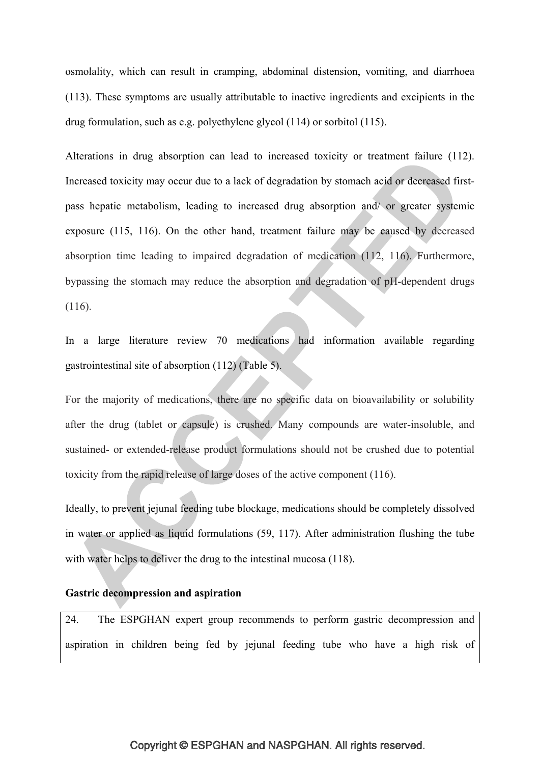osmolality, which can result in cramping, abdominal distension, vomiting, and diarrhoea (113). These symptoms are usually attributable to inactive ingredients and excipients in the drug formulation, such as e.g. polyethylene glycol (114) or sorbitol (115).

Alterations in drug absorption can lead to increased toxicity or treatment failure (112). Increased toxicity may occur due to a lack of degradation by stomach acid or decreased firstpass hepatic metabolism, leading to increased drug absorption and/ or greater systemic exposure (115, 116). On the other hand, treatment failure may be caused by decreased absorption time leading to impaired degradation of medication (112, 116). Furthermore, bypassing the stomach may reduce the absorption and degradation of pH-dependent drugs (116).

In a large literature review 70 medications had information available regarding gastrointestinal site of absorption (112) (Table 5).

For the majority of medications, there are no specific data on bioavailability or solubility after the drug (tablet or capsule) is crushed. Many compounds are water-insoluble, and sustained- or extended-release product formulations should not be crushed due to potential toxicity from the rapid release of large doses of the active component (116).

Ideally, to prevent jejunal feeding tube blockage, medications should be completely dissolved in water or applied as liquid formulations (59, 117). After administration flushing the tube with water helps to deliver the drug to the intestinal mucosa (118).

### **Gastric decompression and aspiration**

24. The ESPGHAN expert group recommends to perform gastric decompression and aspiration in children being fed by jejunal feeding tube who have a high risk of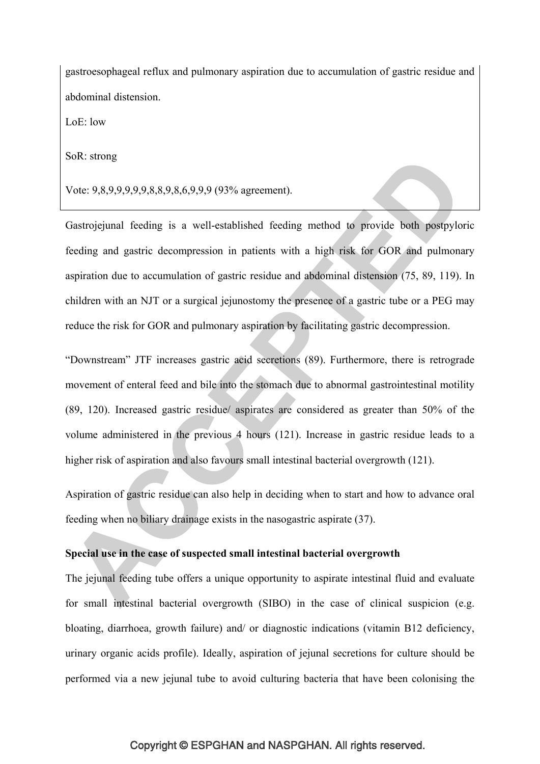gastroesophageal reflux and pulmonary aspiration due to accumulation of gastric residue and abdominal distension.

LoE: low

SoR: strong

Vote: 9,8,9,9,9,9,9,8,8,9,8,6,9,9,9 (93% agreement).

Gastrojejunal feeding is a well-established feeding method to provide both postpyloric feeding and gastric decompression in patients with a high risk for GOR and pulmonary aspiration due to accumulation of gastric residue and abdominal distension (75, 89, 119). In children with an NJT or a surgical jejunostomy the presence of a gastric tube or a PEG may reduce the risk for GOR and pulmonary aspiration by facilitating gastric decompression.

"Downstream" JTF increases gastric acid secretions (89). Furthermore, there is retrograde movement of enteral feed and bile into the stomach due to abnormal gastrointestinal motility (89, 120). Increased gastric residue/ aspirates are considered as greater than 50% of the volume administered in the previous 4 hours (121). Increase in gastric residue leads to a higher risk of aspiration and also favours small intestinal bacterial overgrowth (121).

Aspiration of gastric residue can also help in deciding when to start and how to advance oral feeding when no biliary drainage exists in the nasogastric aspirate (37).

# **Special use in the case of suspected small intestinal bacterial overgrowth**

The jejunal feeding tube offers a unique opportunity to aspirate intestinal fluid and evaluate for small intestinal bacterial overgrowth (SIBO) in the case of clinical suspicion (e.g. bloating, diarrhoea, growth failure) and/ or diagnostic indications (vitamin B12 deficiency, urinary organic acids profile). Ideally, aspiration of jejunal secretions for culture should be performed via a new jejunal tube to avoid culturing bacteria that have been colonising the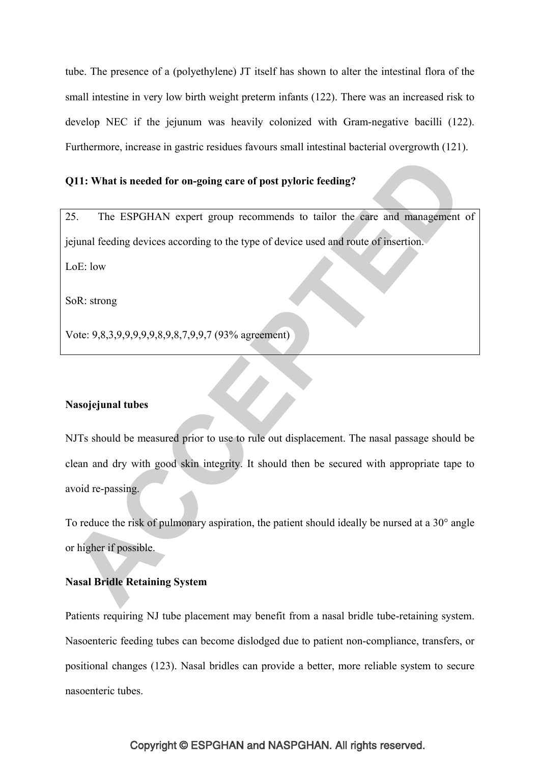tube. The presence of a (polyethylene) JT itself has shown to alter the intestinal flora of the small intestine in very low birth weight preterm infants (122). There was an increased risk to develop NEC if the jejunum was heavily colonized with Gram-negative bacilli (122). Furthermore, increase in gastric residues favours small intestinal bacterial overgrowth (121).

### **Q11: What is needed for on-going care of post pyloric feeding?**

25. The ESPGHAN expert group recommends to tailor the care and management of jejunal feeding devices according to the type of device used and route of insertion.

LoE: low

SoR: strong

Vote: 9,8,3,9,9,9,9,9,8,9,8,7,9,9,7 (93% agreement)

### **Nasojejunal tubes**

NJTs should be measured prior to use to rule out displacement. The nasal passage should be clean and dry with good skin integrity. It should then be secured with appropriate tape to avoid re-passing.

To reduce the risk of pulmonary aspiration, the patient should ideally be nursed at a 30° angle or higher if possible.

# **Nasal Bridle Retaining System**

Patients requiring NJ tube placement may benefit from a nasal bridle tube-retaining system. Nasoenteric feeding tubes can become dislodged due to patient non-compliance, transfers, or positional changes (123). Nasal bridles can provide a better, more reliable system to secure nasoenteric tubes.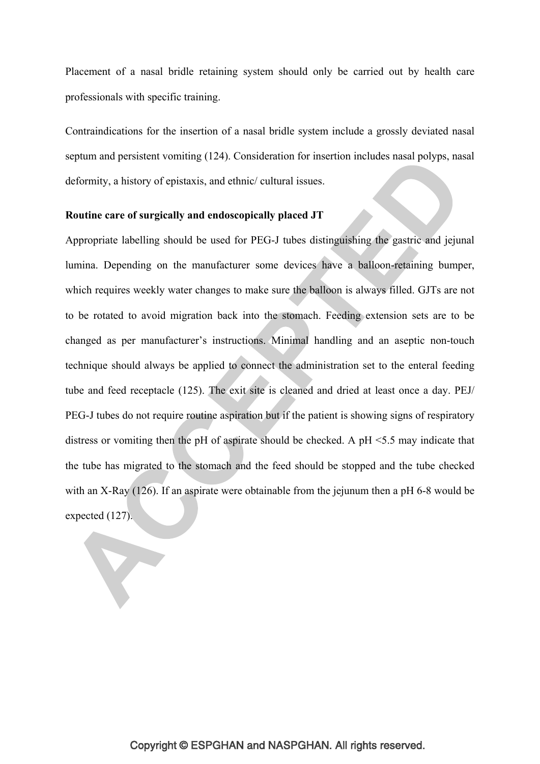Placement of a nasal bridle retaining system should only be carried out by health care professionals with specific training.

Contraindications for the insertion of a nasal bridle system include a grossly deviated nasal septum and persistent vomiting (124). Consideration for insertion includes nasal polyps, nasal deformity, a history of epistaxis, and ethnic/ cultural issues.

# **Routine care of surgically and endoscopically placed JT**

Appropriate labelling should be used for PEG-J tubes distinguishing the gastric and jejunal lumina. Depending on the manufacturer some devices have a balloon-retaining bumper, which requires weekly water changes to make sure the balloon is always filled. GJTs are not to be rotated to avoid migration back into the stomach. Feeding extension sets are to be changed as per manufacturer's instructions. Minimal handling and an aseptic non-touch technique should always be applied to connect the administration set to the enteral feeding tube and feed receptacle (125). The exit site is cleaned and dried at least once a day. PEJ/ PEG-J tubes do not require routine aspiration but if the patient is showing signs of respiratory distress or vomiting then the pH of aspirate should be checked. A pH <5.5 may indicate that the tube has migrated to the stomach and the feed should be stopped and the tube checked with an X-Ray (126). If an aspirate were obtainable from the jejunum then a pH 6-8 would be expected (127).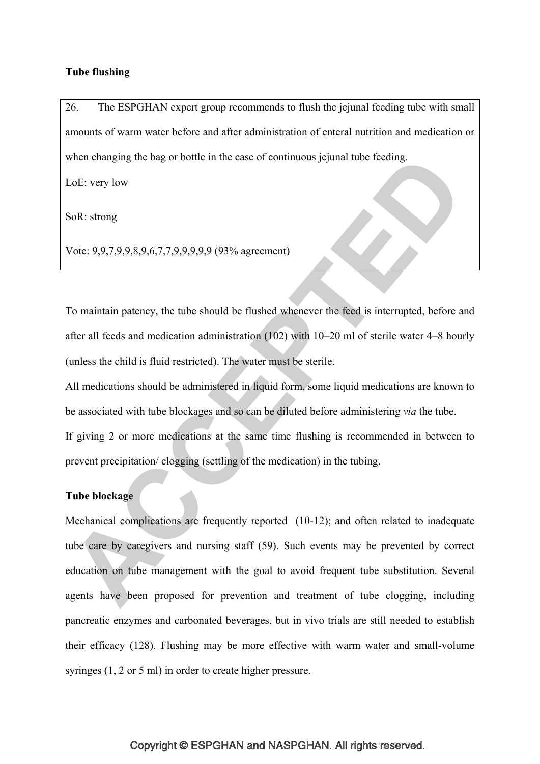### **Tube flushing**

26. The ESPGHAN expert group recommends to flush the jejunal feeding tube with small amounts of warm water before and after administration of enteral nutrition and medication or when changing the bag or bottle in the case of continuous jejunal tube feeding.

LoE: very low

SoR: strong

Vote: 9,9,7,9,9,8,9,6,7,7,9,9,9,9,9 (93% agreement)

To maintain patency, the tube should be flushed whenever the feed is interrupted, before and after all feeds and medication administration (102) with 10–20 ml of sterile water 4–8 hourly (unless the child is fluid restricted). The water must be sterile.

All medications should be administered in liquid form, some liquid medications are known to be associated with tube blockages and so can be diluted before administering *via* the tube. If giving 2 or more medications at the same time flushing is recommended in between to prevent precipitation/ clogging (settling of the medication) in the tubing.

# **Tube blockage**

Mechanical complications are frequently reported (10-12); and often related to inadequate tube care by caregivers and nursing staff (59). Such events may be prevented by correct education on tube management with the goal to avoid frequent tube substitution. Several agents have been proposed for prevention and treatment of tube clogging, including pancreatic enzymes and carbonated beverages, but in vivo trials are still needed to establish their efficacy (128). Flushing may be more effective with warm water and small-volume syringes (1, 2 or 5 ml) in order to create higher pressure.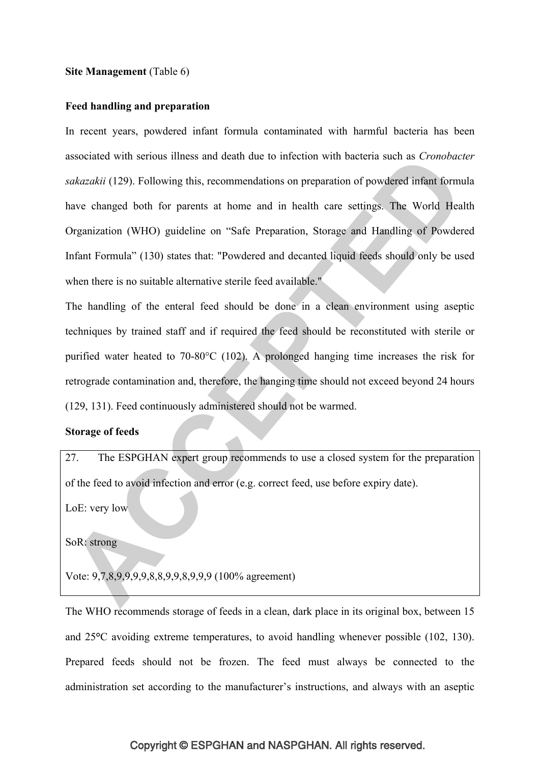### **Site Management** (Table 6)

### **Feed handling and preparation**

In recent years, powdered infant formula contaminated with harmful bacteria has been associated with serious illness and death due to infection with bacteria such as *Cronobacter sakazakii* (129). Following this, recommendations on preparation of powdered infant formula have changed both for parents at home and in health care settings. The World Health Organization (WHO) guideline on "Safe Preparation, Storage and Handling of Powdered Infant Formula" (130) states that: "Powdered and decanted liquid feeds should only be used when there is no suitable alternative sterile feed available."

The handling of the enteral feed should be done in a clean environment using aseptic techniques by trained staff and if required the feed should be reconstituted with sterile or purified water heated to 70-80°C (102). A prolonged hanging time increases the risk for retrograde contamination and, therefore, the hanging time should not exceed beyond 24 hours (129, 131). Feed continuously administered should not be warmed.

# **Storage of feeds**

27. The ESPGHAN expert group recommends to use a closed system for the preparation of the feed to avoid infection and error (e.g. correct feed, use before expiry date).

LoE: very low

SoR: strong

Vote: 9,7,8,9,9,9,9,8,8,9,9,8,9,9,9 (100% agreement)

The WHO recommends storage of feeds in a clean, dark place in its original box, between 15 and 25**°**C avoiding extreme temperatures, to avoid handling whenever possible (102, 130). Prepared feeds should not be frozen. The feed must always be connected to the administration set according to the manufacturer's instructions, and always with an aseptic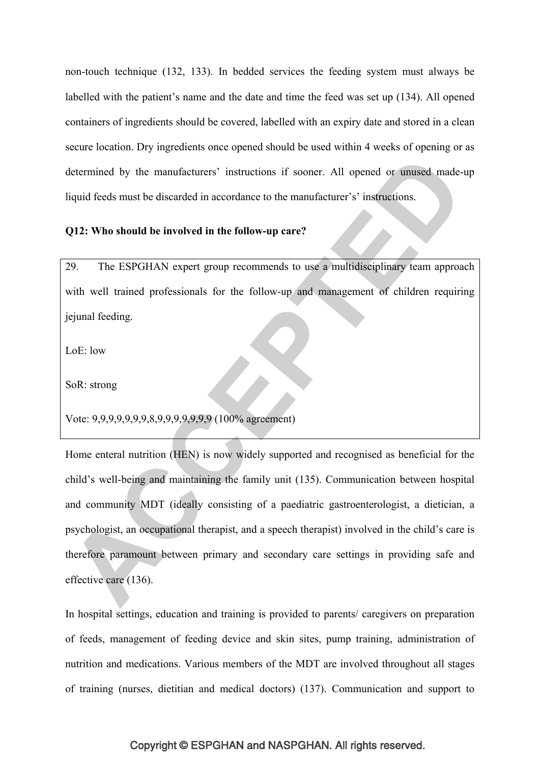non-touch technique (132, 133). In bedded services the feeding system must always be labelled with the patient's name and the date and time the feed was set up (134). All opened containers of ingredients should be covered, labelled with an expiry date and stored in a clean secure location. Dry ingredients once opened should be used within 4 weeks of opening or as determined by the manufacturers' instructions if sooner. All opened or unused made-up liquid feeds must be discarded in accordance to the manufacturer's' instructions.

### **Q12: Who should be involved in the follow-up care?**

29. The ESPGHAN expert group recommends to use a multidisciplinary team approach with well trained professionals for the follow-up and management of children requiring jejunal feeding.

LoE: low

SoR: strong

Vote: 9,9,9,9,9,9,9,8,9,9,9,9,9,9,9 (100% agreement)

Home enteral nutrition (HEN) is now widely supported and recognised as beneficial for the child's well-being and maintaining the family unit (135). Communication between hospital and community MDT (ideally consisting of a paediatric gastroenterologist, a dietician, a psychologist, an occupational therapist, and a speech therapist) involved in the child's care is therefore paramount between primary and secondary care settings in providing safe and effective care (136).

In hospital settings, education and training is provided to parents/ caregivers on preparation of feeds, management of feeding device and skin sites, pump training, administration of nutrition and medications. Various members of the MDT are involved throughout all stages of training (nurses, dietitian and medical doctors) (137). Communication and support to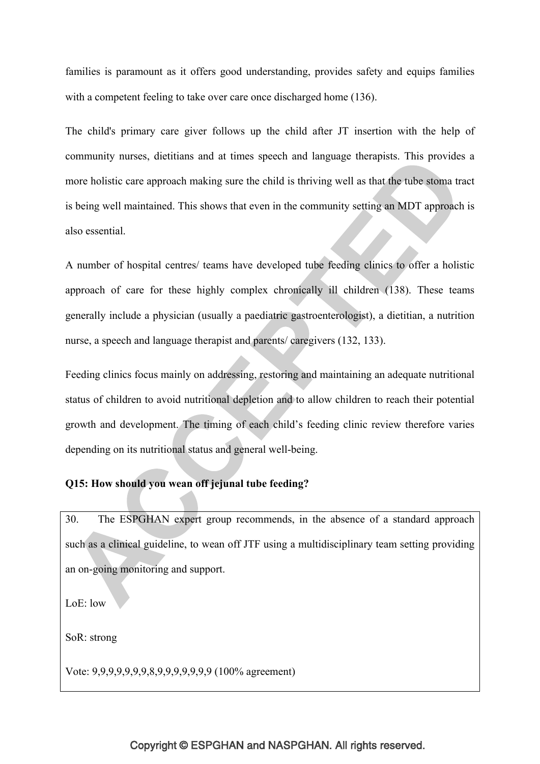families is paramount as it offers good understanding, provides safety and equips families with a competent feeling to take over care once discharged home (136).

The child's primary care giver follows up the child after JT insertion with the help of community nurses, dietitians and at times speech and language therapists. This provides a more holistic care approach making sure the child is thriving well as that the tube stoma tract is being well maintained. This shows that even in the community setting an MDT approach is also essential.

A number of hospital centres/ teams have developed tube feeding clinics to offer a holistic approach of care for these highly complex chronically ill children (138). These teams generally include a physician (usually a paediatric gastroenterologist), a dietitian, a nutrition nurse, a speech and language therapist and parents/ caregivers (132, 133).

Feeding clinics focus mainly on addressing, restoring and maintaining an adequate nutritional status of children to avoid nutritional depletion and to allow children to reach their potential growth and development. The timing of each child's feeding clinic review therefore varies depending on its nutritional status and general well-being.

# **Q15: How should you wean off jejunal tube feeding?**

30. The ESPGHAN expert group recommends, in the absence of a standard approach such as a clinical guideline, to wean off JTF using a multidisciplinary team setting providing an on-going monitoring and support.

LoE: low

SoR: strong

Vote: 9,9,9,9,9,9,9,8,9,9,9,9,9,9,9 (100% agreement)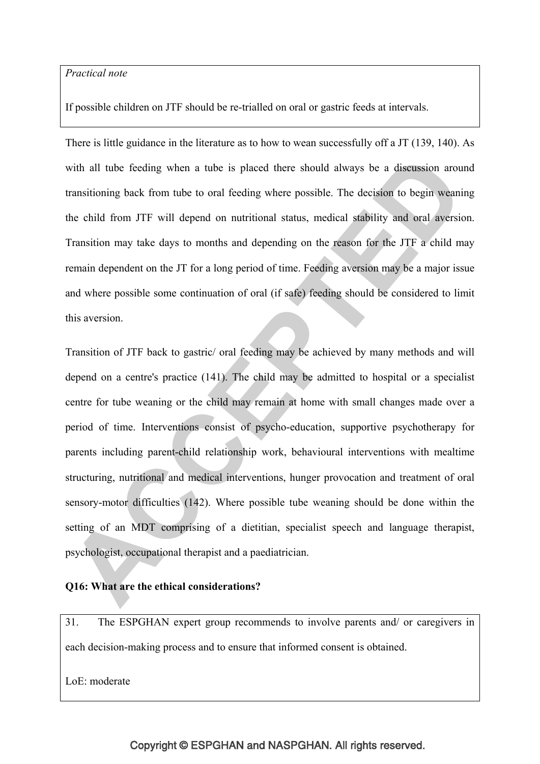### *Practical note*

If possible children on JTF should be re-trialled on oral or gastric feeds at intervals.

There is little guidance in the literature as to how to wean successfully off a JT (139, 140). As with all tube feeding when a tube is placed there should always be a discussion around transitioning back from tube to oral feeding where possible. The decision to begin weaning the child from JTF will depend on nutritional status, medical stability and oral aversion. Transition may take days to months and depending on the reason for the JTF a child may remain dependent on the JT for a long period of time. Feeding aversion may be a major issue and where possible some continuation of oral (if safe) feeding should be considered to limit this aversion.

Transition of JTF back to gastric/ oral feeding may be achieved by many methods and will depend on a centre's practice (141). The child may be admitted to hospital or a specialist centre for tube weaning or the child may remain at home with small changes made over a period of time. Interventions consist of psycho-education, supportive psychotherapy for parents including parent-child relationship work, behavioural interventions with mealtime structuring, nutritional and medical interventions, hunger provocation and treatment of oral sensory-motor difficulties (142). Where possible tube weaning should be done within the setting of an MDT comprising of a dietitian, specialist speech and language therapist, psychologist, occupational therapist and a paediatrician.

# **Q16: What are the ethical considerations?**

31. The ESPGHAN expert group recommends to involve parents and/ or caregivers in each decision-making process and to ensure that informed consent is obtained.

LoE: moderate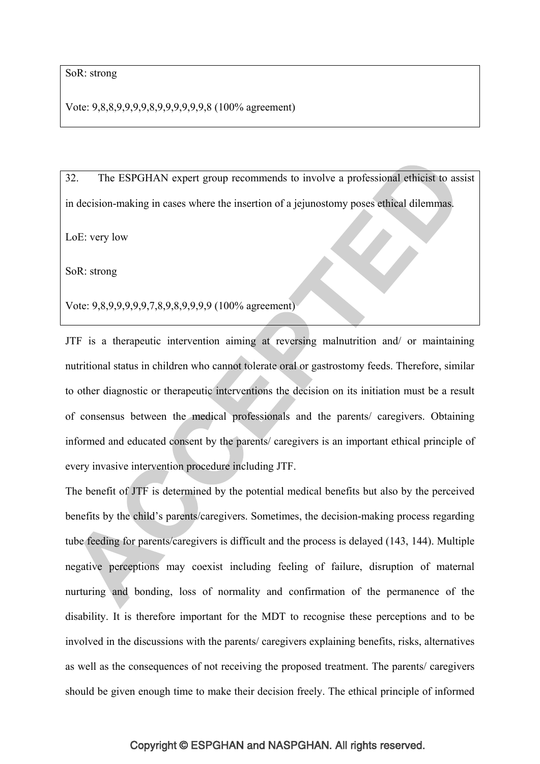Vote: 9,8,8,9,9,9,9,8,9,9,9,9,9,9,8 (100% agreement)

32. The ESPGHAN expert group recommends to involve a professional ethicist to assist in decision-making in cases where the insertion of a jejunostomy poses ethical dilemmas.

LoE: very low

SoR: strong

Vote: 9,8,9,9,9,9,9,7,8,9,8,9,9,9,9 (100% agreement)

JTF is a therapeutic intervention aiming at reversing malnutrition and/ or maintaining nutritional status in children who cannot tolerate oral or gastrostomy feeds. Therefore, similar to other diagnostic or therapeutic interventions the decision on its initiation must be a result of consensus between the medical professionals and the parents/ caregivers. Obtaining informed and educated consent by the parents/ caregivers is an important ethical principle of every invasive intervention procedure including JTF.

The benefit of JTF is determined by the potential medical benefits but also by the perceived benefits by the child's parents/caregivers. Sometimes, the decision-making process regarding tube feeding for parents/caregivers is difficult and the process is delayed (143, 144). Multiple negative perceptions may coexist including feeling of failure, disruption of maternal nurturing and bonding, loss of normality and confirmation of the permanence of the disability. It is therefore important for the MDT to recognise these perceptions and to be involved in the discussions with the parents/ caregivers explaining benefits, risks, alternatives as well as the consequences of not receiving the proposed treatment. The parents/ caregivers should be given enough time to make their decision freely. The ethical principle of informed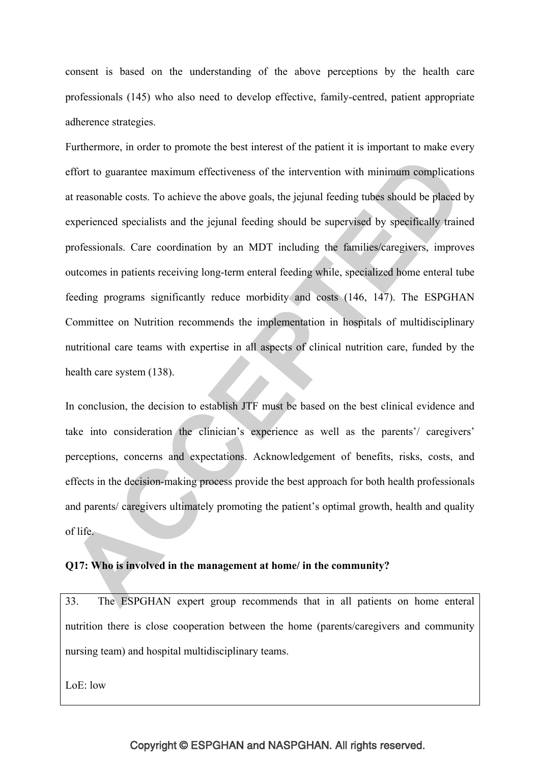consent is based on the understanding of the above perceptions by the health care professionals (145) who also need to develop effective, family-centred, patient appropriate adherence strategies.

Furthermore, in order to promote the best interest of the patient it is important to make every effort to guarantee maximum effectiveness of the intervention with minimum complications at reasonable costs. To achieve the above goals, the jejunal feeding tubes should be placed by experienced specialists and the jejunal feeding should be supervised by specifically trained professionals. Care coordination by an MDT including the families/caregivers, improves outcomes in patients receiving long-term enteral feeding while, specialized home enteral tube feeding programs significantly reduce morbidity and costs (146, 147). The ESPGHAN Committee on Nutrition recommends the implementation in hospitals of multidisciplinary nutritional care teams with expertise in all aspects of clinical nutrition care, funded by the health care system (138).

In conclusion, the decision to establish JTF must be based on the best clinical evidence and take into consideration the clinician's experience as well as the parents'/ caregivers' perceptions, concerns and expectations. Acknowledgement of benefits, risks, costs, and effects in the decision-making process provide the best approach for both health professionals and parents/ caregivers ultimately promoting the patient's optimal growth, health and quality of life.

# **Q17: Who is involved in the management at home/ in the community?**

33. The ESPGHAN expert group recommends that in all patients on home enteral nutrition there is close cooperation between the home (parents/caregivers and community nursing team) and hospital multidisciplinary teams.

LoE: low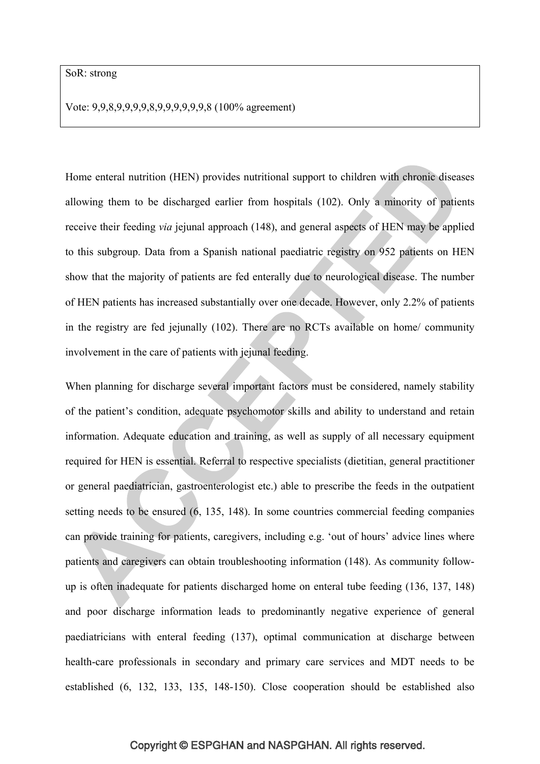Vote: 9,9,8,9,9,9,9,8,9,9,9,9,9,9,8 (100% agreement)

Home enteral nutrition (HEN) provides nutritional support to children with chronic diseases allowing them to be discharged earlier from hospitals (102). Only a minority of patients receive their feeding *via* jejunal approach (148), and general aspects of HEN may be applied to this subgroup. Data from a Spanish national paediatric registry on 952 patients on HEN show that the majority of patients are fed enterally due to neurological disease. The number of HEN patients has increased substantially over one decade. However, only 2.2% of patients in the registry are fed jejunally (102). There are no RCTs available on home/ community involvement in the care of patients with jejunal feeding.

When planning for discharge several important factors must be considered, namely stability of the patient's condition, adequate psychomotor skills and ability to understand and retain information. Adequate education and training, as well as supply of all necessary equipment required for HEN is essential. Referral to respective specialists (dietitian, general practitioner or general paediatrician, gastroenterologist etc.) able to prescribe the feeds in the outpatient setting needs to be ensured (6, 135, 148). In some countries commercial feeding companies can provide training for patients, caregivers, including e.g. 'out of hours' advice lines where patients and caregivers can obtain troubleshooting information (148). As community followup is often inadequate for patients discharged home on enteral tube feeding (136, 137, 148) and poor discharge information leads to predominantly negative experience of general paediatricians with enteral feeding (137), optimal communication at discharge between health-care professionals in secondary and primary care services and MDT needs to be established (6, 132, 133, 135, 148-150). Close cooperation should be established also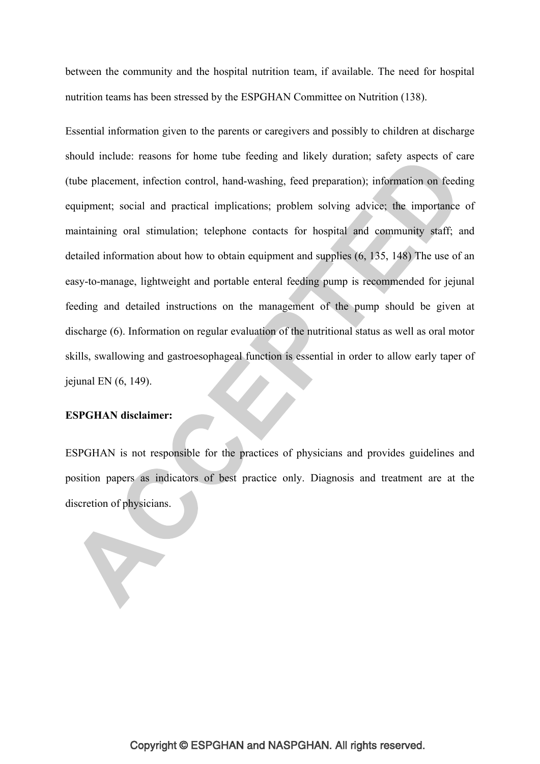between the community and the hospital nutrition team, if available. The need for hospital nutrition teams has been stressed by the ESPGHAN Committee on Nutrition (138).

Essential information given to the parents or caregivers and possibly to children at discharge should include: reasons for home tube feeding and likely duration; safety aspects of care (tube placement, infection control, hand-washing, feed preparation); information on feeding equipment; social and practical implications; problem solving advice; the importance of maintaining oral stimulation; telephone contacts for hospital and community staff; and detailed information about how to obtain equipment and supplies (6, 135, 148) The use of an easy-to-manage, lightweight and portable enteral feeding pump is recommended for jejunal feeding and detailed instructions on the management of the pump should be given at discharge (6). Information on regular evaluation of the nutritional status as well as oral motor skills, swallowing and gastroesophageal function is essential in order to allow early taper of jejunal EN (6, 149).

### **ESPGHAN disclaimer:**

ESPGHAN is not responsible for the practices of physicians and provides guidelines and position papers as indicators of best practice only. Diagnosis and treatment are at the discretion of physicians.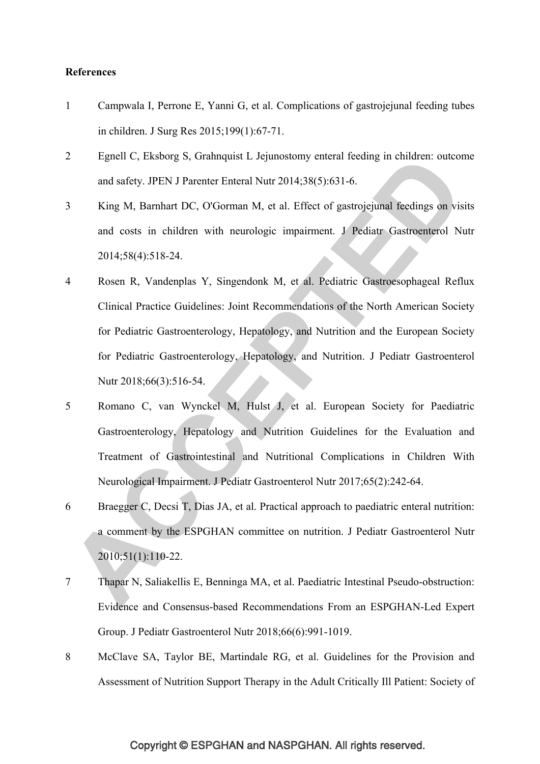### **References**

- 1 Campwala I, Perrone E, Yanni G, et al. Complications of gastrojejunal feeding tubes in children. J Surg Res 2015;199(1):67-71.
- 2 Egnell C, Eksborg S, Grahnquist L Jejunostomy enteral feeding in children: outcome and safety. JPEN J Parenter Enteral Nutr 2014;38(5):631-6.
- 3 King M, Barnhart DC, O'Gorman M, et al. Effect of gastrojejunal feedings on visits and costs in children with neurologic impairment. J Pediatr Gastroenterol Nutr 2014;58(4):518-24.
- 4 Rosen R, Vandenplas Y, Singendonk M, et al. Pediatric Gastroesophageal Reflux Clinical Practice Guidelines: Joint Recommendations of the North American Society for Pediatric Gastroenterology, Hepatology, and Nutrition and the European Society for Pediatric Gastroenterology, Hepatology, and Nutrition. J Pediatr Gastroenterol Nutr 2018;66(3):516-54.
- 5 Romano C, van Wynckel M, Hulst J, et al. European Society for Paediatric Gastroenterology, Hepatology and Nutrition Guidelines for the Evaluation and Treatment of Gastrointestinal and Nutritional Complications in Children With Neurological Impairment. J Pediatr Gastroenterol Nutr 2017;65(2):242-64.
- 6 Braegger C, Decsi T, Dias JA, et al. Practical approach to paediatric enteral nutrition: a comment by the ESPGHAN committee on nutrition. J Pediatr Gastroenterol Nutr 2010;51(1):110-22.
- 7 Thapar N, Saliakellis E, Benninga MA, et al. Paediatric Intestinal Pseudo-obstruction: Evidence and Consensus-based Recommendations From an ESPGHAN-Led Expert Group. J Pediatr Gastroenterol Nutr 2018;66(6):991-1019.
- 8 McClave SA, Taylor BE, Martindale RG, et al. Guidelines for the Provision and Assessment of Nutrition Support Therapy in the Adult Critically Ill Patient: Society of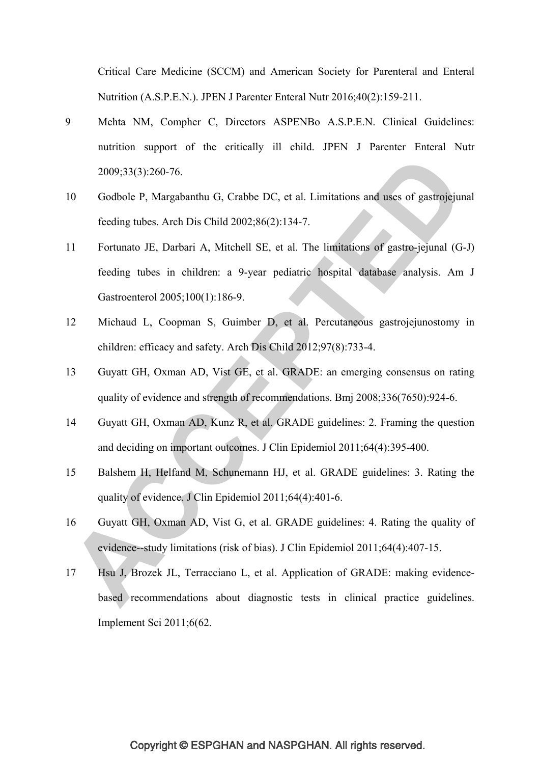Critical Care Medicine (SCCM) and American Society for Parenteral and Enteral Nutrition (A.S.P.E.N.). JPEN J Parenter Enteral Nutr 2016;40(2):159-211.

- 9 Mehta NM, Compher C, Directors ASPENBo A.S.P.E.N. Clinical Guidelines: nutrition support of the critically ill child. JPEN J Parenter Enteral Nutr 2009;33(3):260-76.
- 10 Godbole P, Margabanthu G, Crabbe DC, et al. Limitations and uses of gastrojejunal feeding tubes. Arch Dis Child 2002;86(2):134-7.
- 11 Fortunato JE, Darbari A, Mitchell SE, et al. The limitations of gastro-jejunal (G-J) feeding tubes in children: a 9-year pediatric hospital database analysis. Am J Gastroenterol 2005;100(1):186-9.
- 12 Michaud L, Coopman S, Guimber D, et al. Percutaneous gastrojejunostomy in children: efficacy and safety. Arch Dis Child 2012;97(8):733-4.
- 13 Guyatt GH, Oxman AD, Vist GE, et al. GRADE: an emerging consensus on rating quality of evidence and strength of recommendations. Bmj 2008;336(7650):924-6.
- 14 Guyatt GH, Oxman AD, Kunz R, et al. GRADE guidelines: 2. Framing the question and deciding on important outcomes. J Clin Epidemiol 2011;64(4):395-400.
- 15 Balshem H, Helfand M, Schunemann HJ, et al. GRADE guidelines: 3. Rating the quality of evidence. J Clin Epidemiol 2011;64(4):401-6.
- 16 Guyatt GH, Oxman AD, Vist G, et al. GRADE guidelines: 4. Rating the quality of evidence--study limitations (risk of bias). J Clin Epidemiol 2011;64(4):407-15.
- 17 Hsu J, Brozek JL, Terracciano L, et al. Application of GRADE: making evidencebased recommendations about diagnostic tests in clinical practice guidelines. Implement Sci 2011;6(62.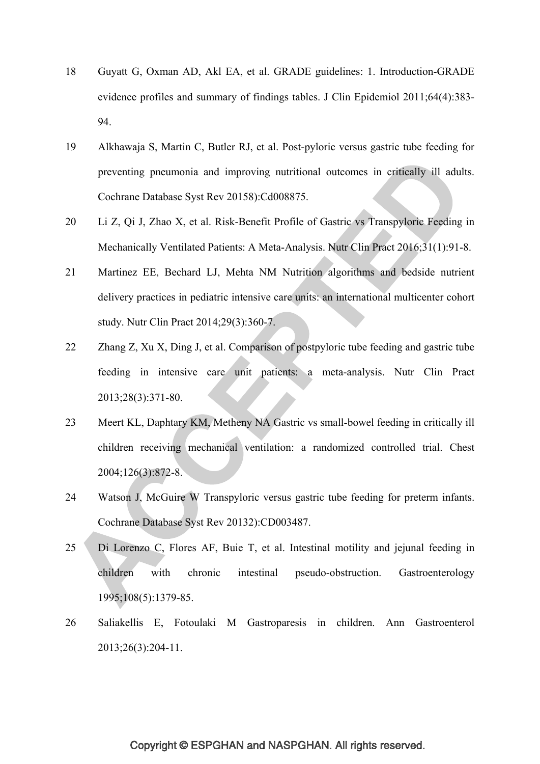- 18 Guyatt G, Oxman AD, Akl EA, et al. GRADE guidelines: 1. Introduction-GRADE evidence profiles and summary of findings tables. J Clin Epidemiol 2011;64(4):383- 94.
- 19 Alkhawaja S, Martin C, Butler RJ, et al. Post-pyloric versus gastric tube feeding for preventing pneumonia and improving nutritional outcomes in critically ill adults. Cochrane Database Syst Rev 20158):Cd008875.
- 20 Li Z, Qi J, Zhao X, et al. Risk-Benefit Profile of Gastric vs Transpyloric Feeding in Mechanically Ventilated Patients: A Meta-Analysis. Nutr Clin Pract 2016;31(1):91-8.
- 21 Martinez EE, Bechard LJ, Mehta NM Nutrition algorithms and bedside nutrient delivery practices in pediatric intensive care units: an international multicenter cohort study. Nutr Clin Pract 2014;29(3):360-7.
- 22 Zhang Z, Xu X, Ding J, et al. Comparison of postpyloric tube feeding and gastric tube feeding in intensive care unit patients: a meta-analysis. Nutr Clin Pract 2013;28(3):371-80.
- 23 Meert KL, Daphtary KM, Metheny NA Gastric vs small-bowel feeding in critically ill children receiving mechanical ventilation: a randomized controlled trial. Chest 2004;126(3):872-8.
- 24 Watson J, McGuire W Transpyloric versus gastric tube feeding for preterm infants. Cochrane Database Syst Rev 20132):CD003487.
- 25 Di Lorenzo C, Flores AF, Buie T, et al. Intestinal motility and jejunal feeding in children with chronic intestinal pseudo-obstruction. Gastroenterology 1995;108(5):1379-85.
- 26 Saliakellis E, Fotoulaki M Gastroparesis in children. Ann Gastroenterol 2013;26(3):204-11.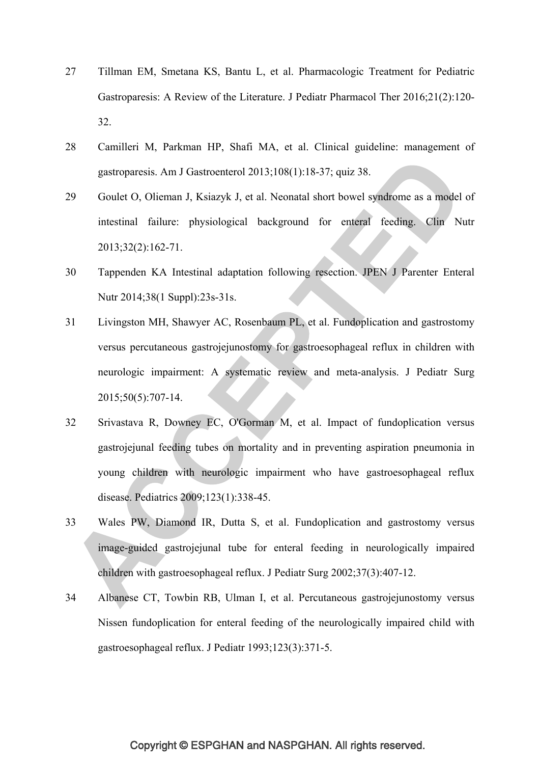- 27 Tillman EM, Smetana KS, Bantu L, et al. Pharmacologic Treatment for Pediatric Gastroparesis: A Review of the Literature. J Pediatr Pharmacol Ther 2016;21(2):120- 32.
- 28 Camilleri M, Parkman HP, Shafi MA, et al. Clinical guideline: management of gastroparesis. Am J Gastroenterol 2013;108(1):18-37; quiz 38.
- 29 Goulet O, Olieman J, Ksiazyk J, et al. Neonatal short bowel syndrome as a model of intestinal failure: physiological background for enteral feeding. Clin Nutr 2013;32(2):162-71.
- 30 Tappenden KA Intestinal adaptation following resection. JPEN J Parenter Enteral Nutr 2014;38(1 Suppl):23s-31s.
- 31 Livingston MH, Shawyer AC, Rosenbaum PL, et al. Fundoplication and gastrostomy versus percutaneous gastrojejunostomy for gastroesophageal reflux in children with neurologic impairment: A systematic review and meta-analysis. J Pediatr Surg 2015;50(5):707-14.
- 32 Srivastava R, Downey EC, O'Gorman M, et al. Impact of fundoplication versus gastrojejunal feeding tubes on mortality and in preventing aspiration pneumonia in young children with neurologic impairment who have gastroesophageal reflux disease. Pediatrics 2009;123(1):338-45.
- 33 Wales PW, Diamond IR, Dutta S, et al. Fundoplication and gastrostomy versus image-guided gastrojejunal tube for enteral feeding in neurologically impaired children with gastroesophageal reflux. J Pediatr Surg 2002;37(3):407-12.
- 34 Albanese CT, Towbin RB, Ulman I, et al. Percutaneous gastrojejunostomy versus Nissen fundoplication for enteral feeding of the neurologically impaired child with gastroesophageal reflux. J Pediatr 1993;123(3):371-5.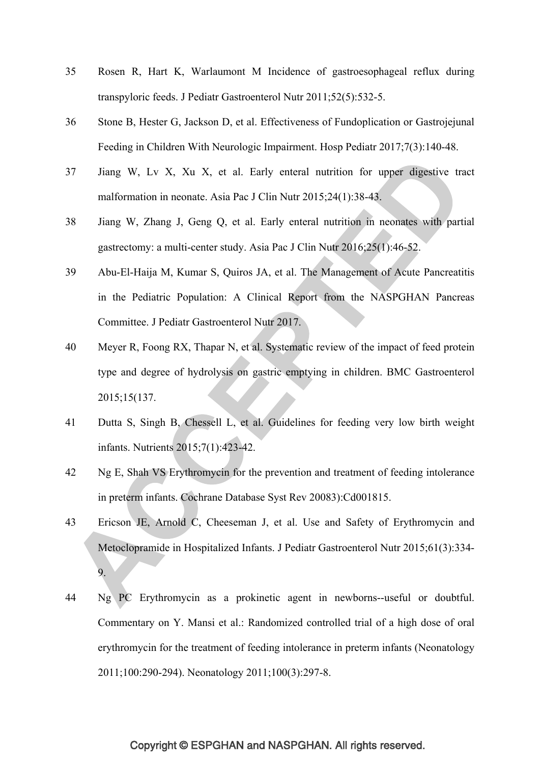- 35 Rosen R, Hart K, Warlaumont M Incidence of gastroesophageal reflux during transpyloric feeds. J Pediatr Gastroenterol Nutr 2011;52(5):532-5.
- 36 Stone B, Hester G, Jackson D, et al. Effectiveness of Fundoplication or Gastrojejunal Feeding in Children With Neurologic Impairment. Hosp Pediatr 2017;7(3):140-48.
- 37 Jiang W, Lv X, Xu X, et al. Early enteral nutrition for upper digestive tract malformation in neonate. Asia Pac J Clin Nutr 2015;24(1):38-43.
- 38 Jiang W, Zhang J, Geng Q, et al. Early enteral nutrition in neonates with partial gastrectomy: a multi-center study. Asia Pac J Clin Nutr 2016;25(1):46-52.
- 39 Abu-El-Haija M, Kumar S, Quiros JA, et al. The Management of Acute Pancreatitis in the Pediatric Population: A Clinical Report from the NASPGHAN Pancreas Committee. J Pediatr Gastroenterol Nutr 2017.
- 40 Meyer R, Foong RX, Thapar N, et al. Systematic review of the impact of feed protein type and degree of hydrolysis on gastric emptying in children. BMC Gastroenterol 2015;15(137.
- 41 Dutta S, Singh B, Chessell L, et al. Guidelines for feeding very low birth weight infants. Nutrients 2015;7(1):423-42.
- 42 Ng E, Shah VS Erythromycin for the prevention and treatment of feeding intolerance in preterm infants. Cochrane Database Syst Rev 20083):Cd001815.
- 43 Ericson JE, Arnold C, Cheeseman J, et al. Use and Safety of Erythromycin and Metoclopramide in Hospitalized Infants. J Pediatr Gastroenterol Nutr 2015;61(3):334- 9.
- 44 Ng PC Erythromycin as a prokinetic agent in newborns--useful or doubtful. Commentary on Y. Mansi et al.: Randomized controlled trial of a high dose of oral erythromycin for the treatment of feeding intolerance in preterm infants (Neonatology 2011;100:290-294). Neonatology 2011;100(3):297-8.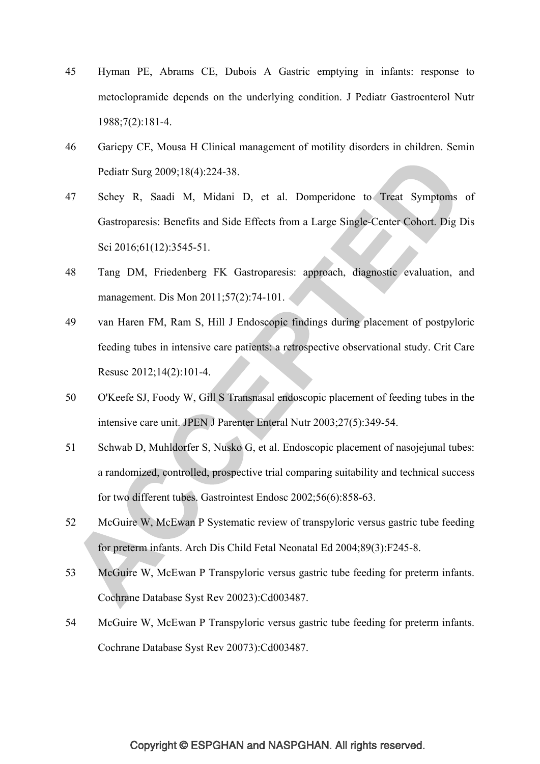- 45 Hyman PE, Abrams CE, Dubois A Gastric emptying in infants: response to metoclopramide depends on the underlying condition. J Pediatr Gastroenterol Nutr 1988;7(2):181-4.
- 46 Gariepy CE, Mousa H Clinical management of motility disorders in children. Semin Pediatr Surg 2009;18(4):224-38.
- 47 Schey R, Saadi M, Midani D, et al. Domperidone to Treat Symptoms of Gastroparesis: Benefits and Side Effects from a Large Single-Center Cohort. Dig Dis Sci 2016;61(12):3545-51.
- 48 Tang DM, Friedenberg FK Gastroparesis: approach, diagnostic evaluation, and management. Dis Mon 2011;57(2):74-101.
- 49 van Haren FM, Ram S, Hill J Endoscopic findings during placement of postpyloric feeding tubes in intensive care patients: a retrospective observational study. Crit Care Resusc 2012;14(2):101-4.
- 50 O'Keefe SJ, Foody W, Gill S Transnasal endoscopic placement of feeding tubes in the intensive care unit. JPEN J Parenter Enteral Nutr 2003;27(5):349-54.
- 51 Schwab D, Muhldorfer S, Nusko G, et al. Endoscopic placement of nasojejunal tubes: a randomized, controlled, prospective trial comparing suitability and technical success for two different tubes. Gastrointest Endosc 2002;56(6):858-63.
- 52 McGuire W, McEwan P Systematic review of transpyloric versus gastric tube feeding for preterm infants. Arch Dis Child Fetal Neonatal Ed 2004;89(3):F245-8.
- 53 McGuire W, McEwan P Transpyloric versus gastric tube feeding for preterm infants. Cochrane Database Syst Rev 20023):Cd003487.
- 54 McGuire W, McEwan P Transpyloric versus gastric tube feeding for preterm infants. Cochrane Database Syst Rev 20073):Cd003487.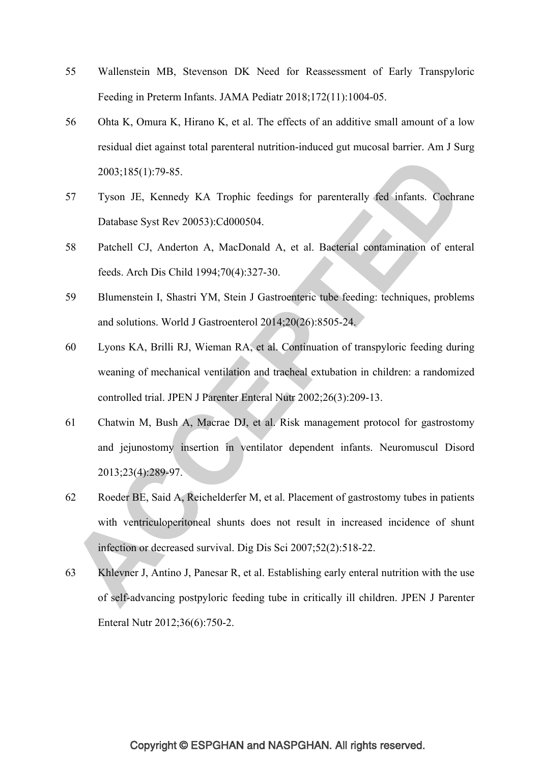- 55 Wallenstein MB, Stevenson DK Need for Reassessment of Early Transpyloric Feeding in Preterm Infants. JAMA Pediatr 2018;172(11):1004-05.
- 56 Ohta K, Omura K, Hirano K, et al. The effects of an additive small amount of a low residual diet against total parenteral nutrition-induced gut mucosal barrier. Am J Surg 2003;185(1):79-85.
- 57 Tyson JE, Kennedy KA Trophic feedings for parenterally fed infants. Cochrane Database Syst Rev 20053):Cd000504.
- 58 Patchell CJ, Anderton A, MacDonald A, et al. Bacterial contamination of enteral feeds. Arch Dis Child 1994;70(4):327-30.
- 59 Blumenstein I, Shastri YM, Stein J Gastroenteric tube feeding: techniques, problems and solutions. World J Gastroenterol 2014;20(26):8505-24.
- 60 Lyons KA, Brilli RJ, Wieman RA, et al. Continuation of transpyloric feeding during weaning of mechanical ventilation and tracheal extubation in children: a randomized controlled trial. JPEN J Parenter Enteral Nutr 2002;26(3):209-13.
- 61 Chatwin M, Bush A, Macrae DJ, et al. Risk management protocol for gastrostomy and jejunostomy insertion in ventilator dependent infants. Neuromuscul Disord 2013;23(4):289-97.
- 62 Roeder BE, Said A, Reichelderfer M, et al. Placement of gastrostomy tubes in patients with ventriculoperitoneal shunts does not result in increased incidence of shunt infection or decreased survival. Dig Dis Sci 2007;52(2):518-22.
- 63 Khlevner J, Antino J, Panesar R, et al. Establishing early enteral nutrition with the use of self-advancing postpyloric feeding tube in critically ill children. JPEN J Parenter Enteral Nutr 2012;36(6):750-2.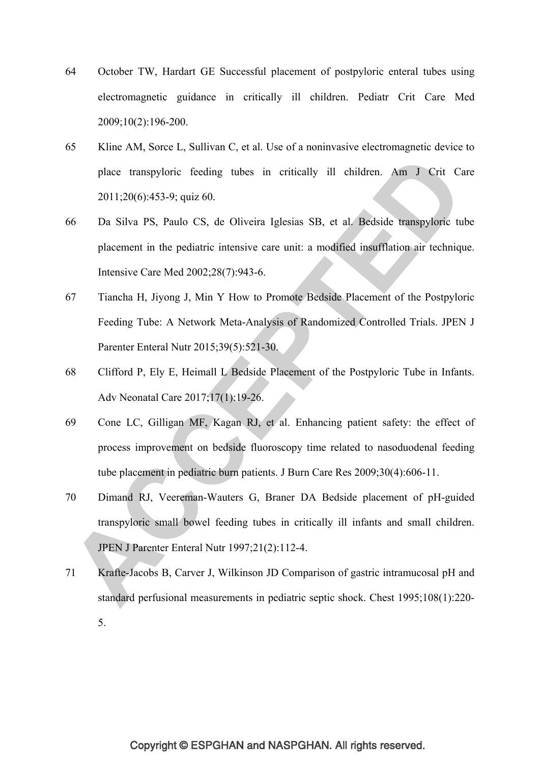- 64 October TW, Hardart GE Successful placement of postpyloric enteral tubes using electromagnetic guidance in critically ill children. Pediatr Crit Care Med 2009;10(2):196-200.
- 65 Kline AM, Sorce L, Sullivan C, et al. Use of a noninvasive electromagnetic device to place transpyloric feeding tubes in critically ill children. Am J Crit Care 2011;20(6):453-9; quiz 60.
- 66 Da Silva PS, Paulo CS, de Oliveira Iglesias SB, et al. Bedside transpyloric tube placement in the pediatric intensive care unit: a modified insufflation air technique. Intensive Care Med 2002;28(7):943-6.
- 67 Tiancha H, Jiyong J, Min Y How to Promote Bedside Placement of the Postpyloric Feeding Tube: A Network Meta-Analysis of Randomized Controlled Trials. JPEN J Parenter Enteral Nutr 2015;39(5):521-30.
- 68 Clifford P, Ely E, Heimall L Bedside Placement of the Postpyloric Tube in Infants. Adv Neonatal Care 2017;17(1):19-26.
- 69 Cone LC, Gilligan MF, Kagan RJ, et al. Enhancing patient safety: the effect of process improvement on bedside fluoroscopy time related to nasoduodenal feeding tube placement in pediatric burn patients. J Burn Care Res 2009;30(4):606-11.
- 70 Dimand RJ, Veereman-Wauters G, Braner DA Bedside placement of pH-guided transpyloric small bowel feeding tubes in critically ill infants and small children. JPEN J Parenter Enteral Nutr 1997;21(2):112-4.
- 71 Krafte-Jacobs B, Carver J, Wilkinson JD Comparison of gastric intramucosal pH and standard perfusional measurements in pediatric septic shock. Chest 1995;108(1):220- 5.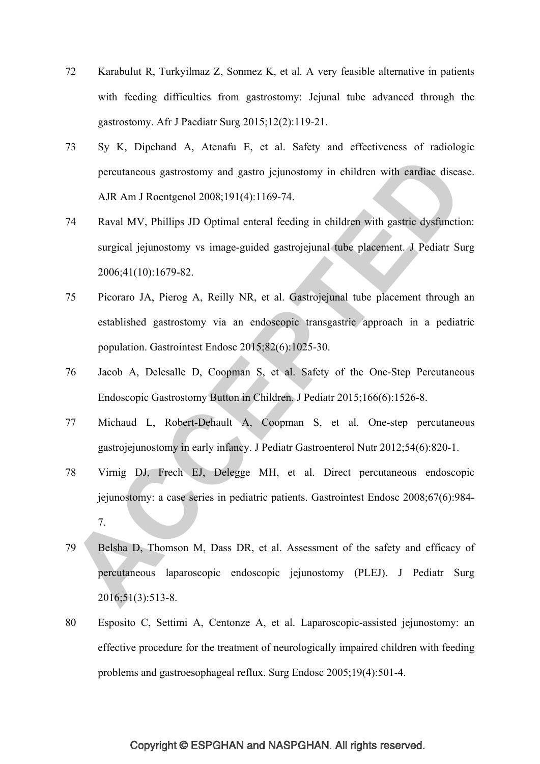- 72 Karabulut R, Turkyilmaz Z, Sonmez K, et al. A very feasible alternative in patients with feeding difficulties from gastrostomy: Jejunal tube advanced through the gastrostomy. Afr J Paediatr Surg 2015;12(2):119-21.
- 73 Sy K, Dipchand A, Atenafu E, et al. Safety and effectiveness of radiologic percutaneous gastrostomy and gastro jejunostomy in children with cardiac disease. AJR Am J Roentgenol 2008;191(4):1169-74.
- 74 Raval MV, Phillips JD Optimal enteral feeding in children with gastric dysfunction: surgical jejunostomy vs image-guided gastrojejunal tube placement. J Pediatr Surg 2006;41(10):1679-82.
- 75 Picoraro JA, Pierog A, Reilly NR, et al. Gastrojejunal tube placement through an established gastrostomy via an endoscopic transgastric approach in a pediatric population. Gastrointest Endosc 2015;82(6):1025-30.
- 76 Jacob A, Delesalle D, Coopman S, et al. Safety of the One-Step Percutaneous Endoscopic Gastrostomy Button in Children. J Pediatr 2015;166(6):1526-8.
- 77 Michaud L, Robert-Dehault A, Coopman S, et al. One-step percutaneous gastrojejunostomy in early infancy. J Pediatr Gastroenterol Nutr 2012;54(6):820-1.
- 78 Virnig DJ, Frech EJ, Delegge MH, et al. Direct percutaneous endoscopic jejunostomy: a case series in pediatric patients. Gastrointest Endosc 2008;67(6):984- 7.
- 79 Belsha D, Thomson M, Dass DR, et al. Assessment of the safety and efficacy of percutaneous laparoscopic endoscopic jejunostomy (PLEJ). J Pediatr Surg 2016;51(3):513-8.
- 80 Esposito C, Settimi A, Centonze A, et al. Laparoscopic-assisted jejunostomy: an effective procedure for the treatment of neurologically impaired children with feeding problems and gastroesophageal reflux. Surg Endosc 2005;19(4):501-4.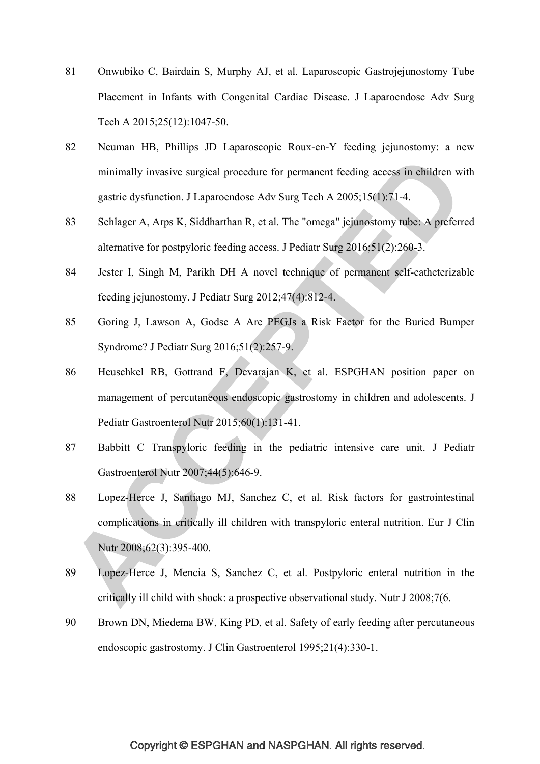- 81 Onwubiko C, Bairdain S, Murphy AJ, et al. Laparoscopic Gastrojejunostomy Tube Placement in Infants with Congenital Cardiac Disease. J Laparoendosc Adv Surg Tech A 2015;25(12):1047-50.
- 82 Neuman HB, Phillips JD Laparoscopic Roux-en-Y feeding jejunostomy: a new minimally invasive surgical procedure for permanent feeding access in children with gastric dysfunction. J Laparoendosc Adv Surg Tech A 2005;15(1):71-4.
- 83 Schlager A, Arps K, Siddharthan R, et al. The "omega" jejunostomy tube: A preferred alternative for postpyloric feeding access. J Pediatr Surg 2016;51(2):260-3.
- 84 Jester I, Singh M, Parikh DH A novel technique of permanent self-catheterizable feeding jejunostomy. J Pediatr Surg 2012;47(4):812-4.
- 85 Goring J, Lawson A, Godse A Are PEGJs a Risk Factor for the Buried Bumper Syndrome? J Pediatr Surg 2016;51(2):257-9.
- 86 Heuschkel RB, Gottrand F, Devarajan K, et al. ESPGHAN position paper on management of percutaneous endoscopic gastrostomy in children and adolescents. J Pediatr Gastroenterol Nutr 2015;60(1):131-41.
- 87 Babbitt C Transpyloric feeding in the pediatric intensive care unit. J Pediatr Gastroenterol Nutr 2007;44(5):646-9.
- 88 Lopez-Herce J, Santiago MJ, Sanchez C, et al. Risk factors for gastrointestinal complications in critically ill children with transpyloric enteral nutrition. Eur J Clin Nutr 2008;62(3):395-400.
- 89 Lopez-Herce J, Mencia S, Sanchez C, et al. Postpyloric enteral nutrition in the critically ill child with shock: a prospective observational study. Nutr J 2008;7(6.
- 90 Brown DN, Miedema BW, King PD, et al. Safety of early feeding after percutaneous endoscopic gastrostomy. J Clin Gastroenterol 1995;21(4):330-1.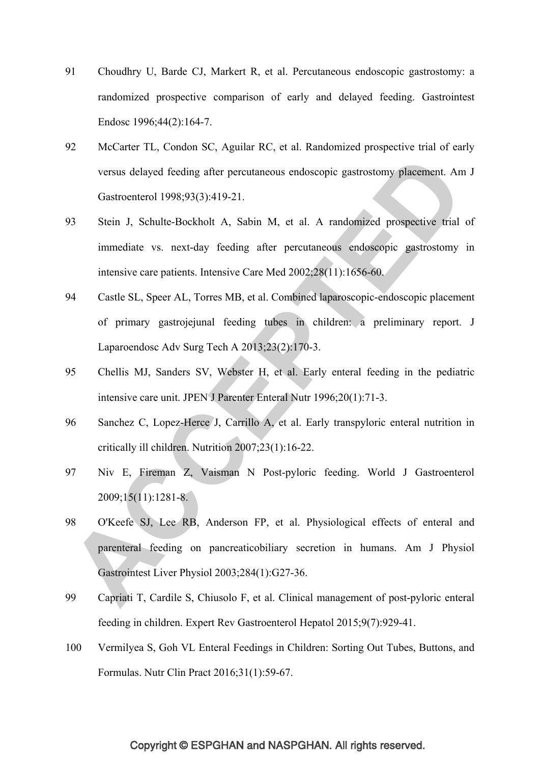- 91 Choudhry U, Barde CJ, Markert R, et al. Percutaneous endoscopic gastrostomy: a randomized prospective comparison of early and delayed feeding. Gastrointest Endosc 1996;44(2):164-7.
- 92 McCarter TL, Condon SC, Aguilar RC, et al. Randomized prospective trial of early versus delayed feeding after percutaneous endoscopic gastrostomy placement. Am J Gastroenterol 1998;93(3):419-21.
- 93 Stein J, Schulte-Bockholt A, Sabin M, et al. A randomized prospective trial of immediate vs. next-day feeding after percutaneous endoscopic gastrostomy in intensive care patients. Intensive Care Med 2002;28(11):1656-60.
- 94 Castle SL, Speer AL, Torres MB, et al. Combined laparoscopic-endoscopic placement of primary gastrojejunal feeding tubes in children: a preliminary report. J Laparoendosc Adv Surg Tech A 2013;23(2):170-3.
- 95 Chellis MJ, Sanders SV, Webster H, et al. Early enteral feeding in the pediatric intensive care unit. JPEN J Parenter Enteral Nutr 1996;20(1):71-3.
- 96 Sanchez C, Lopez-Herce J, Carrillo A, et al. Early transpyloric enteral nutrition in critically ill children. Nutrition 2007;23(1):16-22.
- 97 Niv E, Fireman Z, Vaisman N Post-pyloric feeding. World J Gastroenterol 2009;15(11):1281-8.
- 98 O'Keefe SJ, Lee RB, Anderson FP, et al. Physiological effects of enteral and parenteral feeding on pancreaticobiliary secretion in humans. Am J Physiol Gastrointest Liver Physiol 2003;284(1):G27-36.
- 99 Capriati T, Cardile S, Chiusolo F, et al. Clinical management of post-pyloric enteral feeding in children. Expert Rev Gastroenterol Hepatol 2015;9(7):929-41.
- 100 Vermilyea S, Goh VL Enteral Feedings in Children: Sorting Out Tubes, Buttons, and Formulas. Nutr Clin Pract 2016;31(1):59-67.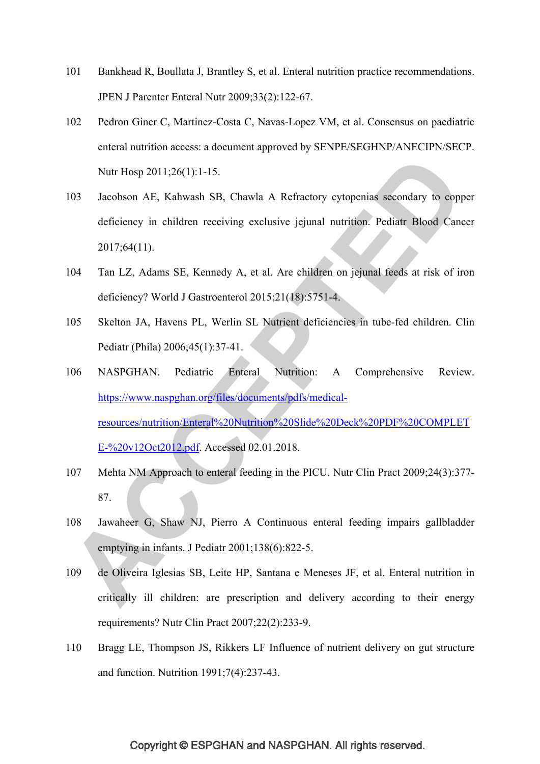- 101 Bankhead R, Boullata J, Brantley S, et al. Enteral nutrition practice recommendations. JPEN J Parenter Enteral Nutr 2009;33(2):122-67.
- 102 Pedron Giner C, Martinez-Costa C, Navas-Lopez VM, et al. Consensus on paediatric enteral nutrition access: a document approved by SENPE/SEGHNP/ANECIPN/SECP. Nutr Hosp 2011;26(1):1-15.
- 103 Jacobson AE, Kahwash SB, Chawla A Refractory cytopenias secondary to copper deficiency in children receiving exclusive jejunal nutrition. Pediatr Blood Cancer 2017;64(11).
- 104 Tan LZ, Adams SE, Kennedy A, et al. Are children on jejunal feeds at risk of iron deficiency? World J Gastroenterol 2015;21(18):5751-4.
- 105 Skelton JA, Havens PL, Werlin SL Nutrient deficiencies in tube-fed children. Clin Pediatr (Phila) 2006;45(1):37-41.
- 106 NASPGHAN. Pediatric Enteral Nutrition: A Comprehensive Review. https://www.naspghan.org/files/documents/pdfs/medicalresources/nutrition/Enteral%20Nutrition%20Slide%20Deck%20PDF%20COMPLET E-%20v12Oct2012.pdf. Accessed 02.01.2018.
- 107 Mehta NM Approach to enteral feeding in the PICU. Nutr Clin Pract 2009;24(3):377- 87.
- 108 Jawaheer G, Shaw NJ, Pierro A Continuous enteral feeding impairs gallbladder emptying in infants. J Pediatr 2001;138(6):822-5.
- 109 de Oliveira Iglesias SB, Leite HP, Santana e Meneses JF, et al. Enteral nutrition in critically ill children: are prescription and delivery according to their energy requirements? Nutr Clin Pract 2007;22(2):233-9.
- 110 Bragg LE, Thompson JS, Rikkers LF Influence of nutrient delivery on gut structure and function. Nutrition 1991;7(4):237-43.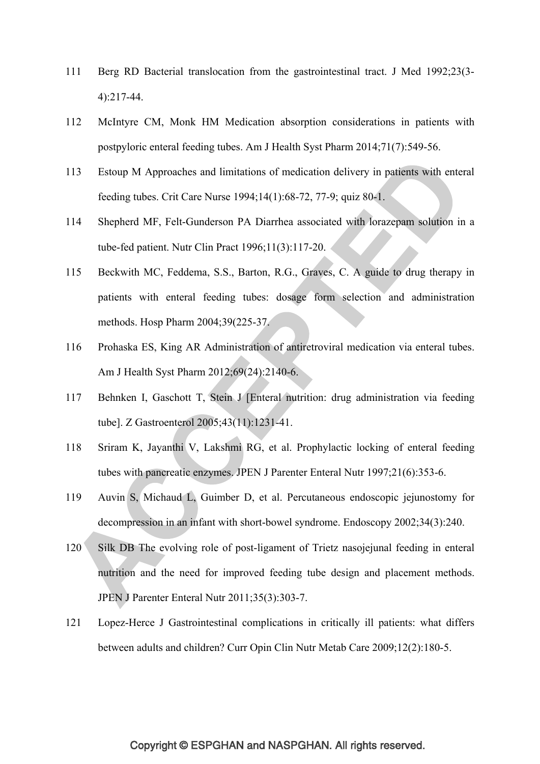- 111 Berg RD Bacterial translocation from the gastrointestinal tract. J Med 1992;23(3- 4):217-44.
- 112 McIntyre CM, Monk HM Medication absorption considerations in patients with postpyloric enteral feeding tubes. Am J Health Syst Pharm 2014;71(7):549-56.
- 113 Estoup M Approaches and limitations of medication delivery in patients with enteral feeding tubes. Crit Care Nurse 1994;14(1):68-72, 77-9; quiz 80-1.
- 114 Shepherd MF, Felt-Gunderson PA Diarrhea associated with lorazepam solution in a tube-fed patient. Nutr Clin Pract 1996;11(3):117-20.
- 115 Beckwith MC, Feddema, S.S., Barton, R.G., Graves, C. A guide to drug therapy in patients with enteral feeding tubes: dosage form selection and administration methods. Hosp Pharm 2004;39(225-37.
- 116 Prohaska ES, King AR Administration of antiretroviral medication via enteral tubes. Am J Health Syst Pharm 2012;69(24):2140-6.
- 117 Behnken I, Gaschott T, Stein J [Enteral nutrition: drug administration via feeding tube]. Z Gastroenterol 2005;43(11):1231-41.
- 118 Sriram K, Jayanthi V, Lakshmi RG, et al. Prophylactic locking of enteral feeding tubes with pancreatic enzymes. JPEN J Parenter Enteral Nutr 1997;21(6):353-6.
- 119 Auvin S, Michaud L, Guimber D, et al. Percutaneous endoscopic jejunostomy for decompression in an infant with short-bowel syndrome. Endoscopy 2002;34(3):240.
- 120 Silk DB The evolving role of post-ligament of Trietz nasojejunal feeding in enteral nutrition and the need for improved feeding tube design and placement methods. JPEN J Parenter Enteral Nutr 2011;35(3):303-7.
- 121 Lopez-Herce J Gastrointestinal complications in critically ill patients: what differs between adults and children? Curr Opin Clin Nutr Metab Care 2009;12(2):180-5.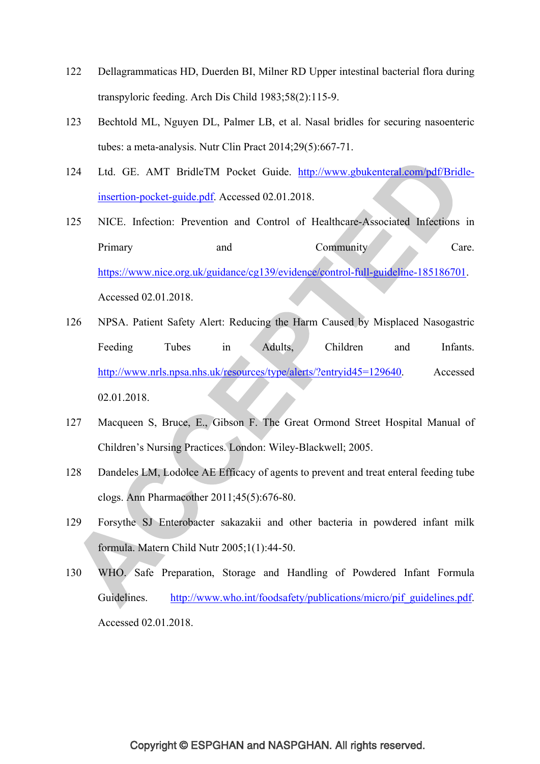- 122 Dellagrammaticas HD, Duerden BI, Milner RD Upper intestinal bacterial flora during transpyloric feeding. Arch Dis Child 1983;58(2):115-9.
- 123 Bechtold ML, Nguyen DL, Palmer LB, et al. Nasal bridles for securing nasoenteric tubes: a meta-analysis. Nutr Clin Pract 2014;29(5):667-71.
- 124 Ltd. GE. AMT BridleTM Pocket Guide. http://www.gbukenteral.com/pdf/Bridleinsertion-pocket-guide.pdf. Accessed 02.01.2018.
- 125 NICE. Infection: Prevention and Control of Healthcare-Associated Infections in Primary and Community Care. https://www.nice.org.uk/guidance/cg139/evidence/control-full-guideline-185186701. Accessed 02.01.2018.
- 126 NPSA. Patient Safety Alert: Reducing the Harm Caused by Misplaced Nasogastric Feeding Tubes in Adults, Children and Infants. http://www.nrls.npsa.nhs.uk/resources/type/alerts/?entryid45=129640. Accessed 02.01.2018.
- 127 Macqueen S, Bruce, E., Gibson F. The Great Ormond Street Hospital Manual of Children's Nursing Practices. London: Wiley-Blackwell; 2005.
- 128 Dandeles LM, Lodolce AE Efficacy of agents to prevent and treat enteral feeding tube clogs. Ann Pharmacother 2011;45(5):676-80.
- 129 Forsythe SJ Enterobacter sakazakii and other bacteria in powdered infant milk formula. Matern Child Nutr 2005;1(1):44-50.
- 130 WHO. Safe Preparation, Storage and Handling of Powdered Infant Formula Guidelines. http://www.who.int/foodsafety/publications/micro/pif\_guidelines.pdf. Accessed 02.01.2018.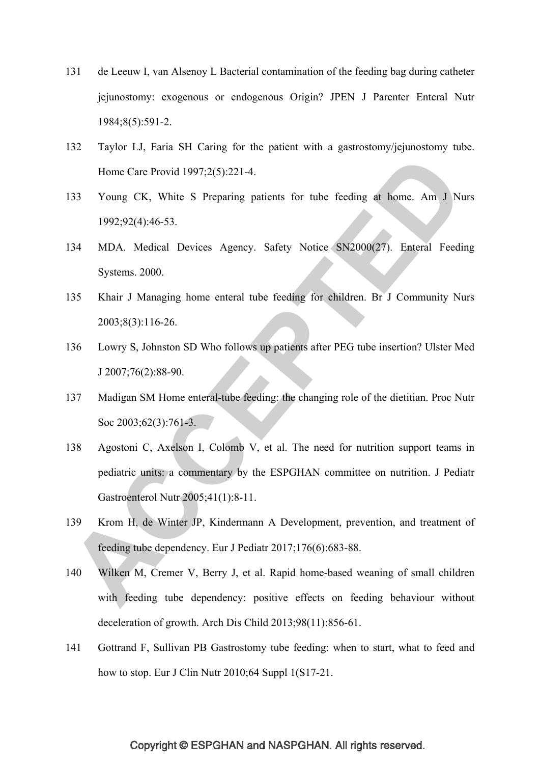- 131 de Leeuw I, van Alsenoy L Bacterial contamination of the feeding bag during catheter jejunostomy: exogenous or endogenous Origin? JPEN J Parenter Enteral Nutr 1984;8(5):591-2.
- 132 Taylor LJ, Faria SH Caring for the patient with a gastrostomy/jejunostomy tube. Home Care Provid 1997;2(5):221-4.
- 133 Young CK, White S Preparing patients for tube feeding at home. Am J Nurs 1992;92(4):46-53.
- 134 MDA. Medical Devices Agency. Safety Notice SN2000(27). Enteral Feeding Systems. 2000.
- 135 Khair J Managing home enteral tube feeding for children. Br J Community Nurs 2003;8(3):116-26.
- 136 Lowry S, Johnston SD Who follows up patients after PEG tube insertion? Ulster Med J 2007;76(2):88-90.
- 137 Madigan SM Home enteral-tube feeding: the changing role of the dietitian. Proc Nutr Soc 2003;62(3):761-3.
- 138 Agostoni C, Axelson I, Colomb V, et al. The need for nutrition support teams in pediatric units: a commentary by the ESPGHAN committee on nutrition. J Pediatr Gastroenterol Nutr 2005;41(1):8-11.
- 139 Krom H, de Winter JP, Kindermann A Development, prevention, and treatment of feeding tube dependency. Eur J Pediatr 2017;176(6):683-88.
- 140 Wilken M, Cremer V, Berry J, et al. Rapid home-based weaning of small children with feeding tube dependency: positive effects on feeding behaviour without deceleration of growth. Arch Dis Child 2013;98(11):856-61.
- 141 Gottrand F, Sullivan PB Gastrostomy tube feeding: when to start, what to feed and how to stop. Eur J Clin Nutr 2010;64 Suppl 1(S17-21.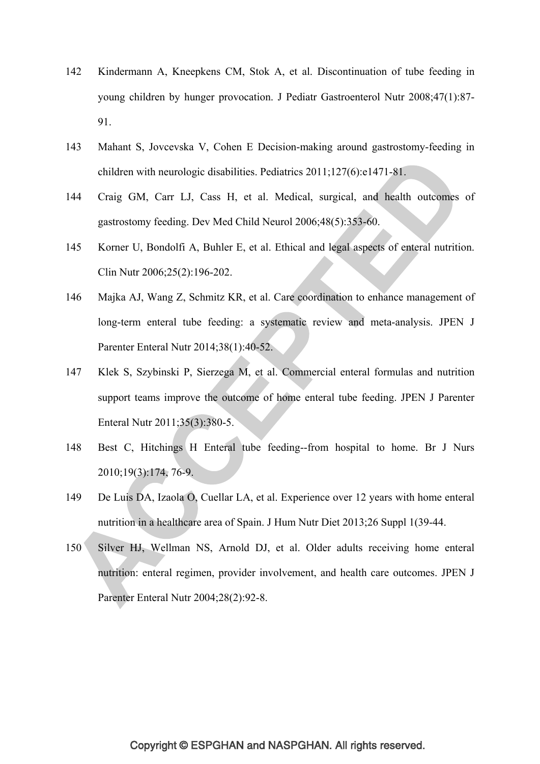- 142 Kindermann A, Kneepkens CM, Stok A, et al. Discontinuation of tube feeding in young children by hunger provocation. J Pediatr Gastroenterol Nutr 2008;47(1):87- 91.
- 143 Mahant S, Jovcevska V, Cohen E Decision-making around gastrostomy-feeding in children with neurologic disabilities. Pediatrics 2011;127(6):e1471-81.
- 144 Craig GM, Carr LJ, Cass H, et al. Medical, surgical, and health outcomes of gastrostomy feeding. Dev Med Child Neurol 2006;48(5):353-60.
- 145 Korner U, Bondolfi A, Buhler E, et al. Ethical and legal aspects of enteral nutrition. Clin Nutr 2006;25(2):196-202.
- 146 Majka AJ, Wang Z, Schmitz KR, et al. Care coordination to enhance management of long-term enteral tube feeding: a systematic review and meta-analysis. JPEN J Parenter Enteral Nutr 2014;38(1):40-52.
- 147 Klek S, Szybinski P, Sierzega M, et al. Commercial enteral formulas and nutrition support teams improve the outcome of home enteral tube feeding. JPEN J Parenter Enteral Nutr 2011;35(3):380-5.
- 148 Best C, Hitchings H Enteral tube feeding--from hospital to home. Br J Nurs 2010;19(3):174, 76-9.
- 149 De Luis DA, Izaola O, Cuellar LA, et al. Experience over 12 years with home enteral nutrition in a healthcare area of Spain. J Hum Nutr Diet 2013;26 Suppl 1(39-44.
- 150 Silver HJ, Wellman NS, Arnold DJ, et al. Older adults receiving home enteral nutrition: enteral regimen, provider involvement, and health care outcomes. JPEN J Parenter Enteral Nutr 2004;28(2):92-8.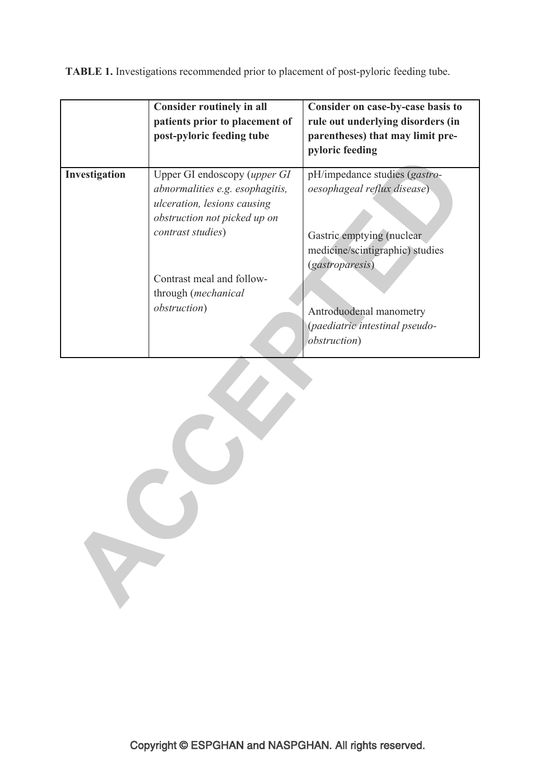**TABLE 1.** Investigations recommended prior to placement of post-pyloric feeding tube.

|               | <b>Consider routinely in all</b><br>patients prior to placement of<br>post-pyloric feeding tube                                       | Consider on case-by-case basis to<br>rule out underlying disorders (in<br>parentheses) that may limit pre-<br>pyloric feeding |
|---------------|---------------------------------------------------------------------------------------------------------------------------------------|-------------------------------------------------------------------------------------------------------------------------------|
| Investigation | Upper GI endoscopy (upper GI<br>abnormalities e.g. esophagitis,<br><i>ulceration, lesions causing</i><br>obstruction not picked up on | pH/impedance studies (gastro-<br><i>oesophageal reflux disease</i> )                                                          |
|               | contrast studies)                                                                                                                     | Gastric emptying (nuclear)<br>medicine/scintigraphic) studies<br><i>(gastroparesis)</i>                                       |
|               | Contrast meal and follow-<br>through (mechanical                                                                                      |                                                                                                                               |
|               | <i>obstruction</i> )                                                                                                                  | Antroduodenal manometry<br>(paediatric intestinal pseudo-<br><i>obstruction</i> )                                             |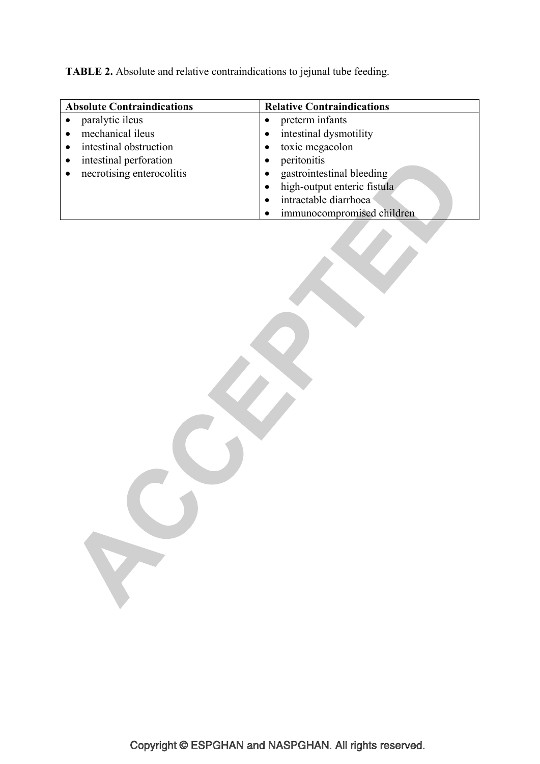**TABLE 2.** Absolute and relative contraindications to jejunal tube feeding.

| <b>Absolute Contraindications</b> | <b>Relative Contraindications</b> |  |
|-----------------------------------|-----------------------------------|--|
| paralytic ileus                   | preterm infants                   |  |
| mechanical ileus                  | intestinal dysmotility            |  |
| intestinal obstruction            | toxic megacolon                   |  |
| intestinal perforation            | peritonitis                       |  |
| necrotising enterocolitis         | gastrointestinal bleeding         |  |
|                                   | high-output enteric fistula       |  |
|                                   | intractable diarrhoea             |  |
|                                   | immunocompromised children        |  |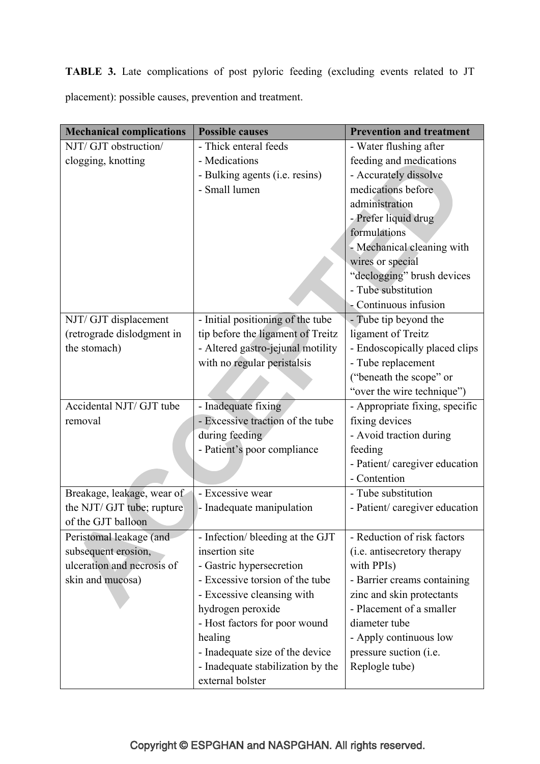**TABLE 3.** Late complications of post pyloric feeding (excluding events related to JT placement): possible causes, prevention and treatment.

| <b>Mechanical complications</b> | <b>Possible causes</b>            | <b>Prevention and treatment</b> |
|---------------------------------|-----------------------------------|---------------------------------|
| NJT/ GJT obstruction/           | - Thick enteral feeds             | - Water flushing after          |
| clogging, knotting              | - Medications                     | feeding and medications         |
|                                 | - Bulking agents (i.e. resins)    | - Accurately dissolve           |
|                                 | - Small lumen                     | medications before              |
|                                 |                                   | administration                  |
|                                 |                                   | - Prefer liquid drug            |
|                                 |                                   | formulations                    |
|                                 |                                   | - Mechanical cleaning with      |
|                                 |                                   | wires or special                |
|                                 |                                   | "declogging" brush devices      |
|                                 |                                   | - Tube substitution             |
|                                 |                                   | - Continuous infusion           |
| NJT/ GJT displacement           | - Initial positioning of the tube | - Tube tip beyond the           |
| (retrograde dislodgment in      | tip before the ligament of Treitz | ligament of Treitz              |
| the stomach)                    | - Altered gastro-jejunal motility | - Endoscopically placed clips   |
|                                 | with no regular peristalsis       | - Tube replacement              |
|                                 |                                   | ("beneath the scope" or         |
|                                 |                                   | "over the wire technique")      |
| Accidental NJT/ GJT tube        | - Inadequate fixing               | - Appropriate fixing, specific  |
| removal                         | - Excessive traction of the tube  | fixing devices                  |
|                                 | during feeding                    | - Avoid traction during         |
|                                 | - Patient's poor compliance       | feeding                         |
|                                 |                                   | - Patient/ caregiver education  |
|                                 |                                   | - Contention                    |
| Breakage, leakage, wear of      | - Excessive wear                  | - Tube substitution             |
| the NJT/ GJT tube; rupture      | - Inadequate manipulation         | - Patient/ caregiver education  |
| of the GJT balloon              |                                   |                                 |
| Peristomal leakage (and         | - Infection/ bleeding at the GJT  | - Reduction of risk factors     |
| subsequent erosion,             | insertion site                    | (i.e. antisecretory therapy     |
| ulceration and necrosis of      | - Gastric hypersecretion          | with PPIs)                      |
| skin and mucosa)                | - Excessive torsion of the tube   | - Barrier creams containing     |
|                                 | - Excessive cleansing with        | zinc and skin protectants       |
|                                 | hydrogen peroxide                 | - Placement of a smaller        |
|                                 | - Host factors for poor wound     | diameter tube                   |
|                                 | healing                           | - Apply continuous low          |
|                                 | - Inadequate size of the device   | pressure suction ( <i>i.e.</i>  |
|                                 | - Inadequate stabilization by the | Replogle tube)                  |
|                                 | external bolster                  |                                 |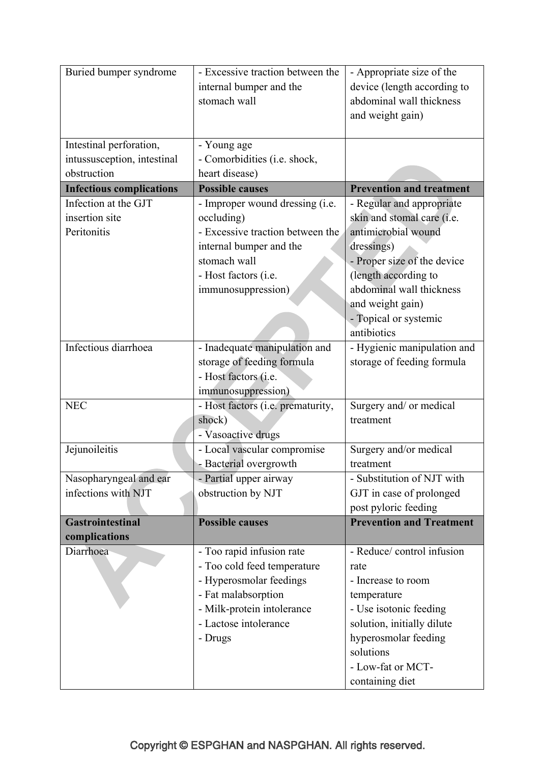| Buried bumper syndrome          | - Excessive traction between the                         | - Appropriate size of the       |
|---------------------------------|----------------------------------------------------------|---------------------------------|
|                                 | internal bumper and the                                  | device (length according to     |
|                                 | stomach wall                                             | abdominal wall thickness        |
|                                 |                                                          | and weight gain)                |
|                                 |                                                          |                                 |
| Intestinal perforation,         | - Young age                                              |                                 |
| intussusception, intestinal     | - Comorbidities (i.e. shock,                             |                                 |
| obstruction                     | heart disease)                                           |                                 |
| <b>Infectious complications</b> | <b>Possible causes</b>                                   | <b>Prevention and treatment</b> |
| Infection at the GJT            | - Improper wound dressing (i.e.                          | - Regular and appropriate       |
| insertion site                  | occluding)                                               | skin and stomal care (i.e.      |
| Peritonitis                     | antimicrobial wound<br>- Excessive traction between the  |                                 |
|                                 | internal bumper and the                                  | dressings)                      |
|                                 | stomach wall                                             | - Proper size of the device     |
|                                 | - Host factors (i.e.                                     | (length according to            |
|                                 | immunosuppression)                                       | abdominal wall thickness        |
|                                 |                                                          | and weight gain)                |
|                                 |                                                          | - Topical or systemic           |
|                                 |                                                          | antibiotics                     |
| Infectious diarrhoea            | - Inadequate manipulation and                            | - Hygienic manipulation and     |
|                                 | storage of feeding formula                               | storage of feeding formula      |
|                                 | - Host factors (i.e.                                     |                                 |
|                                 | immunosuppression)                                       |                                 |
| <b>NEC</b>                      | - Host factors (i.e. prematurity,                        | Surgery and/ or medical         |
|                                 | shock)                                                   | treatment                       |
|                                 | - Vasoactive drugs                                       |                                 |
| Jejunoileitis                   | - Local vascular compromise                              | Surgery and/or medical          |
|                                 | - Bacterial overgrowth                                   | treatment                       |
| Nasopharyngeal and ear          | - Partial upper airway                                   | - Substitution of NJT with      |
| infections with NJT             | obstruction by NJT                                       | GJT in case of prolonged        |
|                                 |                                                          | post pyloric feeding            |
| <b>Gastrointestinal</b>         | <b>Possible causes</b>                                   | <b>Prevention and Treatment</b> |
| complications<br>Diarrhoea      |                                                          | - Reduce/ control infusion      |
|                                 | - Too rapid infusion rate<br>- Too cold feed temperature | rate                            |
|                                 | - Hyperosmolar feedings                                  | - Increase to room              |
|                                 | - Fat malabsorption                                      | temperature                     |
|                                 | - Milk-protein intolerance                               | - Use isotonic feeding          |
|                                 | - Lactose intolerance                                    | solution, initially dilute      |
|                                 | - Drugs                                                  | hyperosmolar feeding            |
|                                 |                                                          | solutions                       |
|                                 |                                                          | - Low-fat or MCT-               |
|                                 |                                                          |                                 |
|                                 |                                                          | containing diet                 |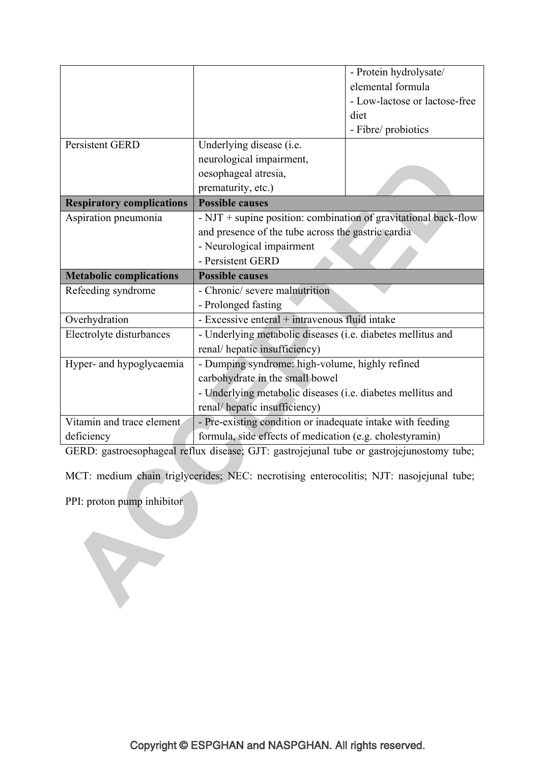|                                  |                                                                   | - Protein hydrolysate/        |
|----------------------------------|-------------------------------------------------------------------|-------------------------------|
|                                  |                                                                   | elemental formula             |
|                                  |                                                                   | - Low-lactose or lactose-free |
|                                  |                                                                   | diet                          |
|                                  |                                                                   | - Fibre/ probiotics           |
| <b>Persistent GERD</b>           | Underlying disease (i.e.                                          |                               |
|                                  | neurological impairment,                                          |                               |
|                                  | oesophageal atresia,                                              |                               |
|                                  | prematurity, etc.)                                                |                               |
| <b>Respiratory complications</b> | <b>Possible causes</b>                                            |                               |
| Aspiration pneumonia             | $- NJT +$ supine position: combination of gravitational back-flow |                               |
|                                  | and presence of the tube across the gastric cardia                |                               |
|                                  | - Neurological impairment                                         |                               |
|                                  | - Persistent GERD                                                 |                               |
| <b>Metabolic complications</b>   | <b>Possible causes</b>                                            |                               |
| Refeeding syndrome               | - Chronic/ severe malnutrition                                    |                               |
|                                  | - Prolonged fasting                                               |                               |
| Overhydration                    | - Excessive enteral + intravenous fluid intake                    |                               |
| Electrolyte disturbances         | - Underlying metabolic diseases (i.e. diabetes mellitus and       |                               |
|                                  | renal/hepatic insufficiency)                                      |                               |
| Hyper- and hypoglycaemia         | - Dumping syndrome: high-volume, highly refined                   |                               |
|                                  |                                                                   |                               |
|                                  | carbohydrate in the small bowel                                   |                               |
|                                  | - Underlying metabolic diseases (i.e. diabetes mellitus and       |                               |
|                                  | renal/hepatic insufficiency)                                      |                               |
| Vitamin and trace element        | - Pre-existing condition or inadequate intake with feeding        |                               |

GERD: gastroesophageal reflux disease; GJT: gastrojejunal tube or gastrojejunostomy tube;

MCT: medium chain triglycerides; NEC: necrotising enterocolitis; NJT: nasojejunal tube;

PPI: proton pump inhibitor

V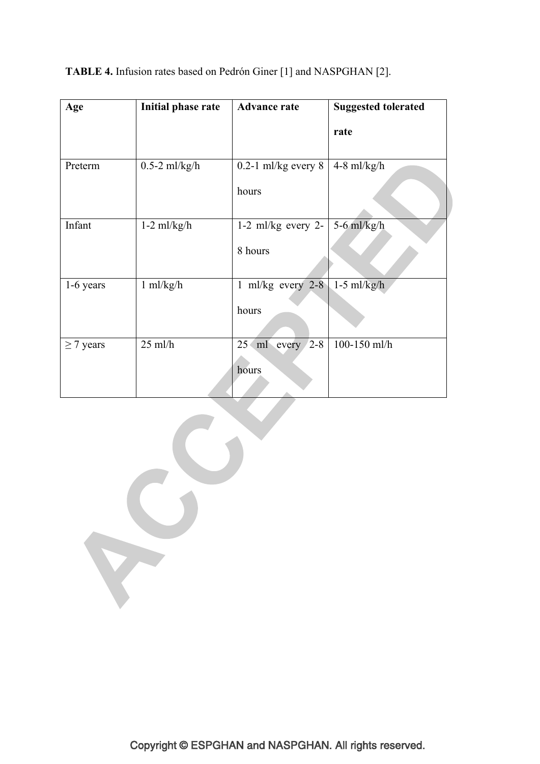**TABLE 4.** Infusion rates based on Pedrón Giner [1] and NASPGHAN [2].

| Age            | Initial phase rate | <b>Advance rate</b>                                                  | <b>Suggested tolerated</b> |  |
|----------------|--------------------|----------------------------------------------------------------------|----------------------------|--|
|                |                    |                                                                      | rate                       |  |
| Preterm        | $0.5 - 2$ ml/kg/h  | $0.2-1$ ml/kg every 8                                                | $4-8$ ml/kg/h              |  |
|                |                    | hours                                                                |                            |  |
| Infant         | $1-2$ ml/kg/h      | 1-2 ml/kg every 2- $\left  5.6 \frac{\text{m}}{\text{kg/h}} \right $ |                            |  |
|                |                    | 8 hours                                                              |                            |  |
| 1-6 years      | 1 ml/kg/h          | 1 ml/kg every $2-8$ 1-5 ml/kg/h                                      |                            |  |
|                |                    | hours                                                                |                            |  |
| $\geq$ 7 years | $25$ ml/h          | $25 \text{ ml}$ every $2-8$                                          | 100-150 ml/h               |  |
|                |                    | hours                                                                |                            |  |
|                |                    |                                                                      |                            |  |
|                |                    |                                                                      |                            |  |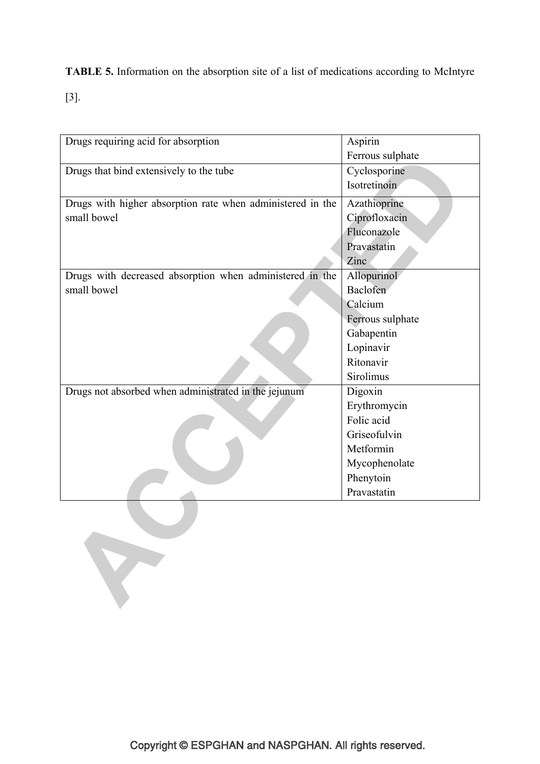**TABLE 5.** Information on the absorption site of a list of medications according to McIntyre

[3].

| Drugs requiring acid for absorption                        | Aspirin          |
|------------------------------------------------------------|------------------|
|                                                            | Ferrous sulphate |
| Drugs that bind extensively to the tube                    | Cyclosporine     |
|                                                            | Isotretinoin     |
| Drugs with higher absorption rate when administered in the | Azathioprine     |
| small bowel                                                | Ciprofloxacin    |
|                                                            | Fluconazole      |
|                                                            | Pravastatin      |
|                                                            | Zinc             |
| Drugs with decreased absorption when administered in the   | Allopurinol      |
| small bowel                                                | Baclofen         |
|                                                            | Calcium          |
|                                                            | Ferrous sulphate |
|                                                            | Gabapentin       |
|                                                            | Lopinavir        |
|                                                            | Ritonavir        |
|                                                            | Sirolimus        |
| Drugs not absorbed when administrated in the jejunum       | Digoxin          |
|                                                            | Erythromycin     |
|                                                            | Folic acid       |
|                                                            | Griseofulvin     |
|                                                            | Metformin        |
|                                                            | Mycophenolate    |
|                                                            | Phenytoin        |
|                                                            | Pravastatin      |
|                                                            |                  |